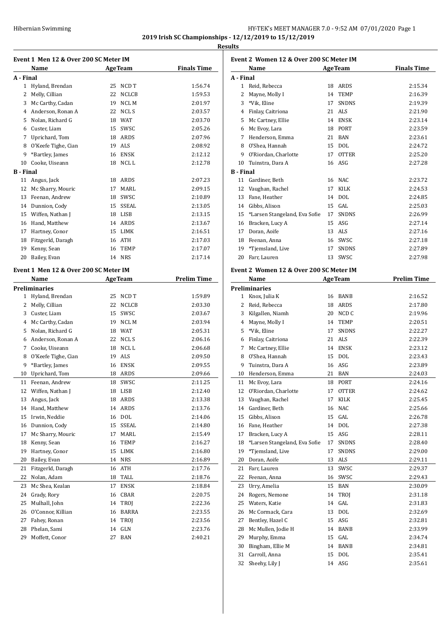# HY-TEK's MEET MANAGER 7.0 - 9:52 AM 07/01/2020 Page 1 **2019 Irish SC Championships - 12/12/2019 to 15/12/2019**

**Results**

|                  | Event 1 Men 12 & Over 200 SC Meter IM |    |                |                    |
|------------------|---------------------------------------|----|----------------|--------------------|
|                  | Name                                  |    | <b>AgeTeam</b> | <b>Finals Time</b> |
| A - Final        |                                       |    |                |                    |
| $\mathbf{1}$     | Hyland, Brendan                       | 25 | NCD T          | 1:56.74            |
| 2                | Melly, Cillian                        | 22 | <b>NCLCB</b>   | 1:59.53            |
|                  | 3 Mc Carthy, Cadan                    | 19 | NCL M          | 2:01.97            |
|                  | 4 Anderson, Ronan A                   |    | 22 NCLS        | 2:03.57            |
|                  | 5 Nolan, Richard G                    |    | 18 WAT         | 2:03.70            |
|                  | 6 Custer, Liam                        |    | 15 SWSC        | 2:05.26            |
|                  | 7 Uprichard, Tom                      |    | 18 ARDS        | 2:07.96            |
|                  | 8 O'Keefe Tighe, Cian                 |    | 19 ALS         | 2:08.92            |
| 9                | *Bartley, James                       |    | 16 ENSK        | 2:12.12            |
| 10               | Cooke, Uiseann                        |    | 18 NCL L       | 2:12.78            |
| <b>B</b> - Final |                                       |    |                |                    |
| 11               | Angus, Jack                           |    | 18 ARDS        | 2:07.23            |
| 12               | Mc Sharry, Mouric                     | 17 | MARL           | 2:09.15            |
|                  | 13 Feenan, Andrew                     |    | 18 SWSC        | 2:10.89            |
|                  | 14 Dunnion, Cody                      |    | 15 SSEAL       | 2:13.05            |
|                  | 15 Wiffen, Nathan J                   |    | 18 LISB        | 2:13.15            |
|                  | 16 Hand, Matthew                      |    | 14 ARDS        | 2:13.67            |
|                  | 17 Hartney, Conor                     |    | 15 LIMK        | 2:16.51            |
|                  | 18 Fitzgerld, Daragh                  |    | 16 ATH         | 2:17.03            |
| 19               | Kenny, Sean                           |    | 16 TEMP        | 2:17.07            |
| 20               | Bailey, Evan                          |    | 14 NRS         | 2:17.14            |
|                  | Event 1 Men 12 & Over 200 SC Meter IM |    |                |                    |
|                  | Name                                  |    | <b>AgeTeam</b> | <b>Prelim Time</b> |
|                  | <b>Preliminaries</b>                  |    |                |                    |
| $1 \quad$        | Hyland, Brendan                       | 25 | NCD T          | 1:59.89            |
|                  | 2 Melly, Cillian                      |    | 22 NCLCB       | 2:03.30            |
|                  | 3 Custer, Liam                        |    | 15 SWSC        | 2:03.67            |
|                  | 4 Mc Carthy, Cadan                    |    | 19 NCL M       | 2:03.94            |
| 5                | Nolan, Richard G                      |    | 18 WAT         | 2:05.31            |
|                  | 6 Anderson, Ronan A                   |    | 22 NCL S       | 2:06.16            |
|                  | 7 Cooke, Uiseann                      |    | 18 NCL L       | 2:06.68            |
|                  | 8 O'Keefe Tighe, Cian                 |    | 19 ALS         | 2:09.50            |
| 9                | *Bartley, James                       |    | 16 ENSK        | 2:09.55            |
| 10               | Uprichard, Tom                        |    | 18 ARDS        | 2:09.66            |
| 11               | Feenan, Andrew                        | 18 | SWSC           | 2:11.25            |
| 12               | Wiffen, Nathan J                      | 18 | LISB           | 2:12.40            |
| 13               | Angus, Jack                           | 18 | ARDS           | 2:13.38            |
| 14               | Hand, Matthew                         | 14 | ARDS           | 2:13.76            |
| 15               | Irwin, Neddie                         | 16 | DOL            | 2:14.06            |
| 16               | Dunnion, Cody                         | 15 | SSEAL          | 2:14.80            |
| 17               | Mc Sharry, Mouric                     | 17 | MARL           | 2:15.49            |
| 18               | Kenny, Sean                           | 16 | TEMP           | 2:16.27            |
| 19               | Hartney, Conor                        | 15 | LIMK           | 2:16.80            |
| 20               | Bailey, Evan                          | 14 | <b>NRS</b>     | 2:16.89            |
| 21               | Fitzgerld, Daragh                     | 16 | ATH            | 2:17.76            |
| 22               | Nolan, Adam                           | 18 | TALL           | 2:18.76            |
|                  |                                       |    |                |                    |
| 23               | Mc Shea, Kealan                       | 17 | ENSK           | 2:18.84            |
| 24               | Grady, Rory                           | 16 | CBAR           | 2:20.75            |
| 25               | Mulhall, John                         | 14 | TROJ           | 2:22.36            |
| 26               | O'Connor, Killian                     | 16 | BARRA          | 2:23.55            |
| 27               | Fahey, Ronan                          | 14 | TROJ           | 2:23.56            |
| 28               | Phelan, Sami                          | 14 | GLN            | 2:23.76            |
| 29               | Moffett, Conor                        | 27 | BAN            | 2:40.21            |

| Event 2 Women 12 & Over 200 SC Meter IM |                                         |    |                |                    |  |
|-----------------------------------------|-----------------------------------------|----|----------------|--------------------|--|
|                                         | Name                                    |    | <b>AgeTeam</b> | <b>Finals Time</b> |  |
| A - Final                               |                                         |    |                |                    |  |
|                                         | 1 Reid, Rebecca                         |    | 18 ARDS        | 2:15.34            |  |
| 2                                       | Mayne, Molly I                          | 14 | <b>TEMP</b>    | 2:16.39            |  |
|                                         | 3 *Vik. Eline                           | 17 | <b>SNDNS</b>   | 2:19.39            |  |
|                                         | 4 Finlay, Caitriona                     |    | 21 ALS         | 2:21.90            |  |
|                                         | 5 Mc Cartney, Ellie                     |    | 14 ENSK        | 2:23.14            |  |
|                                         | 6 Mc Evoy, Lara                         |    | 18 PORT        | 2:23.59            |  |
|                                         | 7 Henderson, Emma                       |    | 21 BAN         | 2:23.61            |  |
|                                         | 8 O'Shea, Hannah                        |    | 15 DOL         | 2:24.72            |  |
| 9.                                      | O'Riordan, Charlotte                    |    | 17 OTTER       | 2:25.20            |  |
| 10                                      | Tuinstra, Dara A                        |    | 16 ASG         | 2:27.28            |  |
| <b>B</b> - Final                        |                                         |    |                |                    |  |
| 11                                      | Gardiner, Beth                          |    | 16 NAC         | 2:23.72            |  |
| 12                                      | Vaughan, Rachel                         | 17 | KILK           | 2:24.53            |  |
|                                         | 13 Fane, Heather                        |    | 14 DOL         | 2:24.85            |  |
|                                         | 14 Gibbs, Alison                        |    | 15 GAL         | 2:25.03            |  |
|                                         | 15 *Larsen Stangeland, Eva Sofie        |    | 17 SNDNS       | 2:26.99            |  |
|                                         | 16 Bracken, Lucy A                      |    | 15 ASG         | 2:27.14            |  |
| 17                                      | Doran, Aoife                            |    | 13 ALS         | 2:27.16            |  |
|                                         | 18 Feenan, Anna                         |    | 16 SWSC        | 2:27.18            |  |
| 19                                      | *Tjemsland, Live                        | 17 | <b>SNDNS</b>   | 2:27.89            |  |
| 20                                      | Farr, Lauren                            |    | 13 SWSC        | 2:27.98            |  |
|                                         |                                         |    |                |                    |  |
|                                         | Event 2 Women 12 & Over 200 SC Meter IM |    |                |                    |  |
|                                         | Name                                    |    | <b>AgeTeam</b> | <b>Prelim Time</b> |  |
|                                         | <b>Preliminaries</b>                    |    |                |                    |  |
| $1 \quad$                               | Knox, Julia K                           |    | 16 BANB        | 2:16.52            |  |
|                                         | 2 Reid, Rebecca                         |    | 18 ARDS        | 2:17.80            |  |
|                                         | 3 Kilgallen, Niamh                      |    | 20 NCD C       | 2:19.96            |  |
|                                         | 4 Mayne, Molly I                        | 14 | TEMP           | 2:20.51            |  |
|                                         | 5 *Vik, Eline                           | 17 | <b>SNDNS</b>   | 2:22.27            |  |
|                                         | 6 Finlay, Caitriona                     |    | 21 ALS         | 2:22.39            |  |
| 7                                       | Mc Cartney, Ellie                       |    | 14 ENSK        | 2:23.12            |  |
|                                         | 8 O'Shea, Hannah                        |    | 15 DOL         | 2:23.43            |  |
| 9                                       | Tuinstra, Dara A                        |    | 16 ASG         | 2:23.89            |  |
| 10                                      | Henderson, Emma                         |    | 21 BAN         | 2:24.03            |  |
| 11                                      | Mc Evoy, Lara                           | 18 | PORT           | 2:24.16            |  |
| 12                                      | O'Riordan, Charlotte                    | 17 | <b>OTTER</b>   | 2:24.62            |  |
| 13                                      | Vaughan, Rachel                         | 17 | KILK           | 2:25.45            |  |
| 14                                      | Gardiner, Beth                          | 16 | NAC            | 2:25.66            |  |
| 15                                      | Gibbs, Alison                           | 15 | GAL            | 2:26.78            |  |
| 16                                      | Fane, Heather                           | 14 | <b>DOL</b>     | 2:27.38            |  |
| 17                                      | Bracken, Lucy A                         | 15 | ASG            | 2:28.11            |  |
| 18                                      | *Larsen Stangeland, Eva Sofie           | 17 | SNDNS          | 2:28.40            |  |
| 19                                      | *Tjemsland, Live                        | 17 | <b>SNDNS</b>   | 2:29.00            |  |
| 20                                      | Doran, Aoife                            | 13 | ALS            | 2:29.11            |  |
| 21                                      | Farr, Lauren                            | 13 | SWSC           | 2:29.37            |  |
| 22                                      | Feenan, Anna                            | 16 | SWSC           | 2:29.43            |  |
| 23                                      | Urry, Amelia                            | 15 | BAN            | 2:30.09            |  |
| 24                                      | Rogers, Nemone                          | 14 | TROJ           | 2:31.18            |  |
| 25                                      | Waters, Katie                           | 14 | GAL            | 2:31.83            |  |
| 26                                      | Mc Cormack, Cara                        | 13 | DOL            | 2:32.69            |  |
| 27                                      | Bentley, Hazel C                        | 15 | ASG            | 2:32.81            |  |
| 28                                      | Mc Mullen, Jodie H                      | 14 | BANB           | 2:33.99            |  |
| 29                                      | Murphy, Emma                            | 15 | GAL            | 2:34.74            |  |
| 30                                      | Bingham, Ellie M                        | 14 | BANB           | 2:34.81            |  |
| 31                                      | Carroll, Anna                           | 15 | DOL            | 2:35.41            |  |
| 32                                      | Sheehy, Lily J                          | 14 | ASG            | 2:35.61            |  |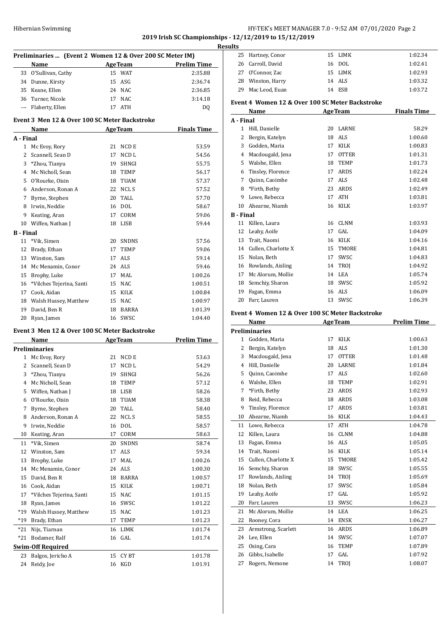# Hibernian Swimming HY-TEK's MEET MANAGER 7.0 - 9:52 AM 07/01/2020 Page 2 **2019 Irish SC Championships - 12/12/2019 to 15/12/2019**

|                  |                                                          |    |                |                                                 | Result |
|------------------|----------------------------------------------------------|----|----------------|-------------------------------------------------|--------|
|                  | Preliminaries  (Event 2 Women 12 & Over 200 SC Meter IM) |    |                |                                                 |        |
|                  | Name                                                     |    |                | <b>Example 2018</b> Age Team <b>Prelim Time</b> |        |
|                  | 33 O'Sullivan, Cathy                                     |    | 15 WAT         | 2:35.88                                         |        |
|                  | 34 Dunne, Kirsty                                         |    | 15 ASG         | 2:36.74                                         |        |
|                  | 35 Keane, Ellen                                          |    | 24 NAC         | 2:36.85                                         |        |
|                  | 36 Turner, Nicole                                        |    | 17 NAC         | 3:14.18                                         | E      |
|                  | --- Flaherty, Ellen                                      |    | 17 ATH         | DQ                                              |        |
|                  | Event 3 Men 12 & Over 100 SC Meter Backstroke<br>Name    |    |                | <b>Example 2 Age Team</b> Finals Time           | A      |
| A - Final        |                                                          |    |                |                                                 |        |
|                  | 1 Mc Evoy, Rory                                          |    | 21 NCD E       | 53.59                                           |        |
| $\overline{2}$   | Scannell, Sean D                                         | 17 | NCD L          | 54.56                                           |        |
|                  | 3 *Zhou, Tianyu                                          |    | 19 SHNGI       | 55.75                                           |        |
|                  | 4 Mc Nicholl, Sean                                       |    | 18 TEMP        | 56.17                                           |        |
|                  | 5 O'Rourke, Oisin                                        |    | 18 TUAM        | 57.37                                           |        |
|                  | 6 Anderson, Ronan A                                      |    | 22 NCL S       | 57.52                                           |        |
|                  | 7 Byrne, Stephen                                         |    | 20 TALL        | 57.70                                           |        |
|                  | 8 Irwin, Neddie                                          |    | 16 DOL         | 58.67                                           |        |
|                  | 9 Keating, Aran                                          |    | 17 CORM        | 59.06                                           | B      |
|                  | 10 Wiffen, Nathan J                                      |    | 18 LISB        | 59.44                                           |        |
|                  |                                                          |    |                |                                                 |        |
| <b>B</b> - Final | *Vik. Simen                                              | 20 |                |                                                 |        |
| 11               |                                                          |    | SNDNS          | 57.56                                           |        |
|                  | 12 Brady, Ethan                                          |    | 17 TEMP        | 59.06                                           |        |
|                  | 13 Winston, Sam                                          |    | 17 ALS         | 59.14                                           |        |
|                  | 14 Mc Menamin, Conor                                     |    | 24 ALS         | 59.46                                           |        |
|                  | 15 Brophy, Luke                                          |    | 17 MAL         | 1:00.26                                         |        |
|                  | 16 *Vilches Tejerina, Santi                              |    | 15 NAC         | 1:00.51                                         |        |
|                  | 17 Cook, Aidan                                           |    | 15 KILK        | 1:00.84                                         |        |
|                  | 18 Walsh Hussey, Matthew                                 |    | 15 NAC         | 1:00.97                                         |        |
|                  | 19 David, Ben R                                          |    | 18 BARRA       | 1:01.39                                         | E      |
|                  | 20 Ryan, James                                           |    | 16 SWSC        | 1:04.40                                         |        |
|                  | Event 3 Men 12 & Over 100 SC Meter Backstroke            |    |                |                                                 | P      |
|                  | <b>Name</b>                                              |    | <b>AgeTeam</b> | <b>Prelim Time</b>                              |        |
|                  | <b>Preliminaries</b>                                     |    |                |                                                 |        |
|                  | 1 Mc Evoy, Rory                                          |    | 21 NCD E       | 53.63                                           |        |
| 2                | Scannell, Sean D                                         |    | 17 NCD L       | 54.29                                           |        |
| 3                | *Zhou, Tianyu                                            | 19 | SHNGI          | 56.26                                           |        |
| 4                | Mc Nicholl, Sean                                         | 18 | TEMP           | 57.12                                           |        |
| 5                | Wiffen, Nathan J                                         | 18 | LISB           | 58.26                                           |        |
| 6                | O'Rourke, Oisin                                          | 18 | TUAM           | 58.38                                           |        |
| 7                | Byrne, Stephen                                           | 20 | TALL           | 58.40                                           |        |
| 8                | Anderson, Ronan A                                        | 22 | NCL S          | 58.55                                           |        |
| 9                | Irwin, Neddie                                            | 16 | DOL            | 58.57                                           |        |
| 10               | Keating, Aran                                            | 17 | CORM           | 58.63                                           |        |
| 11               | *Vik, Simen                                              | 20 | SNDNS          | 58.74                                           |        |
| 12               | Winston, Sam                                             | 17 | ALS            | 59.34                                           |        |
| 13               | Brophy, Luke                                             | 17 | MAL            | 1:00.26                                         |        |
| 14               | Mc Menamin, Conor                                        | 24 | ALS            | 1:00.30                                         |        |
| 15               | David, Ben R                                             | 18 | BARRA          | 1:00.57                                         |        |
| 16               | Cook, Aidan                                              | 15 | KILK           | 1:00.71                                         |        |
| 17               | *Vilches Tejerina, Santi                                 | 15 | <b>NAC</b>     | 1:01.15                                         |        |
| 18               | Ryan, James                                              | 16 | SWSC           | 1:01.22                                         |        |
| $*19$            | Walsh Hussey, Matthew                                    | 15 | NAC            | 1:01.23                                         |        |
| *19              | Brady, Ethan                                             | 17 | TEMP           | 1:01.23                                         |        |
| *21              | Nijs, Tiarnan                                            | 16 | LIMK           | 1:01.74                                         |        |
| $*21$            | Bodamer, Ralf                                            | 16 | GAL            | 1:01.74                                         |        |
|                  | <b>Swim-Off Required</b>                                 |    |                |                                                 |        |
| 23               | Balgos, Jericho A                                        | 15 | CY BT          | 1:01.78                                         |        |
| 24               | Reidy, Joe                                               | 16 | KGD            | 1:01.91                                         |        |

| ts |                   |    |         |         |
|----|-------------------|----|---------|---------|
|    | 25 Hartney, Conor |    | 15 LIMK | 1:02.34 |
|    | 26 Carroll, David |    | 16 DOL  | 1:02.41 |
|    | 27 O'Connor, Zac  |    | 15 LIMK | 1:02.93 |
|    | 28 Winston, Harry |    | 14 ALS  | 1:03.32 |
|    | 29 Mac Leod. Euan | 14 | ESB     | 1:03.72 |
|    |                   |    |         |         |

# **Event 4 Women 12 & Over 100 SC Meter Backstroke**

|                  | Name                                            | <b>AgeTeam</b> |              | <b>Finals Time</b> |  |  |  |
|------------------|-------------------------------------------------|----------------|--------------|--------------------|--|--|--|
| A - Final        |                                                 |                |              |                    |  |  |  |
| 1                | Hill, Danielle                                  | 20             | LARNE        | 58.29              |  |  |  |
| 2                | Bergin, Katelyn                                 | 18             | ALS          | 1:00.60            |  |  |  |
| 3                | Godden, Maria                                   | 17             | <b>KILK</b>  | 1:00.83            |  |  |  |
| 4                | Macdougald, Jena                                | 17             | <b>OTTER</b> | 1:01.31            |  |  |  |
| 5                | Walshe, Ellen                                   | 18             | <b>TEMP</b>  | 1:01.73            |  |  |  |
| 6                | Tinsley, Florence                               | 17             | ARDS         | 1:02.24            |  |  |  |
| 7                | Quinn, Caoimhe                                  | 17             | ALS          | 1:02.48            |  |  |  |
| 8                | *Firth, Bethy                                   | 23             | ARDS         | 1:02.49            |  |  |  |
| 9                | Lowe, Rebecca                                   | 17             | ATH          | 1:03.81            |  |  |  |
| 10               | Ahearne, Niamh                                  | 16             | <b>KILK</b>  | 1:03.97            |  |  |  |
| <b>B</b> - Final |                                                 |                |              |                    |  |  |  |
| 11               | Killen, Laura                                   | 16             | <b>CLNM</b>  | 1:03.93            |  |  |  |
| 12               | Leahy, Aoife                                    | 17             | GAL.         | 1:04.09            |  |  |  |
| 13               | Trait, Naomi                                    | 16             | <b>KILK</b>  | 1:04.16            |  |  |  |
| 14               | Cullen, Charlotte X                             | 15             | <b>TMORE</b> | 1:04.81            |  |  |  |
| 15               | Nolan, Beth                                     | 17             | SWSC         | 1:04.83            |  |  |  |
| 16               | Rowlands, Aisling                               | 14             | TROI         | 1:04.92            |  |  |  |
| 17               | Mc Alorum, Mollie                               | 14             | LEA          | 1:05.74            |  |  |  |
| 18               | Semchiy, Sharon                                 | 18             | SWSC         | 1:05.92            |  |  |  |
| 19               | Fagan, Emma                                     | 16             | ALS          | 1:06.09            |  |  |  |
| 20               | Farr, Lauren                                    | 13             | SWSC         | 1:06.39            |  |  |  |
|                  | Event 4 Women 12 & Over 100 SC Meter Backstroke |                |              |                    |  |  |  |

#### **Name Age Team Prelim Time**  $\overline{a}$

|              | <b>Preliminaries</b> |    |              |         |
|--------------|----------------------|----|--------------|---------|
|              |                      |    |              |         |
| $\mathbf{1}$ | Godden, Maria        | 17 | <b>KILK</b>  | 1:00.63 |
| 2            | Bergin, Katelyn      | 18 | ALS          | 1:01.30 |
| 3            | Macdougald, Jena     | 17 | <b>OTTER</b> | 1:01.48 |
| 4            | Hill, Danielle       | 20 | <b>LARNE</b> | 1:01.84 |
| 5            | Quinn, Caoimhe       | 17 | ALS          | 1:02.60 |
| 6            | Walshe, Ellen        | 18 | <b>TEMP</b>  | 1:02.91 |
| 7            | *Firth, Bethy        | 23 | ARDS         | 1:02.93 |
| 8            | Reid, Rebecca        | 18 | <b>ARDS</b>  | 1:03.08 |
| 9            | Tinsley, Florence    | 17 | <b>ARDS</b>  | 1:03.81 |
| 10           | Ahearne, Niamh       | 16 | <b>KILK</b>  | 1:04.43 |
| 11           | Lowe, Rebecca        | 17 | <b>ATH</b>   | 1:04.78 |
| 12           | Killen, Laura        | 16 | <b>CLNM</b>  | 1:04.88 |
| 13           | Fagan, Emma          | 16 | <b>ALS</b>   | 1:05.05 |
| 14           | Trait, Naomi         | 16 | <b>KILK</b>  | 1:05.14 |
| 15           | Cullen, Charlotte X  | 15 | <b>TMORE</b> | 1:05.42 |
| 16           | Semchiy, Sharon      | 18 | SWSC         | 1:05.55 |
| 17           | Rowlands, Aisling    | 14 | TROJ         | 1:05.69 |
| 18           | Nolan, Beth          | 17 | <b>SWSC</b>  | 1:05.84 |
| 19           | Leahy, Aoife         | 17 | GAL          | 1:05.92 |
| 20           | Farr, Lauren         | 13 | SWSC         | 1:06.23 |
| 21           | Mc Alorum, Mollie    | 14 | <b>LEA</b>   | 1:06.25 |
| 22           | Rooney, Cora         | 14 | <b>ENSK</b>  | 1:06.27 |
| 23           | Armstrong, Scarlett  | 16 | <b>ARDS</b>  | 1:06.89 |
| 24           | Lee, Ellen           | 14 | SWSC         | 1:07.07 |
| 25           | Osing, Cara          | 16 | <b>TEMP</b>  | 1:07.89 |
| 26           | Gibbs, Isabelle      | 17 | GAL.         | 1:07.92 |
| 27           | Rogers, Nemone       | 14 | TROI         | 1:08.07 |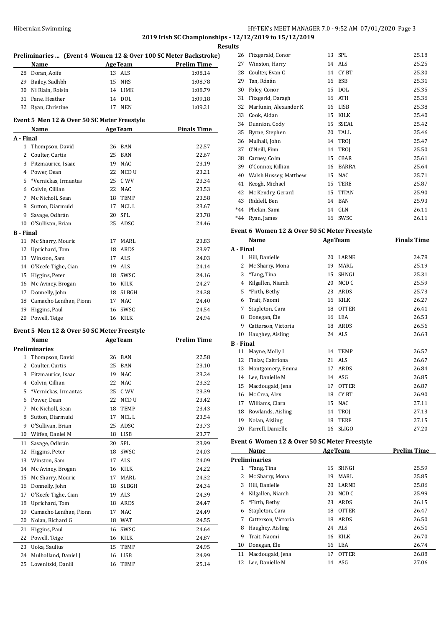# HY-TEK's MEET MANAGER 7.0 - 9:52 AM 07/01/2020 Page 3 **2019 Irish SC Championships - 12/12/2019 to 15/12/2019**

| Name                   |                                                                                                                                                                                                                                                                                                                                                                                                                                                                                                                                                                                                                                                                                                                           |                                                                                             |                                                                                                                                                                                                                                                                                                                                                                                                                                                                                                                                                                                                                                                                           |
|------------------------|---------------------------------------------------------------------------------------------------------------------------------------------------------------------------------------------------------------------------------------------------------------------------------------------------------------------------------------------------------------------------------------------------------------------------------------------------------------------------------------------------------------------------------------------------------------------------------------------------------------------------------------------------------------------------------------------------------------------------|---------------------------------------------------------------------------------------------|---------------------------------------------------------------------------------------------------------------------------------------------------------------------------------------------------------------------------------------------------------------------------------------------------------------------------------------------------------------------------------------------------------------------------------------------------------------------------------------------------------------------------------------------------------------------------------------------------------------------------------------------------------------------------|
| 28 Doran, Aoife        |                                                                                                                                                                                                                                                                                                                                                                                                                                                                                                                                                                                                                                                                                                                           |                                                                                             | 1:08.14                                                                                                                                                                                                                                                                                                                                                                                                                                                                                                                                                                                                                                                                   |
| 29 Bailey, Sadhbh      |                                                                                                                                                                                                                                                                                                                                                                                                                                                                                                                                                                                                                                                                                                                           |                                                                                             | 1:08.78                                                                                                                                                                                                                                                                                                                                                                                                                                                                                                                                                                                                                                                                   |
| 30 Ni Riain, Roisin    |                                                                                                                                                                                                                                                                                                                                                                                                                                                                                                                                                                                                                                                                                                                           |                                                                                             | 1:08.79                                                                                                                                                                                                                                                                                                                                                                                                                                                                                                                                                                                                                                                                   |
| 31 Fane, Heather       |                                                                                                                                                                                                                                                                                                                                                                                                                                                                                                                                                                                                                                                                                                                           |                                                                                             | 1:09.18                                                                                                                                                                                                                                                                                                                                                                                                                                                                                                                                                                                                                                                                   |
| 32 Ryan, Christine     |                                                                                                                                                                                                                                                                                                                                                                                                                                                                                                                                                                                                                                                                                                                           |                                                                                             | 1:09.21                                                                                                                                                                                                                                                                                                                                                                                                                                                                                                                                                                                                                                                                   |
|                        |                                                                                                                                                                                                                                                                                                                                                                                                                                                                                                                                                                                                                                                                                                                           |                                                                                             |                                                                                                                                                                                                                                                                                                                                                                                                                                                                                                                                                                                                                                                                           |
|                        |                                                                                                                                                                                                                                                                                                                                                                                                                                                                                                                                                                                                                                                                                                                           |                                                                                             |                                                                                                                                                                                                                                                                                                                                                                                                                                                                                                                                                                                                                                                                           |
| 1 Thompson, David      |                                                                                                                                                                                                                                                                                                                                                                                                                                                                                                                                                                                                                                                                                                                           |                                                                                             | 22.57                                                                                                                                                                                                                                                                                                                                                                                                                                                                                                                                                                                                                                                                     |
| 2 Coulter, Curtis      |                                                                                                                                                                                                                                                                                                                                                                                                                                                                                                                                                                                                                                                                                                                           |                                                                                             | 22.67                                                                                                                                                                                                                                                                                                                                                                                                                                                                                                                                                                                                                                                                     |
|                        |                                                                                                                                                                                                                                                                                                                                                                                                                                                                                                                                                                                                                                                                                                                           |                                                                                             | 23.19                                                                                                                                                                                                                                                                                                                                                                                                                                                                                                                                                                                                                                                                     |
|                        |                                                                                                                                                                                                                                                                                                                                                                                                                                                                                                                                                                                                                                                                                                                           |                                                                                             | 23.21                                                                                                                                                                                                                                                                                                                                                                                                                                                                                                                                                                                                                                                                     |
|                        |                                                                                                                                                                                                                                                                                                                                                                                                                                                                                                                                                                                                                                                                                                                           |                                                                                             | 23.34                                                                                                                                                                                                                                                                                                                                                                                                                                                                                                                                                                                                                                                                     |
|                        |                                                                                                                                                                                                                                                                                                                                                                                                                                                                                                                                                                                                                                                                                                                           |                                                                                             | 23.53                                                                                                                                                                                                                                                                                                                                                                                                                                                                                                                                                                                                                                                                     |
|                        |                                                                                                                                                                                                                                                                                                                                                                                                                                                                                                                                                                                                                                                                                                                           |                                                                                             | 23.58                                                                                                                                                                                                                                                                                                                                                                                                                                                                                                                                                                                                                                                                     |
|                        |                                                                                                                                                                                                                                                                                                                                                                                                                                                                                                                                                                                                                                                                                                                           |                                                                                             | 23.67                                                                                                                                                                                                                                                                                                                                                                                                                                                                                                                                                                                                                                                                     |
|                        |                                                                                                                                                                                                                                                                                                                                                                                                                                                                                                                                                                                                                                                                                                                           |                                                                                             | 23.78                                                                                                                                                                                                                                                                                                                                                                                                                                                                                                                                                                                                                                                                     |
|                        |                                                                                                                                                                                                                                                                                                                                                                                                                                                                                                                                                                                                                                                                                                                           |                                                                                             | 24.46                                                                                                                                                                                                                                                                                                                                                                                                                                                                                                                                                                                                                                                                     |
|                        |                                                                                                                                                                                                                                                                                                                                                                                                                                                                                                                                                                                                                                                                                                                           |                                                                                             |                                                                                                                                                                                                                                                                                                                                                                                                                                                                                                                                                                                                                                                                           |
|                        |                                                                                                                                                                                                                                                                                                                                                                                                                                                                                                                                                                                                                                                                                                                           |                                                                                             | 23.83                                                                                                                                                                                                                                                                                                                                                                                                                                                                                                                                                                                                                                                                     |
|                        |                                                                                                                                                                                                                                                                                                                                                                                                                                                                                                                                                                                                                                                                                                                           |                                                                                             | 23.97                                                                                                                                                                                                                                                                                                                                                                                                                                                                                                                                                                                                                                                                     |
|                        |                                                                                                                                                                                                                                                                                                                                                                                                                                                                                                                                                                                                                                                                                                                           |                                                                                             | 24.03                                                                                                                                                                                                                                                                                                                                                                                                                                                                                                                                                                                                                                                                     |
|                        |                                                                                                                                                                                                                                                                                                                                                                                                                                                                                                                                                                                                                                                                                                                           |                                                                                             | 24.14                                                                                                                                                                                                                                                                                                                                                                                                                                                                                                                                                                                                                                                                     |
|                        |                                                                                                                                                                                                                                                                                                                                                                                                                                                                                                                                                                                                                                                                                                                           |                                                                                             | 24.16                                                                                                                                                                                                                                                                                                                                                                                                                                                                                                                                                                                                                                                                     |
|                        |                                                                                                                                                                                                                                                                                                                                                                                                                                                                                                                                                                                                                                                                                                                           |                                                                                             | 24.27                                                                                                                                                                                                                                                                                                                                                                                                                                                                                                                                                                                                                                                                     |
|                        |                                                                                                                                                                                                                                                                                                                                                                                                                                                                                                                                                                                                                                                                                                                           |                                                                                             |                                                                                                                                                                                                                                                                                                                                                                                                                                                                                                                                                                                                                                                                           |
|                        |                                                                                                                                                                                                                                                                                                                                                                                                                                                                                                                                                                                                                                                                                                                           |                                                                                             | 24.38                                                                                                                                                                                                                                                                                                                                                                                                                                                                                                                                                                                                                                                                     |
|                        |                                                                                                                                                                                                                                                                                                                                                                                                                                                                                                                                                                                                                                                                                                                           |                                                                                             | 24.40                                                                                                                                                                                                                                                                                                                                                                                                                                                                                                                                                                                                                                                                     |
|                        |                                                                                                                                                                                                                                                                                                                                                                                                                                                                                                                                                                                                                                                                                                                           |                                                                                             | 24.54                                                                                                                                                                                                                                                                                                                                                                                                                                                                                                                                                                                                                                                                     |
|                        |                                                                                                                                                                                                                                                                                                                                                                                                                                                                                                                                                                                                                                                                                                                           |                                                                                             | 24.94                                                                                                                                                                                                                                                                                                                                                                                                                                                                                                                                                                                                                                                                     |
|                        |                                                                                                                                                                                                                                                                                                                                                                                                                                                                                                                                                                                                                                                                                                                           |                                                                                             | <b>Prelim Time</b>                                                                                                                                                                                                                                                                                                                                                                                                                                                                                                                                                                                                                                                        |
|                        |                                                                                                                                                                                                                                                                                                                                                                                                                                                                                                                                                                                                                                                                                                                           |                                                                                             |                                                                                                                                                                                                                                                                                                                                                                                                                                                                                                                                                                                                                                                                           |
|                        |                                                                                                                                                                                                                                                                                                                                                                                                                                                                                                                                                                                                                                                                                                                           |                                                                                             | 22.58                                                                                                                                                                                                                                                                                                                                                                                                                                                                                                                                                                                                                                                                     |
|                        |                                                                                                                                                                                                                                                                                                                                                                                                                                                                                                                                                                                                                                                                                                                           |                                                                                             | 23.10                                                                                                                                                                                                                                                                                                                                                                                                                                                                                                                                                                                                                                                                     |
|                        |                                                                                                                                                                                                                                                                                                                                                                                                                                                                                                                                                                                                                                                                                                                           |                                                                                             | 23.24                                                                                                                                                                                                                                                                                                                                                                                                                                                                                                                                                                                                                                                                     |
|                        |                                                                                                                                                                                                                                                                                                                                                                                                                                                                                                                                                                                                                                                                                                                           |                                                                                             | 23.32                                                                                                                                                                                                                                                                                                                                                                                                                                                                                                                                                                                                                                                                     |
|                        |                                                                                                                                                                                                                                                                                                                                                                                                                                                                                                                                                                                                                                                                                                                           |                                                                                             | 23.39                                                                                                                                                                                                                                                                                                                                                                                                                                                                                                                                                                                                                                                                     |
|                        |                                                                                                                                                                                                                                                                                                                                                                                                                                                                                                                                                                                                                                                                                                                           |                                                                                             | 23.42                                                                                                                                                                                                                                                                                                                                                                                                                                                                                                                                                                                                                                                                     |
|                        |                                                                                                                                                                                                                                                                                                                                                                                                                                                                                                                                                                                                                                                                                                                           |                                                                                             | 23.43                                                                                                                                                                                                                                                                                                                                                                                                                                                                                                                                                                                                                                                                     |
|                        |                                                                                                                                                                                                                                                                                                                                                                                                                                                                                                                                                                                                                                                                                                                           |                                                                                             | 23.54                                                                                                                                                                                                                                                                                                                                                                                                                                                                                                                                                                                                                                                                     |
|                        |                                                                                                                                                                                                                                                                                                                                                                                                                                                                                                                                                                                                                                                                                                                           |                                                                                             |                                                                                                                                                                                                                                                                                                                                                                                                                                                                                                                                                                                                                                                                           |
|                        |                                                                                                                                                                                                                                                                                                                                                                                                                                                                                                                                                                                                                                                                                                                           |                                                                                             | 23.73<br>23.77                                                                                                                                                                                                                                                                                                                                                                                                                                                                                                                                                                                                                                                            |
|                        |                                                                                                                                                                                                                                                                                                                                                                                                                                                                                                                                                                                                                                                                                                                           |                                                                                             |                                                                                                                                                                                                                                                                                                                                                                                                                                                                                                                                                                                                                                                                           |
|                        |                                                                                                                                                                                                                                                                                                                                                                                                                                                                                                                                                                                                                                                                                                                           |                                                                                             | 23.99                                                                                                                                                                                                                                                                                                                                                                                                                                                                                                                                                                                                                                                                     |
|                        |                                                                                                                                                                                                                                                                                                                                                                                                                                                                                                                                                                                                                                                                                                                           |                                                                                             | 24.03                                                                                                                                                                                                                                                                                                                                                                                                                                                                                                                                                                                                                                                                     |
|                        |                                                                                                                                                                                                                                                                                                                                                                                                                                                                                                                                                                                                                                                                                                                           |                                                                                             | 24.09                                                                                                                                                                                                                                                                                                                                                                                                                                                                                                                                                                                                                                                                     |
|                        |                                                                                                                                                                                                                                                                                                                                                                                                                                                                                                                                                                                                                                                                                                                           |                                                                                             | 24.22                                                                                                                                                                                                                                                                                                                                                                                                                                                                                                                                                                                                                                                                     |
|                        | 17                                                                                                                                                                                                                                                                                                                                                                                                                                                                                                                                                                                                                                                                                                                        |                                                                                             | 24.32                                                                                                                                                                                                                                                                                                                                                                                                                                                                                                                                                                                                                                                                     |
| Donnelly, John         | 18                                                                                                                                                                                                                                                                                                                                                                                                                                                                                                                                                                                                                                                                                                                        | SLBGH                                                                                       | 24.34                                                                                                                                                                                                                                                                                                                                                                                                                                                                                                                                                                                                                                                                     |
|                        |                                                                                                                                                                                                                                                                                                                                                                                                                                                                                                                                                                                                                                                                                                                           | ALS                                                                                         | 24.39                                                                                                                                                                                                                                                                                                                                                                                                                                                                                                                                                                                                                                                                     |
| O'Keefe Tighe, Cian    | 19                                                                                                                                                                                                                                                                                                                                                                                                                                                                                                                                                                                                                                                                                                                        |                                                                                             |                                                                                                                                                                                                                                                                                                                                                                                                                                                                                                                                                                                                                                                                           |
| Uprichard, Tom         | 18                                                                                                                                                                                                                                                                                                                                                                                                                                                                                                                                                                                                                                                                                                                        | ARDS                                                                                        | 24.47                                                                                                                                                                                                                                                                                                                                                                                                                                                                                                                                                                                                                                                                     |
| Camacho Lenihan, Fionn | 17                                                                                                                                                                                                                                                                                                                                                                                                                                                                                                                                                                                                                                                                                                                        | NAC                                                                                         | 24.49                                                                                                                                                                                                                                                                                                                                                                                                                                                                                                                                                                                                                                                                     |
| Nolan, Richard G       | 18                                                                                                                                                                                                                                                                                                                                                                                                                                                                                                                                                                                                                                                                                                                        | WAT                                                                                         | 24.55                                                                                                                                                                                                                                                                                                                                                                                                                                                                                                                                                                                                                                                                     |
| Higgins, Paul          | 16                                                                                                                                                                                                                                                                                                                                                                                                                                                                                                                                                                                                                                                                                                                        | SWSC                                                                                        | 24.64                                                                                                                                                                                                                                                                                                                                                                                                                                                                                                                                                                                                                                                                     |
| Powell, Teige          | 16                                                                                                                                                                                                                                                                                                                                                                                                                                                                                                                                                                                                                                                                                                                        | KILK                                                                                        | 24.87                                                                                                                                                                                                                                                                                                                                                                                                                                                                                                                                                                                                                                                                     |
| Uoka, Saulius          | 15                                                                                                                                                                                                                                                                                                                                                                                                                                                                                                                                                                                                                                                                                                                        | TEMP                                                                                        |                                                                                                                                                                                                                                                                                                                                                                                                                                                                                                                                                                                                                                                                           |
| Mulholland, Daniel J   | 16                                                                                                                                                                                                                                                                                                                                                                                                                                                                                                                                                                                                                                                                                                                        | LISB                                                                                        | 24.95<br>24.99                                                                                                                                                                                                                                                                                                                                                                                                                                                                                                                                                                                                                                                            |
|                        | 3 Fitzmaurice, Isaac<br>4 Power, Dean<br>5 *Vernickas, Irmantas<br>6 Colvin, Cillian<br>7 Mc Nicholl, Sean<br>8 Sutton, Diarmuid<br>9 Savage, Odhrán<br>10 O'Sullivan, Brian<br>11 Mc Sharry, Mouric<br>12 Uprichard, Tom<br>13 Winston, Sam<br>14 O'Keefe Tighe, Cian<br>15 Higgins, Peter<br>16 Mc Aviney, Brogan<br>17 Donnelly, John<br>19 Higgins, Paul<br>20 Powell, Teige<br>Name<br><b>Preliminaries</b><br>1 Thompson, David<br>2 Coulter, Curtis<br>Fitzmaurice, Isaac<br>Colvin, Cillian<br>*Vernickas, Irmantas<br>Power, Dean<br>Mc Nicholl, Sean<br>Sutton, Diarmuid<br>O'Sullivan, Brian<br>Wiffen, Daniel M<br>Savage, Odhrán<br>Higgins, Peter<br>Winston, Sam<br>Mc Aviney, Brogan<br>Mc Sharry, Mouric | 18 Camacho Lenihan, Fionn<br>22<br>25<br>22<br>18<br>17<br>25<br>18<br>20<br>18<br>17<br>16 | Preliminaries  (Event 4 Women 12 & Over 100 SC Meter Backstroke)<br><b>Example 2 Age Team</b> Prelim Time<br>13 ALS<br>15 NRS<br>14 LIMK<br>14 DOL<br>17 NEN<br>Event 5 Men 12 & Over 50 SC Meter Freestyle<br>Name AgeTeam Finals Time<br>26 BAN<br>25 BAN<br>19 NAC<br>22 NCD U<br>25 C WV<br>22 NAC<br>18 TEMP<br>17 NCL L<br>20 SPL<br>25 ADSC<br>17 MARL<br>18 ARDS<br>17 ALS<br>19 ALS<br>18 SWSC<br>16 KILK<br>18 SLBGH<br>17 NAC<br>16 SWSC<br>16 KILK<br>Event 5 Men 12 & Over 50 SC Meter Freestyle<br><b>Example 2.1 Age Team</b><br>26 BAN<br>25 BAN<br>19 NAC<br>NAC<br>C WV<br>NCD U<br>TEMP<br>NCL L<br>ADSC<br>LISB<br>SPL<br>SWSC<br>ALS<br>KILK<br>MARL |

| ts    |                       |    |              |       |
|-------|-----------------------|----|--------------|-------|
| 26    | Fitzgerald, Conor     | 13 | SPL          | 25.18 |
| 27    | Winston, Harry        | 14 | ALS          | 25.25 |
| 28    | Coulter, Evan C       | 14 | CY BT        | 25.30 |
| 29    | Tan, Rónán            | 16 | ESB          | 25.31 |
| 30    | Foley, Conor          | 15 | <b>DOL</b>   | 25.35 |
| 31    | Fitzgerld, Daragh     | 16 | ATH          | 25.36 |
| 32    | Marfunin, Alexander K | 16 | <b>LISB</b>  | 25.38 |
| 33    | Cook, Aidan           | 15 | KILK         | 25.40 |
| 34    | Dunnion, Cody         | 15 | SSEAL        | 25.42 |
| 35    | Byrne, Stephen        | 20 | <b>TALL</b>  | 25.46 |
| 36    | Mulhall, John         | 14 | <b>TROI</b>  | 25.47 |
| 37    | O'Neill, Finn         | 14 | TROI         | 25.50 |
| 38    | Carney, Colm          | 15 | <b>CBAR</b>  | 25.61 |
| 39    | O'Connor, Killian     | 16 | <b>BARRA</b> | 25.64 |
| 40    | Walsh Hussey, Matthew | 15 | <b>NAC</b>   | 25.71 |
| 41    | Keogh, Michael        | 15 | TERE         | 25.87 |
| 42    | Mc Kendry, Gerard     | 15 | <b>TITAN</b> | 25.90 |
| 43    | Riddell, Ben          | 14 | <b>BAN</b>   | 25.93 |
| $*44$ | Phelan, Sami          | 14 | GLN          | 26.11 |
| $*44$ | Ryan, James           | 16 | SWSC         | 26.11 |
|       |                       |    |              |       |

# **Event 6 Women 12 & Over 50 SC Meter Freestyle**

|                  | Name                | <b>AgeTeam</b> |              | <b>Finals Time</b> |
|------------------|---------------------|----------------|--------------|--------------------|
| A - Final        |                     |                |              |                    |
| 1                | Hill, Danielle      | 20             | <b>LARNE</b> | 24.78              |
| 2                | Mc Sharry, Mona     | 19             | MARL         | 25.19              |
| 3                | *Tang, Tina         | 15             | <b>SHNGI</b> | 25.31              |
| 4                | Kilgallen, Niamh    | 20             | NCD C        | 25.59              |
| 5                | *Firth, Bethy       | 23             | ARDS         | 25.73              |
| 6                | Trait, Naomi        | 16             | <b>KILK</b>  | 26.27              |
| 7                | Stapleton, Cara     | 18             | <b>OTTER</b> | 26.41              |
| 8                | Donegan, Éle        | 16             | LEA          | 26.53              |
| 9                | Catterson, Victoria | 18             | ARDS         | 26.56              |
| 10               | Haughey, Aisling    | 24             | ALS          | 26.63              |
| <b>B</b> - Final |                     |                |              |                    |
| 11               | Mayne, Molly I      | 14             | <b>TEMP</b>  | 26.57              |
| 12               | Finlay, Caitriona   | 21             | ALS          | 26.67              |
| 13               | Montgomery, Emma    | 17             | ARDS         | 26.84              |
| 14               | Lee, Danielle M     | 14             | ASG          | 26.85              |
| 15               | Macdougald, Jena    | 17             | <b>OTTER</b> | 26.87              |
| 16               | Mc Crea, Alex       | 18             | CY BT        | 26.90              |
| 17               | Williams, Ciara     | 15             | <b>NAC</b>   | 27.11              |
| 18               | Rowlands, Aisling   | 14             | <b>TROI</b>  | 27.13              |
| 19               | Nolan, Aisling      | 18             | <b>TERE</b>  | 27.15              |
| 20               | Farrell, Danielle   | 16             | <b>SLIGO</b> | 27.20              |

### **Event 6 Women 12 & Over 50 SC Meter Freestyle**

|    | Name                 | <b>AgeTeam</b> |              | <b>Prelim Time</b> |
|----|----------------------|----------------|--------------|--------------------|
|    | <b>Preliminaries</b> |                |              |                    |
| 1  | *Tang, Tina          | 15             | <b>SHNGI</b> | 25.59              |
| 2  | Mc Sharry, Mona      | 19             | MARI.        | 25.85              |
| 3  | Hill, Danielle       | 20             | LARNE        | 25.86              |
| 4  | Kilgallen, Niamh     | 20             | NCD C        | 25.99              |
| 5. | *Firth, Bethy        | 23             | ARDS         | 26.15              |
| 6  | Stapleton, Cara      | 18             | <b>OTTER</b> | 26.47              |
| 7  | Catterson, Victoria  | 18             | ARDS         | 26.50              |
| 8  | Haughey, Aisling     |                | 24 ALS       | 26.51              |
| 9  | Trait, Naomi         |                | 16 KILK      | 26.70              |
| 10 | Donegan, Éle         | 16             | LEA          | 26.74              |
| 11 | Macdougald, Jena     | 17             | <b>OTTER</b> | 26.88              |
| 12 | Lee, Danielle M      | 14             | ASG          | 27.06              |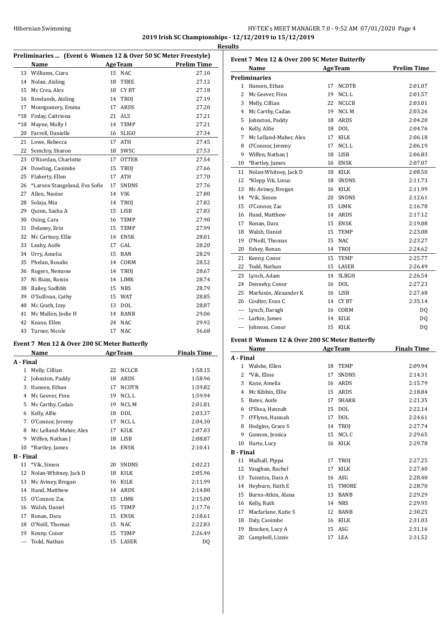# Hibernian Swimming HY-TEK's MEET MANAGER 7.0 - 9:52 AM 07/01/2020 Page 4 **2019 Irish SC Championships - 12/12/2019 to 15/12/2019**

**Results**

**Preliminaries ... (Event 6 Women 12 & Over 50 SC Meter Freestyle) Name Age Team Prelim Time** 13 Williams, Ciara 15 NAC 27.10 Nolan, Aisling 18 TERE 27.12 15 Mc Crea, Alex 18 CY BT 27.18 16 Rowlands, Aisling 14 TROJ 27.19 17 Montgomery, Emma 17 ARDS 27.20 \*18 Finlay, Caitriona 21 ALS 27.21 \*18 Mayne, Molly I 14 TEMP 27.21 Farrell, Danielle 16 SLIGO 27.34 Lowe, Rebecca 17 ATH 27.45 22 Semchiy, Sharon 18 SWSC 27.53 O'Riordan, Charlotte 17 OTTER 27.54 23 O'utiliani, Since 15 TROJ 27.66<br>24 Dowling, Caoimhe 15 TROJ 27.76 25 Flaherty, Ellen 17 ATH 27.70 \*Larsen Stangeland, Eva Sofie 17 SNDNS 27.76 Allen, Naoise 14 VIK 27.80 Solaja, Mia 14 TROJ 27.82 Quinn, Sasha A 15 LISB 27.83 Osing, Cara 16 TEMP 27.90 31 Delaney, Erin 15 TEMP 27.99 Mc Cartney, Ellie 14 ENSK 28.01 Leahy, Aoife 17 GAL 28.20 Urry, Amelia 15 BAN 28.29 Phelan, Rosalie 14 CORM 28.52 Rogers, Nemone 14 TROJ 28.67 Ni Riain, Roisin 14 LIMK 28.74 Bailey, Sadhbh 15 NRS 28.79 O'Sullivan, Cathy 15 WAT 28.85 Mc Grath, Izzy 13 DOL 28.87 41 Mc Mullen, Jodie H 14 BANB 29.06 Keane, Ellen 24 NAC 29.92 Turner, Nicole 17 NAC 36.68

# **Event 7 Men 12 & Over 200 SC Meter Butterfly**

|                  | <b>Name</b>            | <b>AgeTeam</b> |              | <b>Finals Time</b> |
|------------------|------------------------|----------------|--------------|--------------------|
| A - Final        |                        |                |              |                    |
| 1                | Melly, Cillian         | 22             | <b>NCLCB</b> | 1:58.15            |
| 2                | Johnston, Paddy        | 18             | <b>ARDS</b>  | 1:58.96            |
| 3                | Hansen, Ethan          | 17             | <b>NCDTR</b> | 1:59.82            |
| 4                | Mc Geever, Finn        | 19             | <b>NCLL</b>  | 1:59.94            |
| 5                | Mc Carthy, Cadan       | 19             | <b>NCLM</b>  | 2:01.81            |
| 6                | Kelly, Alfie           | 18             | <b>DOL</b>   | 2:03.37            |
| 7                | O'Connor, Jeremy       | 17             | NCL L        | 2:04.30            |
| 8                | Mc Lelland-Maher, Alex | 17             | <b>KILK</b>  | 2:07.03            |
| 9                | Wiffen, Nathan J       | 18             | <b>LISB</b>  | 2:08.87            |
| 10               | *Bartley, James        | 16             | <b>ENSK</b>  | 2:10.41            |
| <b>B</b> - Final |                        |                |              |                    |
| 11               | *Vik, Simen            | 20             | <b>SNDNS</b> | 2:02.21            |
| 12               | Nolan-Whitney, Jack D  | 18             | KILK         | 2:05.96            |
| 13               | Mc Aviney, Brogan      | 16             | <b>KILK</b>  | 2:11.99            |
| 14               | Hand, Matthew          | 14             | <b>ARDS</b>  | 2:14.80            |
| 15               | O'Connor, Zac          | 15             | <b>LIMK</b>  | 2:15.00            |
| 16               | Walsh, Daniel          | 15             | <b>TEMP</b>  | 2:17.76            |
| 17               | Ronan, Dara            | 15             | <b>ENSK</b>  | 2:18.61            |
| 18               | O'Neill, Thomas        | 15             | <b>NAC</b>   | 2:22.83            |
| 19               | Kenny, Conor           | 15             | <b>TEMP</b>  | 2:26.49            |
| $---$            | Todd, Nathan           | 15             | LASER        | DO                 |

| Event 7 Men 12 & Over 200 SC Meter Butterfly |                        |    |                  |                    |  |  |
|----------------------------------------------|------------------------|----|------------------|--------------------|--|--|
|                                              | Name                   |    | <b>AgeTeam</b>   | <b>Prelim Time</b> |  |  |
|                                              | <b>Preliminaries</b>   |    |                  |                    |  |  |
| 1                                            | Hansen. Ethan          | 17 | <b>NCDTR</b>     | 2:01.07            |  |  |
| $\overline{2}$                               | Mc Geever, Finn        | 19 | NCL <sub>L</sub> | 2:01.57            |  |  |
| 3                                            | Melly, Cillian         | 22 | <b>NCLCB</b>     | 2:03.01            |  |  |
| $\overline{4}$                               | Mc Carthy, Cadan       | 19 | <b>NCLM</b>      | 2:03.26            |  |  |
| 5                                            | Johnston, Paddy        | 18 | <b>ARDS</b>      | 2:04.20            |  |  |
| 6                                            | Kelly, Alfie           | 18 | <b>DOL</b>       | 2:04.76            |  |  |
| 7                                            | Mc Lelland-Maher, Alex | 17 | <b>KILK</b>      | 2:06.18            |  |  |
| 8                                            | O'Connor, Jeremy       | 17 | NCL <sub>L</sub> | 2:06.19            |  |  |
| 9                                            | Wiffen, Nathan J       | 18 | <b>LISB</b>      | 2:06.83            |  |  |
| 10                                           | *Bartley, James        | 16 | <b>ENSK</b>      | 2:07.07            |  |  |
| 11                                           | Nolan-Whitney, Jack D  | 18 | KILK             | 2:08.50            |  |  |
| 12                                           | *Klepp Vik, Linus      | 18 | <b>SNDNS</b>     | 2:11.73            |  |  |
| 13                                           | Mc Aviney, Brogan      | 16 | <b>KILK</b>      | 2:11.99            |  |  |
| 14                                           | *Vik, Simen            | 20 | <b>SNDNS</b>     | 2:12.61            |  |  |
| 15                                           | O'Connor. Zac          | 15 | <b>LIMK</b>      | 2:16.78            |  |  |
| 16                                           | Hand. Matthew          | 14 | <b>ARDS</b>      | 2:17.12            |  |  |
| 17                                           | Ronan, Dara            | 15 | <b>ENSK</b>      | 2:19.08            |  |  |
| 18                                           | Walsh, Daniel          | 15 | <b>TEMP</b>      | 2:23.08            |  |  |
| 19                                           | O'Neill, Thomas        | 15 | <b>NAC</b>       | 2:23.27            |  |  |
| 20                                           | Fahey, Ronan           | 14 | TROJ             | 2:24.62            |  |  |
| 21                                           | Kenny, Conor           | 15 | <b>TEMP</b>      | 2:25.77            |  |  |
| 22                                           | Todd, Nathan           | 15 | LASER            | 2:26.49            |  |  |
| 23                                           | Lynch, Adam            | 14 | <b>SLBGH</b>     | 2:26.54            |  |  |
| 24                                           | Dennehy, Conor         | 16 | <b>DOL</b>       | 2:27.23            |  |  |
| 25                                           | Marfunin, Alexander K  | 16 | <b>LISB</b>      | 2:27.48            |  |  |
| 26                                           | Coulter. Evan C        | 14 | <b>CYBT</b>      | 2:35.14            |  |  |
| $\overline{a}$                               | Lynch, Daragh          | 16 | CORM             | DQ                 |  |  |
| ---                                          | Larkin, James          | 14 | <b>KILK</b>      | DQ                 |  |  |
| ---                                          | Johnson, Conor         | 15 | <b>KILK</b>      | DQ                 |  |  |

#### **Event 8 Women 12 & Over 200 SC Meter Butterfly**

|           | Name                |    | <b>AgeTeam</b> | <b>Finals Time</b> |
|-----------|---------------------|----|----------------|--------------------|
| A - Final |                     |    |                |                    |
| 1         | Walshe, Ellen       | 18 | <b>TEMP</b>    | 2:09.94            |
| 2         | *Vik, Eline         | 17 | <b>SNDNS</b>   | 2:14.31            |
| 3         | Kane, Amelia        | 16 | ARDS           | 2:15.79            |
| 4         | Mc Kibbin, Ellie    | 15 | ARDS           | 2:18.84            |
| 5         | Bates, Aoife        | 17 | <b>SHARK</b>   | 2:21.35            |
| 6         | O'Shea, Hannah      | 15 | <b>DOL</b>     | 2:22.14            |
| 7         | O'Flynn, Hannah     | 17 | <b>DOL</b>     | 2:24.61            |
| 8         | Hodgins, Grace S    | 14 | <b>TROI</b>    | 2:27.74            |
| 9         | Gannon, Jessica     | 15 | NCL C          | 2:29.65            |
| 10        | Harte, Lucy         | 16 | KILK           | 2:29.78            |
| B - Final |                     |    |                |                    |
| 11        | Mulhall, Pippa      | 17 | <b>TROI</b>    | 2:27.25            |
| 12        | Vaughan, Rachel     | 17 | <b>KILK</b>    | 2:27.40            |
| 13        | Tuinstra, Dara A    | 16 | ASG            | 2:28.40            |
| 14        | Heyburn, Faith E    | 15 | <b>TMORE</b>   | 2:28.70            |
| 15        | Burns-Atkin, Alana  | 13 | <b>BANB</b>    | 2:29.29            |
| 16        | Kelly, Ruth         | 14 | <b>NRS</b>     | 2:29.95            |
| 17        | Macfarlane, Katie S | 12 | <b>BANB</b>    | 2:30.25            |
| 18        | Daly, Caoimhe       | 16 | <b>KILK</b>    | 2:31.03            |
| 19        | Bracken, Lucy A     | 15 | ASG            | 2:31.16            |
| 20        | Campbell, Lizzie    | 17 | LEA            | 2:31.52            |
|           |                     |    |                |                    |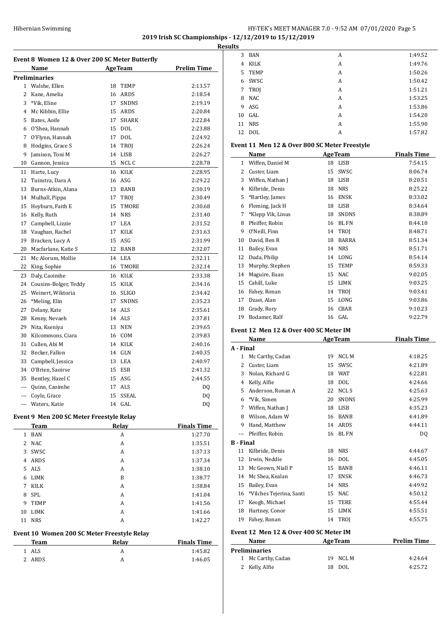## Hibernian Swimming HY-TEK's MEET MANAGER 7.0 - 9:52 AM 07/01/2020 Page 5 **2019 Irish SC Championships - 12/12/2019 to 15/12/2019 Results**

|           | Event 8 Women 12 & Over 200 SC Meter Butterfly<br>Name |    | <b>AgeTeam</b> | <b>Prelim Time</b> |
|-----------|--------------------------------------------------------|----|----------------|--------------------|
|           | Preliminaries                                          |    |                |                    |
| $1 \quad$ | Walshe, Ellen                                          | 18 | <b>TEMP</b>    | 2:13.57            |
| 2         | Kane, Amelia                                           | 16 | ARDS           | 2:18.54            |
| 3         | *Vik, Eline                                            | 17 | <b>SNDNS</b>   | 2:19.19            |
| 4         | Mc Kibbin, Ellie                                       | 15 | ARDS           | 2:20.84            |
| 5         | Bates, Aoife                                           | 17 | SHARK          | 2:22.84            |
| 6         | O'Shea, Hannah                                         | 15 | <b>DOL</b>     | 2:23.88            |
| 7         | O'Flynn, Hannah                                        | 17 | <b>DOL</b>     | 2:24.92            |
| 8         | Hodgins, Grace S                                       | 14 | TROJ           | 2:26.24            |
| 9         | Jamison, Toni M                                        | 14 | <b>LISB</b>    | 2:26.27            |
| 10        | Gannon, Jessica                                        | 15 | NCL C          | 2:28.78            |
| 11        | Harte, Lucy                                            | 16 | KILK           | 2:28.95            |
| 12        | Tuinstra, Dara A                                       |    | 16 ASG         | 2:29.22            |
| 13        | Burns-Atkin, Alana                                     | 13 | <b>BANB</b>    | 2:30.19            |
| 14        | Mulhall, Pippa                                         | 17 | <b>TROJ</b>    | 2:30.49            |
| 15        | Heyburn, Faith E                                       | 15 | <b>TMORE</b>   | 2:30.68            |
| 16        |                                                        | 14 | <b>NRS</b>     | 2:31.40            |
| 17        | Kelly, Ruth<br>Campbell, Lizzie                        | 17 | LEA            | 2:31.52            |
|           |                                                        |    |                |                    |
| 18        | Vaughan, Rachel                                        | 17 | KILK           | 2:31.63            |
| 19        | Bracken, Lucy A                                        | 15 | ASG            | 2:31.99            |
| 20        | Macfarlane, Katie S                                    | 12 | <b>BANB</b>    | 2:32.07            |
| 21        | Mc Alorum, Mollie                                      | 14 | LEA            | 2:32.11            |
| 22        | King, Sophie                                           | 16 | TMORE          | 2:32.14            |
| 23        | Daly, Caoimhe                                          | 16 | KILK           | 2:33.38            |
| 24        | Cousins-Bolger, Teddy                                  | 15 | KILK           | 2:34.16            |
| 25        | Weinert, Wiktoria                                      | 16 | <b>SLIGO</b>   | 2:34.42            |
| 26        | *Meling, Elin                                          | 17 | <b>SNDNS</b>   | 2:35.23            |
| 27        | Delany, Kate                                           | 14 | ALS            | 2:35.61            |
| 28        | Kenny, Nevaeh                                          |    | 14 ALS         | 2:37.81            |
| 29        | Nita, Kseniya                                          | 13 | <b>NEN</b>     | 2:39.65            |
| 30        | Kilcommons, Ciara                                      | 16 | COM            | 2:39.83            |
| 31        | Cullen, Abi M                                          |    | 14 KILK        | 2:40.16            |
| 32        | Becker, Fallon                                         | 14 | <b>GLN</b>     | 2:40.35            |
| 33        | Campbell, Jessica                                      | 13 | LEA            | 2:40.97            |
| 34        | O'Brien, Saoirse                                       | 15 | <b>ESB</b>     | 2:41.32            |
| 35        | Bentley, Hazel C                                       | 15 | ASG            | 2:44.55            |
|           | Quinn, Caoimhe                                         |    | 17 ALS         | DQ                 |
|           | Coyle, Grace                                           | 15 | SSEAL          | DQ                 |
|           | Waters, Katie                                          | 14 | GAL            | DQ                 |
|           | Event 9 Men 200 SC Meter Freestyle Relay               |    |                |                    |
|           | <u>Team</u>                                            |    | <b>Relay</b>   | <b>Finals Time</b> |
| 1         | BAN                                                    |    | A              | 1:27.70            |
| 2         | <b>NAC</b>                                             |    | A              | 1:35.51            |
| 3         | SWSC                                                   |    | A              | 1:37.13            |
| 4         | ARDS                                                   |    | A              | 1:37.34            |
| 5         | ALS                                                    |    | A              | 1:38.10            |
| 6         | LIMK                                                   |    | B              | 1:38.77            |
| 7         | KILK                                                   |    | A              | 1:38.84            |
| 8         | SPL                                                    |    | A              | 1:41.04            |
| 9         | <b>TEMP</b>                                            |    | A              | 1:41.56            |
| 10        | LIMK                                                   |    | A              | 1:41.66            |
| 11        | <b>NRS</b>                                             |    | A              | 1:42.27            |
|           | Event 10 Women 200 SC Meter Freestyle Relay            |    |                |                    |
|           | <b>Team</b>                                            |    | <b>Relay</b>   | <b>Finals Time</b> |
| 1         | ALS                                                    |    | A              | 1:45.82            |
| 2         | ARDS                                                   |    | A              | 1:46.05            |

| ILS |            |   |         |
|-----|------------|---|---------|
| 3   | BAN        | A | 1:49.52 |
| 4   | KILK       | A | 1:49.76 |
| 5.  | TEMP       | A | 1:50.26 |
| 6   | SWSC       | A | 1:50.42 |
| 7   | TROJ       | A | 1:51.21 |
| 8   | <b>NAC</b> | A | 1:53.25 |
| 9   | ASG        | A | 1:53.86 |
| 10  | GAL        | A | 1:54.20 |
|     | 11 NRS     | A | 1:55.90 |
| 12  | <b>DOL</b> | A | 1:57.82 |
|     |            |   |         |

### **Event 11 Men 12 & Over 800 SC Meter Freestyle**

|              | Name              |    | <b>AgeTeam</b> | <b>Finals Time</b> |
|--------------|-------------------|----|----------------|--------------------|
| $\mathbf{1}$ | Wiffen, Daniel M  | 18 | LISB           | 7:54.15            |
| 2            | Custer, Liam      | 15 | SWSC           | 8:06.74            |
| 3            | Wiffen, Nathan J  | 18 | <b>LISB</b>    | 8:20.51            |
| 4            | Kilbride, Denis   | 18 | <b>NRS</b>     | 8:25.22            |
| 5            | *Bartley, James   | 16 | <b>ENSK</b>    | 8:33.02            |
| 6            | Fleming, Jack H   | 18 | LISB           | 8:34.64            |
| 7            | *Klepp Vik, Linus | 18 | <b>SNDNS</b>   | 8:38.89            |
| 8            | Pfeiffer, Robin   | 16 | <b>BLFN</b>    | 8:44.10            |
| 9            | O'Neill, Finn     | 14 | <b>TROI</b>    | 8:48.71            |
| 10           | David, Ben R      | 18 | <b>BARRA</b>   | 8:51.34            |
| 11           | Bailey, Evan      | 14 | <b>NRS</b>     | 8:51.71            |
| 12           | Duda, Philip      | 14 | LONG           | 8:54.14            |
| 13           | Murphy, Stephen   | 15 | TEMP           | 8:59.33            |
| 14           | Maguire, Euan     | 15 | <b>NAC</b>     | 9:02.05            |
| 15           | Cahill, Luke      | 15 | <b>LIMK</b>    | 9:03.25            |
| 16           | Fahey, Ronan      | 14 | TROJ           | 9:03.41            |
| 17           | Dzaei, Alan       | 15 | LONG           | 9:03.86            |
| 18           | Grady, Rory       | 16 | <b>CBAR</b>    | 9:10.23            |
| 19           | Bodamer, Ralf     |    | 16 GAL         | 9:22.79            |

#### **Event 12 Men 12 & Over 400 SC Meter IM**

|                  | Name                                   |    | <b>AgeTeam</b> | <b>Finals Time</b> |
|------------------|----------------------------------------|----|----------------|--------------------|
| A - Final        |                                        |    |                |                    |
| 1.               | Mc Carthy, Cadan                       | 19 | NCL M          | 4:18.25            |
| 2                | Custer, Liam                           | 15 | SWSC           | 4:21.89            |
| 3                | Nolan, Richard G                       | 18 | <b>WAT</b>     | 4:22.81            |
| 4                | Kelly, Alfie                           | 18 | <b>DOL</b>     | 4:24.66            |
| 5                | Anderson, Ronan A                      | 22 | <b>NCL S</b>   | 4:25.63            |
| 6                | *Vik, Simen                            | 20 | <b>SNDNS</b>   | 4:25.99            |
| 7                | Wiffen, Nathan J                       | 18 | <b>LISB</b>    | 4:35.23            |
| 8                | Wilson, Adam W                         | 16 | <b>BANB</b>    | 4:41.89            |
| 9                | Hand, Matthew                          | 14 | <b>ARDS</b>    | 4:44.11            |
| ---              | Pfeiffer, Robin                        | 16 | <b>BLFN</b>    | DQ                 |
| <b>B</b> - Final |                                        |    |                |                    |
| 11               | Kilbride, Denis                        | 18 | <b>NRS</b>     | 4:44.67            |
| 12               | Irwin, Neddie                          | 16 | <b>DOL</b>     | 4:45.05            |
| 13               | Mc Geown, Niall P                      | 15 | <b>BANB</b>    | 4:46.11            |
| 14               | Mc Shea, Kealan                        | 17 | <b>ENSK</b>    | 4:46.73            |
| 15               | Bailey, Evan                           | 14 | <b>NRS</b>     | 4:49.92            |
| 16               | *Vilches Tejerina, Santi               | 15 | <b>NAC</b>     | 4:50.12            |
| 17               | Keogh, Michael                         | 15 | <b>TERE</b>    | 4:55.44            |
| 18               | Hartney, Conor                         | 15 | <b>LIMK</b>    | 4:55.51            |
| 19               | Fahey, Ronan                           | 14 | <b>TROI</b>    | 4:55.75            |
|                  | Event 12 Men 12 & Over 400 SC Meter IM |    |                |                    |
|                  | Name                                   |    | <b>AgeTeam</b> | <b>Prelim Time</b> |
|                  | <b>Preliminaries</b>                   |    |                |                    |
| 1                | Mc Carthy, Cadan                       | 19 | NCL M          | 4:24.64            |

Kelly, Alfie 18 DOL 4:25.72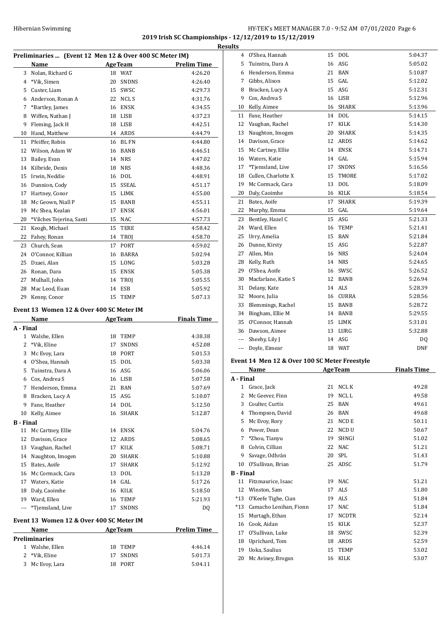# HY-TEK's MEET MANAGER 7.0 - 9:52 AM 07/01/2020 Page 6 **2019 Irish SC Championships - 12/12/2019 to 15/12/2019 Results**

|    | Preliminaries  (Event 12 Men 12 & Over 400 SC Meter IM) |    |                |                    |  |  |
|----|---------------------------------------------------------|----|----------------|--------------------|--|--|
|    | Name                                                    |    | <b>AgeTeam</b> | <b>Prelim Time</b> |  |  |
| 3  | Nolan, Richard G                                        | 18 | <b>WAT</b>     | 4:26.20            |  |  |
| 4  | *Vik, Simen                                             | 20 | <b>SNDNS</b>   | 4:26.40            |  |  |
| 5  | Custer, Liam                                            | 15 | SWSC           | 4:29.73            |  |  |
| 6  | Anderson, Ronan A                                       | 22 | NCL S          | 4:31.76            |  |  |
| 7  | *Bartley, James                                         | 16 | <b>ENSK</b>    | 4:34.55            |  |  |
| 8  | Wiffen, Nathan J                                        | 18 | <b>LISB</b>    | 4:37.23            |  |  |
| 9  | Fleming, Jack H                                         | 18 | <b>LISB</b>    | 4:42.51            |  |  |
| 10 | Hand, Matthew                                           | 14 | ARDS           | 4:44.79            |  |  |
| 11 | Pfeiffer, Robin                                         | 16 | <b>BL FN</b>   | 4:44.80            |  |  |
| 12 | Wilson, Adam W                                          | 16 | <b>BANB</b>    | 4:46.51            |  |  |
| 13 | Bailey, Evan                                            | 14 | <b>NRS</b>     | 4:47.02            |  |  |
| 14 | Kilbride, Denis                                         | 18 | <b>NRS</b>     | 4:48.36            |  |  |
| 15 | Irwin, Neddie                                           | 16 | <b>DOL</b>     | 4:48.91            |  |  |
| 16 | Dunnion, Cody                                           | 15 | <b>SSEAL</b>   | 4:51.17            |  |  |
| 17 | Hartney, Conor                                          | 15 | LIMK           | 4:55.00            |  |  |
| 18 | Mc Geown, Niall P                                       | 15 | <b>BANB</b>    | 4:55.11            |  |  |
| 19 | Mc Shea, Kealan                                         | 17 | <b>ENSK</b>    | 4:56.01            |  |  |
| 20 | *Vilches Tejerina, Santi                                | 15 | <b>NAC</b>     | 4:57.73            |  |  |
| 21 | Keogh, Michael                                          | 15 | TERE           | 4:58.42            |  |  |
| 22 | Fahey, Ronan                                            | 14 | TROJ           | 4:58.70            |  |  |
| 23 | Church, Sean                                            | 17 | PORT           | 4:59.02            |  |  |
| 24 | O'Connor, Killian                                       | 16 | <b>BARRA</b>   | 5:02.94            |  |  |
| 25 | Dzaei, Alan                                             | 15 | LONG           | 5:03.28            |  |  |
| 26 | Ronan, Dara                                             | 15 | <b>ENSK</b>    | 5:05.38            |  |  |
| 27 | Mulhall, John                                           | 14 | TROJ           | 5:05.55            |  |  |
| 28 | Mac Leod, Euan                                          | 14 | <b>ESB</b>     | 5:05.92            |  |  |
| 29 | Kenny, Conor                                            | 15 | <b>TEMP</b>    | 5:07.13            |  |  |
|    |                                                         |    |                |                    |  |  |

# **Event 13 Women 12 & Over 400 SC Meter IM**

|                  | Name                                      | <b>AgeTeam</b> |                | <b>Finals Time</b> |
|------------------|-------------------------------------------|----------------|----------------|--------------------|
| A - Final        |                                           |                |                |                    |
| $\mathbf{1}$     | Walshe, Ellen                             | 18             | <b>TEMP</b>    | 4:38.38            |
| 2                | *Vik, Eline                               | 17             | <b>SNDNS</b>   | 4:52.08            |
| 3                | Mc Evoy, Lara                             | 18             | PORT           | 5:01.53            |
| 4                | O'Shea, Hannah                            | 15             | <b>DOL</b>     | 5:03.38            |
| 5                | Tuinstra, Dara A                          | 16             | <b>ASG</b>     | 5:06.06            |
| 6                | Cox, Andrea S                             | 16             | <b>LISB</b>    | 5:07.58            |
| 7                | Henderson, Emma                           | 21             | <b>BAN</b>     | 5:07.69            |
| 8                | Bracken, Lucy A                           | 15             | ASG            | 5:10.07            |
| 9                | Fane, Heather                             | 14             | DOL            | 5:12.50            |
| 10               | Kelly, Aimee                              | 16             | <b>SHARK</b>   | 5:12.87            |
| <b>B</b> - Final |                                           |                |                |                    |
| 11               | Mc Cartney, Ellie                         | 14             | <b>ENSK</b>    | 5:04.76            |
| 12               | Davison, Grace                            | 12             | <b>ARDS</b>    | 5:08.65            |
| 13               | Vaughan, Rachel                           | 17             | <b>KILK</b>    | 5:08.71            |
| 14               | Naughton, Imogen                          | 20             | <b>SHARK</b>   | 5:10.88            |
| 15               | Bates, Aoife                              | 17             | <b>SHARK</b>   | 5:12.92            |
| 16               | Mc Cormack, Cara                          | 13             | <b>DOL</b>     | 5:13.28            |
| 17               | Waters, Katie                             | 14             | GAL.           | 5:17.26            |
| 18               | Daly, Caoimhe                             | 16             | <b>KILK</b>    | 5:18.50            |
| 19               | Ward, Ellen                               | 16             | <b>TEMP</b>    | 5:21.93            |
| ---              | *Tiemsland, Live                          | 17             | <b>SNDNS</b>   | DQ                 |
|                  | Event 13  Women 12 & Over 400 SC Meter IM |                |                |                    |
|                  | Name                                      |                | <b>AgeTeam</b> | <b>Prelim Time</b> |
|                  | <b>Preliminaries</b>                      |                |                |                    |

 Walshe, Ellen 18 TEMP 4:46.14 \*Vik, Eline 17 SNDNS 5:01.73 Mc Evoy, Lara 18 PORT 5:04.11

| 4                | O'Shea, Hannah                                | 15       | <b>DOL</b>     | 5:04.37            |
|------------------|-----------------------------------------------|----------|----------------|--------------------|
| 5                | Tuinstra, Dara A                              | 16       | ASG            | 5:05.02            |
| 6                | Henderson, Emma                               | 21       | BAN            | 5:10.87            |
| 7                | Gibbs, Alison                                 |          | 15 GAL         | 5:12.02            |
| 8                | Bracken, Lucy A                               |          | 15 ASG         | 5:12.31            |
| 9                | Cox, Andrea S                                 |          | 16 LISB        | 5:12.96            |
| 10               | Kelly, Aimee                                  |          | 16 SHARK       | 5:13.96            |
| 11               | Fane, Heather                                 |          | 14 DOL         | 5:14.15            |
| 12               | Vaughan, Rachel                               | 17       | KILK           | 5:14.30            |
| 13               | Naughton, Imogen                              |          | 20 SHARK       | 5:14.35            |
| 14               | Davison, Grace                                |          | 12 ARDS        | 5:14.62            |
| 15               | Mc Cartney, Ellie                             |          | 14 ENSK        | 5:14.71            |
| 16               | Waters, Katie                                 |          | 14 GAL         | 5:15.94            |
| 17               | *Tjemsland, Live                              | 17       | <b>SNDNS</b>   | 5:16.56            |
| 18               | Cullen, Charlotte X                           | 15       | TMORE          | 5:17.02            |
| 19               | Mc Cormack, Cara                              | 13       | DOL            | 5:18.09            |
| 20               | Daly, Caoimhe                                 | 16       | KILK           | 5:18.54            |
|                  |                                               |          |                |                    |
| 21               | Bates, Aoife                                  | 17       | SHARK          | 5:19.39            |
| 22               | Murphy, Emma                                  |          | 15 GAL         | 5:19.64            |
| 23               | Bentley, Hazel C                              |          | 15 ASG         | 5:21.33            |
| 24               | Ward, Ellen                                   | 16       | TEMP           | 5:21.41            |
| 25               | Urry, Amelia                                  | 15       | BAN            | 5:21.84            |
| 26               | Dunne, Kirsty                                 | 15       | ASG            | 5:22.87            |
| 27               | Allen, Min                                    |          | 16 NRS         | 5:24.04            |
| 28               | Kelly, Ruth                                   |          | 14 NRS         | 5:24.65            |
| 29               | O'Shea, Aoife                                 |          | 16 SWSC        | 5:26.52            |
| 30               | Macfarlane, Katie S                           |          | 12 BANB        | 5:26.94            |
| 31               | Delany, Kate                                  |          | 14 ALS         | 5:28.39            |
| 32               | Moore, Julia                                  |          | 16 CURRA       | 5:28.56            |
| 33               | Blemmings, Rachel                             |          | 15 BANB        | 5:28.72            |
| 34               | Bingham, Ellie M                              |          | 14 BANB        | 5:29.55            |
| 35               | O'Connor, Hannah                              |          | 15 LIMK        | 5:31.01            |
|                  | 36 Dawson, Aimee                              |          | 13 LURG        | 5:32.88            |
| ---              | Sheehy, Lily J                                |          | 14 ASG         | DQ                 |
| ---              | Doyle, Eimear                                 | 18       | WAT            | DNF                |
|                  |                                               |          |                |                    |
|                  | Event 14 Men 12 & Over 100 SC Meter Freestyle |          |                |                    |
|                  | Name                                          |          | <b>AgeTeam</b> | <b>Finals Time</b> |
| A - Final        |                                               |          |                |                    |
|                  | 1 Grace, Jack                                 | 21       | NCL K          | 49.28              |
| 2                | Mc Geever, Finn                               | 19       | NCL L          | 49.58              |
| 3                | Coulter, Curtis                               | 25       | BAN            | 49.61              |
| 4                | Thompson, David                               | 26       | BAN            | 49.68              |
| 5                | Mc Evoy, Rory                                 | 21       | NCD E          | 50.11              |
| 6                | Power, Dean                                   | 22       | NCD U          | 50.67              |
| 7                | *Zhou, Tianyu                                 | 19       | SHNGI          | 51.02              |
| 8                | Colvin, Cillian                               | 22       | <b>NAC</b>     | 51.21              |
| 9                | Savage, Odhrán                                | 20       | SPL            | 51.43              |
| 10               | O'Sullivan, Brian                             | 25       | ADSC           | 51.79              |
| <b>B</b> - Final |                                               |          |                |                    |
| 11               | Fitzmaurice, Isaac                            | 19       | NAC            | 51.21              |
|                  |                                               |          | ALS            | 51.80              |
| 12               |                                               |          |                |                    |
|                  | Winston, Sam                                  | 17       |                |                    |
| *13              | O'Keefe Tighe, Cian                           | 19       | ALS            | 51.84              |
| *13              | Camacho Lenihan, Fionn                        | 17       | NAC            | 51.84              |
| 15               | Murtagh, Ethan                                | 17       | NCDTR          | 52.14              |
| 16               | Cook, Aidan                                   | 15       | KILK           | 52.37              |
| 17<br>18         | O'Sullivan, Luke<br>Uprichard, Tom            | 18<br>18 | SWSC<br>ARDS   | 52.39<br>52.59     |

 Uoka, Saulius 15 TEMP 53.02 20 Mc Aviney, Brogan 16 KILK 53.07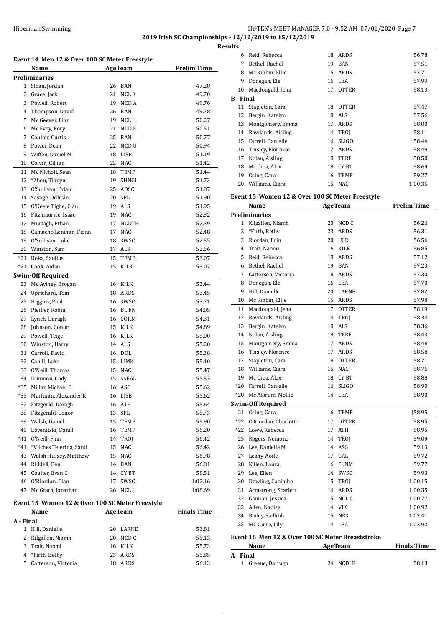#### Hibernian Swimming HY-TEK's MEET MANAGER 7.0 - 9:52 AM 07/01/2020 Page 7 **2019 Irish SC Championships - 12/12/2019 to 15/12/2019 Results**

**Event 14 Men 12 & Over 100 SC Meter Freestyle Name Age Team Prelim Time Preliminaries** 1 Sloan, Jordan 26 BAN 47.28 2 Grace, Jack 21 NCL K 49.70 3 Powell, Robert 19 NCD A 49.76 4 Thompson, David 26 BAN 49.78 5 Mc Geever, Finn 19 NCL L 50.27 6 Mc Evoy, Rory 21 NCD E 50.51 7 Coulter, Curtis 25 BAN 50.77 8 Power, Dean 22 NCD U 50.94 9 Wiffen, Daniel M 18 LISB 51.19 10 Colvin, Cillian 22 NAC 51.42 11 Mc Nicholl, Sean 18 TEMP 51.44 12 \*Zhou, Tianyu 19 SHNGI 51.73 13 O'Sullivan, Brian 25 ADSC 51.87 14 Savage, Odhrán 20 SPL 51.90 15 O'Keefe Tighe, Cian 19 ALS 51.95 16 Fitzmaurice, Isaac 19 NAC 52.32 17 Murtagh, Ethan 17 NCDTR 52.39 18 Camacho Lenihan, Fionn 17 NAC 52.48 19 O'Sullivan, Luke 18 SWSC 52.55 20 Winston, Sam 17 ALS 52.56 \*21 Uoka, Saulius 15 TEMP 53.07 \*21 Cook, Aidan 15 KILK 53.07 **Swim-Off Required** 23 Mc Aviney, Brogan 16 KILK 53.44 24 Uprichard, Tom 18 ARDS 53.45 25 Higgins, Paul 16 SWSC 53.71 26 Pfeiffer, Robin 16 BL FN 54.05 27 Lynch, Daragh 16 CORM 54.31 28 Johnson, Conor 15 KILK 54.89 29 Powell, Teige 16 KILK 55.00 30 Winston, Harry 14 ALS 55.20 31 Carroll, David 16 DOL 55.38 32 Cahill, Luke 15 LIMK 55.40 33 O'Neill, Thomas 15 NAC 55.47 34 Dunnion, Cody 15 SSEAL 55.53 \*35 Millar, Michael B 16 ASC 55.62 \*35 Marfunin, Alexander K 16 LISB 55.62 37 Fitzgerld, Daragh 16 ATH 55.64 38 Fitzgerald, Conor 13 SPL 55.73 39 Walsh, Daniel 15 TEMP 55.90 40 Lovenitski, Daniil 16 TEMP 56.20 \*41 O'Neill, Finn 14 TROJ 56.42 \*41 \*Vilches Tejerina, Santi 15 NAC 56.42 43 Walsh Hussey, Matthew 15 NAC 56.78 44 Riddell, Ben 14 BAN 56.81 45 Coulter, Evan C 14 CY BT 58.51 46 O'Riordan, Cian 17 SWSC 1:02.16 47 Mc Grath, Jonathan 26 NCL L 1:08.69

#### **Event 15 Women 12 & Over 100 SC Meter Freestyle Name Age Team Finals Time**

| маше                           | лее геаш   | гшагэ гипе |
|--------------------------------|------------|------------|
| A - Final                      |            |            |
| Hill, Danielle<br>$\mathbf{1}$ | 20 LARNE   | 53.81      |
| 2 Kilgallen, Niamh             | 20 NCD C   | 55.13      |
| 3 Trait, Naomi                 | 16 KILK    | 55.73      |
| 4 *Firth, Bethy                | 23 ARDS    | 55.85      |
| 5 Catterson, Victoria          | ARDS<br>18 | 56.13      |
|                                |            |            |

| 6                | Reid, Rebecca     | 18 | ARDS         | 56.78   |
|------------------|-------------------|----|--------------|---------|
| 7                | Bethel, Rachel    | 19 | <b>BAN</b>   | 57.51   |
| 8                | Mc Kibbin, Ellie  |    | 15 ARDS      | 57.71   |
| 9                | Donegan, Éle      | 16 | LEA          | 57.99   |
| 10               | Macdougald, Jena  | 17 | <b>OTTER</b> | 58.13   |
| <b>B</b> - Final |                   |    |              |         |
| 11               | Stapleton, Cara   | 18 | <b>OTTER</b> | 57.47   |
| 12               | Bergin, Katelyn   | 18 | ALS.         | 57.56   |
| 13               | Montgomery, Emma  | 17 | ARDS         | 58.00   |
| 14               | Rowlands, Aisling |    | 14 TROI      | 58.11   |
| 15               | Farrell, Danielle | 16 | <b>SLIGO</b> | 58.44   |
| 16               | Tinsley, Florence | 17 | ARDS         | 58.49   |
| 17               | Nolan, Aisling    | 18 | <b>TERE</b>  | 58.50   |
| 18               | Mc Crea, Alex     | 18 | CY BT        | 58.69   |
| 19               | Osing, Cara       | 16 | <b>TEMP</b>  | 59.27   |
| 20               | Williams, Ciara   | 15 | NAC          | 1:00.35 |
|                  |                   |    |              |         |

### **Event 15 Women 12 & Over 100 SC Meter Freestyle**

|                                                  | Name                     |    | <b>AgeTeam</b> | <b>Prelim Time</b> |  |
|--------------------------------------------------|--------------------------|----|----------------|--------------------|--|
|                                                  | <b>Preliminaries</b>     |    |                |                    |  |
| 1                                                | Kilgallen, Niamh         | 20 | NCD C          | 56.26              |  |
| $\overline{2}$                                   | *Firth, Bethy            | 23 | ARDS           | 56.31              |  |
| 3                                                | Riordan, Erin            | 20 | <b>UCD</b>     | 56.56              |  |
| 4                                                | Trait, Naomi             | 16 | KILK           | 56.85              |  |
| 5                                                | Reid, Rebecca            | 18 | <b>ARDS</b>    | 57.12              |  |
| 6                                                | Bethel, Rachel           | 19 | <b>BAN</b>     | 57.23              |  |
| 7                                                | Catterson, Victoria      | 18 | ARDS           | 57.30              |  |
| 8                                                | Donegan, Éle             | 16 | <b>LEA</b>     | 57.70              |  |
| 9                                                | Hill, Danielle           | 20 | LARNE          | 57.82              |  |
| 10                                               | Mc Kibbin, Ellie         | 15 | ARDS           | 57.98              |  |
| 11                                               | Macdougald, Jena         | 17 | <b>OTTER</b>   | 58.19              |  |
| 12                                               | Rowlands, Aisling        | 14 | <b>TROI</b>    | 58.34              |  |
| 13                                               | Bergin, Katelyn          | 18 | ALS            | 58.36              |  |
| 14                                               | Nolan, Aisling           | 18 | TERE           | 58.43              |  |
| 15                                               | Montgomery, Emma         | 17 | ARDS           | 58.46              |  |
| 16                                               | Tinsley, Florence        | 17 | ARDS           | 58.58              |  |
| 17                                               | Stapleton, Cara          | 18 | <b>OTTER</b>   | 58.71              |  |
| 18                                               | Williams, Ciara          | 15 | <b>NAC</b>     | 58.76              |  |
| 19                                               | Mc Crea, Alex            | 18 | CY BT          | 58.88              |  |
| $*20$                                            | Farrell, Danielle        | 16 | <b>SLIGO</b>   | 58.90              |  |
| *20                                              | Mc Alorum, Mollie        |    | 14 LEA         | 58.90              |  |
|                                                  | <b>Swim-Off Required</b> |    |                |                    |  |
| 21                                               | Osing, Cara              | 16 | <b>TEMP</b>    | J58.95             |  |
| $*22$                                            | O'Riordan, Charlotte     | 17 | <b>OTTER</b>   | 58.95              |  |
| $*22$                                            | Lowe, Rebecca            | 17 | <b>ATH</b>     | 58.95              |  |
| 25                                               | Rogers, Nemone           | 14 | TROJ           | 59.09              |  |
| 26                                               | Lee, Danielle M          | 14 | ASG            | 59.13              |  |
| 27                                               | Leahy, Aoife             | 17 | GAL            | 59.72              |  |
| 28                                               | Killen, Laura            | 16 | <b>CLNM</b>    | 59.77              |  |
| 29                                               | Lee, Ellen               | 14 | SWSC           | 59.93              |  |
| 30                                               | Dowling, Caoimhe         | 15 | TROJ           | 1:00.15            |  |
| 31                                               | Armstrong, Scarlett      |    | 16 ARDS        | 1:00.35            |  |
| 32                                               | Gannon, Jessica          | 15 | NCL C          | 1:00.77            |  |
| 33                                               | Allen, Naoise            |    | 14 VIK         | 1:00.92            |  |
| 34                                               | Bailey, Sadhbh           | 15 | <b>NRS</b>     | 1:02.41            |  |
| 35                                               | MC Guire, Lily           | 14 | LEA            | 1:02.92            |  |
| Event 16 Men 12 & Over 100 SC Meter Breaststroke |                          |    |                |                    |  |

| Name              | <b>AgeTeam</b> | <b>Finals Time</b> |
|-------------------|----------------|--------------------|
| A - Final         |                |                    |
| 1 Greene, Darragh | 24 NCDLF       | 58.13              |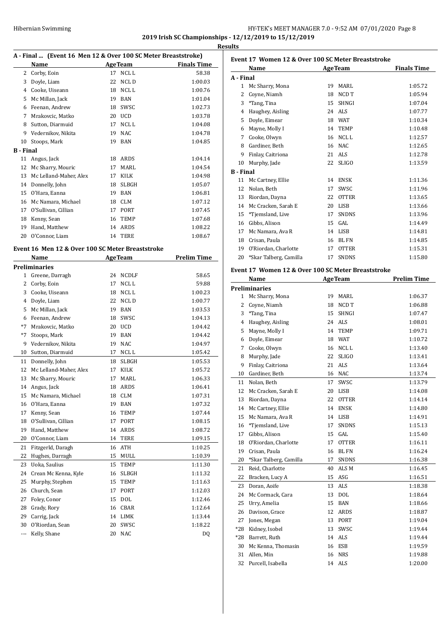# HY-TEK's MEET MANAGER 7.0 - 9:52 AM 07/01/2020 Page 8 **2019 Irish SC Championships - 12/12/2019 to 15/12/2019**

**Results**

|           | A - Final  (Event 16 Men 12 & Over 100 SC Meter Breaststroke)<br>Name |    |                      |                                                          |
|-----------|-----------------------------------------------------------------------|----|----------------------|----------------------------------------------------------|
|           |                                                                       |    |                      | <b>Example 2018</b> Age Team <b>Property</b> Finals Time |
| 2         | Corby, Eoin                                                           |    | 17 NCLL              | 58.38                                                    |
| 3         | Doyle, Liam                                                           | 22 | NCL D                | 1:00.03                                                  |
|           | 4 Cooke, Uiseann                                                      | 18 | NCL L                | 1:00.76                                                  |
| 5         | Mc Millan, Jack                                                       | 19 | BAN                  | 1:01.04                                                  |
| 6         | Feenan, Andrew                                                        | 18 | SWSC                 | 1:02.73                                                  |
| 7         | Mrakovcic, Matko                                                      | 20 | UCD                  | 1:03.78                                                  |
| 8         | Sutton, Diarmuid                                                      | 17 | NCL L                | 1:04.08                                                  |
| 9         | Vedernikov, Nikita                                                    | 19 | NAC                  | 1:04.78                                                  |
| 10        | Stoops, Mark                                                          | 19 | BAN                  | 1:04.85                                                  |
| B - Final |                                                                       |    |                      |                                                          |
| 11        | Angus, Jack                                                           | 18 | ARDS                 | 1:04.14                                                  |
| 12        | Mc Sharry, Mouric                                                     | 17 | MARL                 | 1:04.54                                                  |
| 13        | Mc Lelland-Maher, Alex                                                | 17 | KILK                 | 1:04.98                                                  |
| 14        | Donnelly, John                                                        | 18 | SLBGH                | 1:05.07                                                  |
| 15        | O'Hara, Eanna                                                         |    | 19 BAN               | 1:06.81                                                  |
| 16        | Mc Namara, Michael                                                    | 18 | CLM                  | 1:07.12                                                  |
| 17        | O'Sullivan, Cillian                                                   | 17 | PORT                 | 1:07.45                                                  |
| 18        | Kenny, Sean                                                           | 16 | TEMP                 | 1:07.68                                                  |
| 19        | Hand, Matthew                                                         | 14 | ARDS                 | 1:08.22                                                  |
| 20        | O'Connor, Liam                                                        | 14 | <b>TERE</b>          | 1:08.67                                                  |
|           |                                                                       |    |                      |                                                          |
|           | Event 16 Men 12 & Over 100 SC Meter Breaststroke                      |    |                      |                                                          |
|           | <b>Name</b>                                                           |    | <b>AgeTeam</b>       | <b>Prelim Time</b>                                       |
|           | Preliminaries                                                         |    |                      |                                                          |
| 1         | Greene, Darragh                                                       | 24 | NCDLF                | 58.65                                                    |
| 2         | Corby, Eoin                                                           | 17 | NCL L                | 59.88                                                    |
| 3         | Cooke, Uiseann                                                        | 18 | NCL L                | 1:00.23                                                  |
| 4         | Doyle, Liam                                                           | 22 | NCL D                | 1:00.77                                                  |
| 5         | Mc Millan, Jack                                                       |    | 19 BAN               | 1:03.53                                                  |
| 6         | Feenan, Andrew                                                        | 18 | SWSC                 | 1:04.13                                                  |
| $*7$      |                                                                       | 20 | <b>UCD</b>           |                                                          |
| $*7$      | Mrakovcic, Matko                                                      |    |                      | 1:04.42                                                  |
|           | Stoops, Mark                                                          | 19 | BAN                  | 1:04.42                                                  |
| 9         | Vedernikov, Nikita                                                    | 19 | <b>NAC</b>           | 1:04.97                                                  |
| 10        | Sutton, Diarmuid                                                      | 17 | NCL L                | 1:05.42                                                  |
| 11        | Donnelly, John                                                        | 18 | SLBGH                | 1:05.53                                                  |
| 12        | Mc Lelland-Maher, Alex                                                | 17 | KILK                 | 1:05.72                                                  |
| 13        | Mc Sharry, Mouric                                                     | 17 | MARL                 | 1:06.33                                                  |
| 14        | Angus, Jack                                                           | 18 | ARDS                 | 1:06.41                                                  |
| 15        | Mc Namara, Michael                                                    | 18 | CLM                  | 1:07.31                                                  |
| 16        | O'Hara, Eanna                                                         | 19 | BAN                  | 1:07.32                                                  |
| 17        | Kenny, Sean                                                           | 16 | TEMP                 | 1:07.44                                                  |
| 18        | O'Sullivan, Cillian                                                   | 17 | PORT                 | 1:08.15                                                  |
| 19        | Hand, Matthew                                                         | 14 | ARDS                 | 1:08.72                                                  |
| 20        | O'Connor, Liam                                                        | 14 | TERE                 | 1:09.15                                                  |
| 21        | Fitzgerld, Daragh                                                     | 16 | $\operatorname{ATH}$ | 1:10.25                                                  |
| 22        | Hughes, Darragh                                                       | 15 | MULL                 | 1:10.39                                                  |
| 23        | Uoka, Saulius                                                         | 15 | TEMP                 | 1:11.30                                                  |
| 24        | Crean Mc Kenna, Kyle                                                  | 16 | SLBGH                | 1:11.32                                                  |
| 25        | Murphy, Stephen                                                       | 15 | TEMP                 | 1:11.63                                                  |
|           |                                                                       | 17 |                      |                                                          |
| 26        | Church, Sean                                                          |    | PORT                 | 1:12.03                                                  |
| 27        | Foley, Conor                                                          | 15 | DOL                  | 1:12.46                                                  |
| 28        | Grady, Rory                                                           | 16 | CBAR                 | 1:12.64                                                  |
| 29        | Carrig, Jack                                                          | 14 | LIMK                 | 1:13.44                                                  |
| 30        | O'Riordan, Sean                                                       | 20 | SWSC                 | 1:18.22                                                  |
| ---       | Kelly, Shane                                                          | 20 | NAC                  | DQ                                                       |

| Event 17 Women 12 & Over 100 SC Meter Breaststroke |    |              |                    |  |  |
|----------------------------------------------------|----|--------------|--------------------|--|--|
| Name                                               |    |              | <b>Finals Time</b> |  |  |
| A - Final                                          |    |              |                    |  |  |
| Mc Sharry, Mona                                    | 19 | MARI.        | 1:05.72            |  |  |
| Coyne, Niamh                                       | 18 | NCD T        | 1:05.94            |  |  |
| *Tang, Tina                                        | 15 | <b>SHNGI</b> | 1:07.04            |  |  |
| Haughey, Aisling                                   | 24 | ALS          | 1:07.77            |  |  |
| Doyle, Eimear                                      | 18 | <b>WAT</b>   | 1:10.34            |  |  |
| Mayne, Molly I                                     | 14 | <b>TEMP</b>  | 1:10.48            |  |  |
| Cooke, Olwyn                                       | 16 | NCL L        | 1:12.57            |  |  |
| Gardiner, Beth                                     | 16 | NAC.         | 1:12.65            |  |  |
| Finlay, Caitriona                                  | 21 | ALS.         | 1:12.78            |  |  |
| Murphy, Jade                                       | 22 | <b>SLIGO</b> | 1:13.59            |  |  |
| <b>B</b> - Final                                   |    |              |                    |  |  |
| Mc Cartney, Ellie                                  | 14 | <b>ENSK</b>  | 1:11.36            |  |  |
| Nolan, Beth                                        | 17 | SWSC         | 1:11.96            |  |  |
| Riordan, Dayna                                     | 22 | <b>OTTER</b> | 1:13.65            |  |  |
| Mc Cracken, Sarah E                                | 20 | LISB         | 1:13.66            |  |  |
| *Tjemsland, Live                                   | 17 | <b>SNDNS</b> | 1:13.96            |  |  |
| Gibbs, Alison                                      | 15 | GAL          | 1:14.49            |  |  |
| Mc Namara, Ava R                                   | 14 | <b>LISB</b>  | 1:14.81            |  |  |
| Crisan, Paula                                      | 16 | <b>BLFN</b>  | 1:14.85            |  |  |
| O'Riordan, Charlotte                               | 17 | <b>OTTER</b> | 1:15.31            |  |  |
| *Skar Talberg, Camilla                             | 17 | <b>SNDNS</b> | 1:15.80            |  |  |
|                                                    |    |              | <b>AgeTeam</b>     |  |  |

## **Event 17 Women 12 & Over 100 SC Meter Breaststroke**

|       | Name                   |    | <b>AgeTeam</b>   | <b>Prelim Time</b> |
|-------|------------------------|----|------------------|--------------------|
|       | <b>Preliminaries</b>   |    |                  |                    |
|       | 1 Mc Sharry, Mona      | 19 | <b>MARL</b>      | 1:06.37            |
| 2     | Coyne, Niamh           | 18 | NCD T            | 1:06.88            |
| 3     | *Tang, Tina            | 15 | <b>SHNGI</b>     | 1:07.47            |
| 4     | Haughey, Aisling       | 24 | <b>ALS</b>       | 1:08.01            |
| 5     | Mayne, Molly I         | 14 | <b>TEMP</b>      | 1:09.71            |
| 6     | Doyle, Eimear          | 18 | <b>WAT</b>       | 1:10.72            |
| 7     | Cooke, Olwyn           | 16 | NCL <sub>L</sub> | 1:13.40            |
| 8     | Murphy, Jade           | 22 | <b>SLIGO</b>     | 1:13.41            |
| 9     | Finlay, Caitriona      | 21 | <b>ALS</b>       | 1:13.64            |
| 10    | Gardiner, Beth         | 16 | <b>NAC</b>       | 1:13.74            |
|       | 11 Nolan, Beth         | 17 | SWSC             | 1:13.79            |
| 12    | Mc Cracken, Sarah E    | 20 | <b>LISB</b>      | 1:14.08            |
| 13    | Riordan, Dayna         | 22 | <b>OTTER</b>     | 1:14.14            |
| 14    | Mc Cartney, Ellie      | 14 | <b>ENSK</b>      | 1:14.80            |
| 15    | Mc Namara, Ava R       | 14 | <b>LISB</b>      | 1:14.91            |
| 16    | *Tjemsland, Live       | 17 | <b>SNDNS</b>     | 1:15.13            |
| 17    | Gibbs, Alison          | 15 | GAL              | 1:15.40            |
| 18    | O'Riordan, Charlotte   | 17 | <b>OTTER</b>     | 1:16.11            |
| 19    | Crisan, Paula          | 16 | <b>BLFN</b>      | 1:16.24            |
| 20    | *Skar Talberg, Camilla | 17 | <b>SNDNS</b>     | 1:16.38            |
| 21    | Reid, Charlotte        | 40 | ALS <sub>M</sub> | 1:16.45            |
| 22    | Bracken, Lucy A        | 15 | ASG              | 1:16.51            |
| 23    | Doran, Aoife           | 13 | <b>ALS</b>       | 1:18.38            |
| 24    | Mc Cormack, Cara       | 13 | <b>DOL</b>       | 1:18.64            |
| 25    | Urry, Amelia           | 15 | <b>BAN</b>       | 1:18.66            |
| 26    | Davison, Grace         | 12 | ARDS             | 1:18.87            |
| 27    | Jones, Megan           | 13 | <b>PORT</b>      | 1:19.04            |
| $*28$ | Kidney, Isobel         | 13 | SWSC             | 1:19.44            |
|       | *28 Barrett, Ruth      | 14 | <b>ALS</b>       | 1:19.44            |
| 30    | Mc Kenna, Thomasin     | 16 | <b>ESB</b>       | 1:19.59            |
| 31    | Allen, Min             | 16 | <b>NRS</b>       | 1:19.88            |
| 32    | Purcell, Isabella      | 14 | ALS              | 1:20.00            |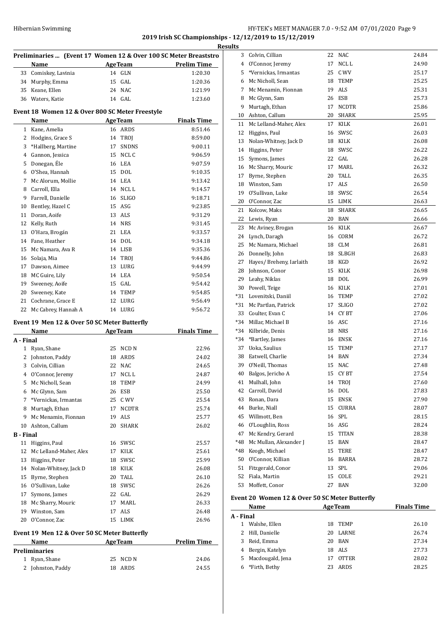# Hibernian Swimming HY-TEK's MEET MANAGER 7.0 - 9:52 AM 07/01/2020 Page 9 **2019 Irish SC Championships - 12/12/2019 to 15/12/2019**

|                  | Preliminaries  (Event 17 Women 12 & Over 100 SC Meter Breaststro) |    |                  |                    |
|------------------|-------------------------------------------------------------------|----|------------------|--------------------|
|                  | Name                                                              |    | AgeTeam          | <b>Prelim Time</b> |
| 33               | Comiskey, Lavinia                                                 |    | 14 GLN           | 1:20.30            |
|                  | 34 Murphy, Emma                                                   |    | 15 GAL           | 1:20.36            |
|                  | 35 Keane, Ellen                                                   |    | 24 NAC           | 1:21.99            |
|                  | 36 Waters, Katie                                                  |    | 14 GAL           | 1:23.60            |
|                  | Event 18 Women 12 & Over 800 SC Meter Freestyle                   |    |                  |                    |
|                  | Name                                                              |    | <b>AgeTeam</b>   | <b>Finals Time</b> |
|                  | 1 Kane, Amelia                                                    |    | 16 ARDS          | 8:51.46            |
| 2                | Hodgins, Grace S                                                  |    | 14 TROI          | 8:59.00            |
| 3                | *Hallberg, Martine                                                |    | 17 SNDNS         | 9:00.11            |
|                  | 4 Gannon, Jessica                                                 |    | 15 NCL C         | 9:06.59            |
| 5                | Donegan, Éle                                                      |    | 16 LEA           | 9:07.59            |
|                  | 6 O'Shea, Hannah                                                  |    | 15 DOL           | 9:10.35            |
| 7                | Mc Alorum, Mollie                                                 |    | 14 LEA           | 9:13.42            |
| 8                | Carroll, Ella                                                     |    | 14 NCL L         | 9:14.57            |
|                  | 9 Farrell, Danielle                                               |    | 16 SLIGO         | 9:18.71            |
|                  | 10 Bentley, Hazel C                                               |    | 15 ASG           | 9:23.85            |
| 11               | Doran, Aoife                                                      |    | 13 ALS           | 9:31.29            |
| 12               | Kelly, Ruth                                                       |    | 14 NRS           | 9:31.45            |
| 13               | O'Hara, Brogán                                                    |    | 21 LEA           | 9:33.57            |
|                  | 14 Fane, Heather                                                  |    | 14 DOL           | 9:34.18            |
|                  | 15 Mc Namara, Ava R                                               |    | 14 LISB          | 9:35.36            |
|                  | 16 Solaja, Mia                                                    |    | 14 TROJ          | 9:44.86            |
| 17               | Dawson, Aimee                                                     |    | 13 LURG          | 9:44.99            |
| 18               | MC Guire, Lily                                                    |    | 14 LEA           | 9:50.54            |
| 19               | Sweeney, Aoife                                                    |    | 15 GAL           | 9:54.42            |
| 20               | Sweeney, Kate                                                     |    | 14 TEMP          | 9:54.85            |
|                  | 21 Cochrane, Grace E                                              |    | 12 LURG          | 9:56.49            |
|                  | 22 Mc Cabrey, Hannah A                                            |    | 14 LURG          | 9:56.72            |
|                  |                                                                   |    |                  |                    |
|                  | Event 19 Men 12 & Over 50 SC Meter Butterfly                      |    |                  |                    |
|                  | Name                                                              |    | <b>AgeTeam</b>   | <b>Finals Time</b> |
| A - Final        | 1 Ryan, Shane                                                     | 25 | NCD <sub>N</sub> | 22.96              |
| 2                |                                                                   |    | 18 ARDS          |                    |
|                  | Johnston, Paddy<br>Colvin, Cillian                                |    | 22 NAC           | 24.02              |
| 3                |                                                                   |    |                  | 24.65              |
|                  | 4 O'Connor, Jeremy                                                | 17 | NCL L            | 24.87              |
| 5.               | Mc Nicholl, Sean                                                  | 18 | TEMP             | 24.99              |
| 6                | Mc Glynn, Sam                                                     | 26 | ESB              | 25.50              |
| 7                | *Vernickas, Irmantas                                              |    | 25 C WV          | 25.54              |
| 8                | Murtagh, Ethan                                                    | 17 | NCDTR            | 25.74              |
| 9                | Mc Menamin, Fionnan                                               |    | 19 ALS           | 25.77              |
| 10               | Ashton, Callum                                                    | 20 | SHARK            | 26.02              |
| <b>B</b> - Final |                                                                   |    |                  |                    |
| 11               | Higgins, Paul                                                     | 16 | SWSC             | 25.57              |
| 12               | Mc Lelland-Maher, Alex                                            |    | 17 KILK          | 25.61              |
| 13               | Higgins, Peter                                                    |    | 18 SWSC          | 25.99              |
|                  | 14 Nolan-Whitney, Jack D                                          |    | 18 KILK          | 26.08              |
| 15               | Byrne, Stephen                                                    |    | 20 TALL          | 26.10              |
|                  | 16 O'Sullivan, Luke                                               |    | 18 SWSC          | 26.26              |
| 17               | Symons, James                                                     |    | 22 GAL           | 26.29              |
| 18               | Mc Sharry, Mouric                                                 |    | 17 MARL          | 26.33              |
|                  | 19 Winston, Sam                                                   |    | 17 ALS           | 26.48              |
|                  | 20 O'Connor, Zac                                                  | 15 | LIMK             | 26.96              |
|                  | Event 19 Men 12 & Over 50 SC Meter Butterfly                      |    |                  |                    |
|                  | Name                                                              |    | <b>AgeTeam</b>   | <b>Prelim Time</b> |
|                  | <b>Preliminaries</b>                                              |    |                  |                    |
|                  | 1 Ryan, Shane                                                     | 25 | NCD N            | 24.06              |
| 2                | Johnston, Paddy                                                   | 18 | ARDS             | 24.55              |
|                  |                                                                   |    |                  |                    |

| ults      |                                                |          |                      |                |  |  |  |  |  |
|-----------|------------------------------------------------|----------|----------------------|----------------|--|--|--|--|--|
|           | 3 Colvin, Cillian                              | 22       | <b>NAC</b>           | 24.84          |  |  |  |  |  |
| 4         | O'Connor, Jeremy                               | 17       | NCL L                | 24.90          |  |  |  |  |  |
| 5         | *Vernickas, Irmantas                           | 25       | C WV                 | 25.17          |  |  |  |  |  |
| 6         | Mc Nicholl, Sean                               | 18       | <b>TEMP</b>          | 25.25          |  |  |  |  |  |
| 7         | Mc Menamin, Fionnan                            | 19       | ALS                  | 25.31          |  |  |  |  |  |
| 8         | Mc Glynn, Sam                                  | 26       | ESB                  | 25.73          |  |  |  |  |  |
| 9         | Murtagh, Ethan                                 | 17       | <b>NCDTR</b>         | 25.86          |  |  |  |  |  |
| 10        | Ashton, Callum                                 | 20       | SHARK                | 25.95          |  |  |  |  |  |
| 11        | Mc Lelland-Maher, Alex                         | 17       | KILK                 | 26.01          |  |  |  |  |  |
| 12        | Higgins, Paul                                  | 16       | SWSC                 | 26.03          |  |  |  |  |  |
| 13        | Nolan-Whitney, Jack D                          |          | 18 KILK              | 26.08          |  |  |  |  |  |
| 14        | Higgins, Peter                                 | 18       | SWSC                 | 26.22          |  |  |  |  |  |
| 15        | Symons, James                                  |          | 22 GAL               | 26.28          |  |  |  |  |  |
| 16        | Mc Sharry, Mouric                              | 17       | MARL                 | 26.32          |  |  |  |  |  |
| 17        | Byrne, Stephen                                 | 20       | TALL                 | 26.35          |  |  |  |  |  |
| 18        | Winston, Sam                                   | 17       | <b>ALS</b>           | 26.50          |  |  |  |  |  |
| 19        | O'Sullivan, Luke                               | 18       | SWSC                 | 26.54          |  |  |  |  |  |
|           | 20 O'Connor, Zac                               |          | 15 LIMK              | 26.63          |  |  |  |  |  |
| 21        | Kolcow, Maks                                   | 18       | <b>SHARK</b>         | 26.65          |  |  |  |  |  |
| 22        | Lewis, Ryan                                    |          | 20 BAN               | 26.66          |  |  |  |  |  |
| 23        | Mc Aviney, Brogan                              |          | 16 KILK              | 26.67          |  |  |  |  |  |
| 24        | Lynch, Daragh                                  |          | 16 CORM              | 26.72          |  |  |  |  |  |
| 25        | Mc Namara, Michael                             |          | 18 CLM               | 26.81          |  |  |  |  |  |
| 26        | Donnelly, John                                 |          | 18 SLBGH             | 26.83          |  |  |  |  |  |
| 27        | Hayes/ Breheny, Iarlaith                       |          | 18 KGD               | 26.92          |  |  |  |  |  |
| 28        | Johnson, Conor                                 | 15       | KILK                 | 26.98          |  |  |  |  |  |
| 29        | Leahy, Niklas                                  | 18       | DOL                  | 26.99          |  |  |  |  |  |
| 30        | Powell, Teige                                  | 16       | KILK                 | 27.01          |  |  |  |  |  |
| *31       | Lovenitski, Daniil                             | 16       | TEMP                 | 27.02          |  |  |  |  |  |
| *31       | Mc Partlan, Patrick                            | 17       | <b>SLIGO</b>         | 27.02          |  |  |  |  |  |
| 33        | Coulter, Evan C                                |          | 14 CYBT              | 27.06          |  |  |  |  |  |
| *34       | Millar, Michael B                              |          | 16 ASC               | 27.16          |  |  |  |  |  |
| $*34$     | Kilbride, Denis                                | 18       | NRS                  | 27.16          |  |  |  |  |  |
| $*34$     | *Bartley, James                                |          | 16 ENSK              | 27.16          |  |  |  |  |  |
| 37        | Uoka, Saulius                                  |          | 15 TEMP              | 27.17          |  |  |  |  |  |
| 38        | Eatwell, Charlie                               |          | 14 BAN               | 27.34          |  |  |  |  |  |
| 39        | O'Neill, Thomas                                | 15       | NAC                  | 27.48          |  |  |  |  |  |
| 40        | Balgos, Jericho A                              | 15       | <b>CYBT</b>          | 27.54          |  |  |  |  |  |
| 41        | Mulhall, John                                  | 14       | TROJ<br>DOL          | 27.60          |  |  |  |  |  |
| 42        | Carroll, David                                 | 16       |                      | 27.83<br>27.90 |  |  |  |  |  |
| 43        | Ronan, Dara<br>44 Burke, Niall                 | 15<br>15 | ENSK<br><b>CURRA</b> | 28.07          |  |  |  |  |  |
|           | 45 Willmott, Ben                               |          | 16 SPL               | 28.15          |  |  |  |  |  |
|           | 46 O'Loughlin, Ross                            |          | 16 ASG               | 28.24          |  |  |  |  |  |
| 47        | Mc Kendry, Gerard                              |          | 15 TITAN             | 28.38          |  |  |  |  |  |
| *48       | Mc Mullan, Alexander J                         |          | 15 BAN               | 28.47          |  |  |  |  |  |
| *48       | Keogh, Michael                                 |          | 15 TERE              | 28.47          |  |  |  |  |  |
|           | 50 O'Connor, Killian                           |          | 16 BARRA             | 28.72          |  |  |  |  |  |
| 51        | Fitzgerald, Conor                              |          | 13 SPL               | 29.06          |  |  |  |  |  |
| 52        | Fiala, Martin                                  |          | 15 COLE              | 29.21          |  |  |  |  |  |
| 53        | Moffett, Conor                                 | 27       | BAN                  | 32.00          |  |  |  |  |  |
|           |                                                |          |                      |                |  |  |  |  |  |
|           | Event 20 Women 12 & Over 50 SC Meter Butterfly |          |                      |                |  |  |  |  |  |
|           | <b>Finals Time</b><br>Name<br><b>AgeTeam</b>   |          |                      |                |  |  |  |  |  |
| A - Final |                                                |          |                      |                |  |  |  |  |  |
| 1         | Walshe, Ellen                                  | 18       | TEMP                 | 26.10          |  |  |  |  |  |
| 2         | Hill, Danielle                                 | 20       | LARNE                | 26.74          |  |  |  |  |  |
| 3         | Reid, Emma                                     | 20       | <b>BAN</b>           | 27.34          |  |  |  |  |  |
|           | 4 Bergin, Katelyn                              |          | 18 ALS               | 27.73          |  |  |  |  |  |

 Macdougald, Jena 17 OTTER 28.02 \*Firth, Bethy 23 ARDS 28.25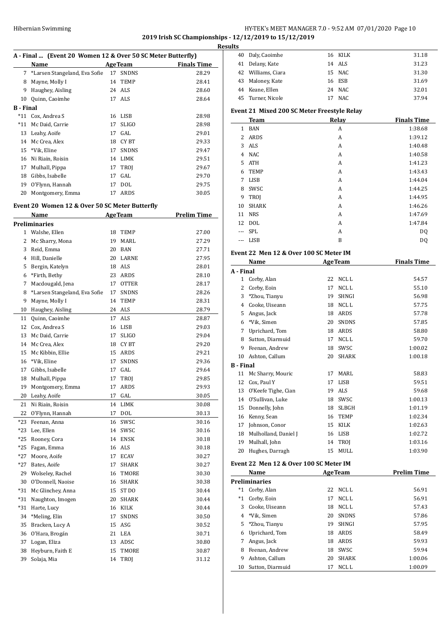# HY-TEK's MEET MANAGER 7.0 - 9:52 AM 07/01/2020 Page 10 **2019 Irish SC Championships - 12/12/2019 to 15/12/2019**

| A - Final  (Event 20 Women 12 & Over 50 SC Meter Butterfly) |                                                |    |                |                    |
|-------------------------------------------------------------|------------------------------------------------|----|----------------|--------------------|
|                                                             | Name                                           |    | <b>AgeTeam</b> | <b>Finals Time</b> |
| 7                                                           | *Larsen Stangeland, Eva Sofie                  | 17 | <b>SNDNS</b>   | 28.29              |
| 8                                                           | Mayne, Molly I                                 | 14 | TEMP           | 28.41              |
| 9                                                           | Haughey, Aisling                               | 24 | <b>ALS</b>     | 28.60              |
| 10                                                          | Quinn, Caoimhe                                 | 17 | ALS            | 28.64              |
| B - Final                                                   |                                                |    |                |                    |
| $*11$                                                       | Cox, Andrea S                                  | 16 | LISB           | 28.98              |
| *11                                                         | Mc Daid, Carrie                                | 17 | <b>SLIGO</b>   | 28.98              |
| 13                                                          | Leahy, Aoife                                   | 17 | GAL            | 29.01              |
| 14                                                          | Mc Crea, Alex                                  |    | 18 CYBT        | 29.33              |
| 15                                                          | *Vik, Eline                                    | 17 | <b>SNDNS</b>   | 29.47              |
| 16                                                          | Ni Riain, Roisin                               | 14 | LIMK           | 29.51              |
| 17                                                          | Mulhall, Pippa                                 | 17 | TROJ           | 29.67              |
| 18                                                          | Gibbs, Isabelle                                | 17 | GAL            | 29.70              |
| 19                                                          | O'Flynn, Hannah                                | 17 | <b>DOL</b>     | 29.75              |
| 20                                                          | Montgomery, Emma                               | 17 | ARDS           | 30.05              |
|                                                             | Event 20 Women 12 & Over 50 SC Meter Butterfly |    |                |                    |
|                                                             | Name                                           |    | <b>AgeTeam</b> | <b>Prelim Time</b> |
|                                                             | Preliminaries                                  |    |                |                    |
| 1                                                           | Walshe, Ellen                                  | 18 | TEMP           | 27.00              |
| 2                                                           | Mc Sharry, Mona                                | 19 | MARL           | 27.29              |
| 3                                                           | Reid, Emma                                     |    | 20 BAN         | 27.71              |
| 4                                                           | Hill, Danielle                                 |    | 20 LARNE       | 27.95              |
| 5                                                           | Bergin, Katelyn                                |    | 18 ALS         | 28.01              |
| 6                                                           | *Firth, Bethy                                  |    | 23 ARDS        | 28.10              |
| 7                                                           | Macdougald, Jena                               | 17 | <b>OTTER</b>   | 28.17              |
| 8                                                           | *Larsen Stangeland, Eva Sofie                  | 17 | <b>SNDNS</b>   | 28.26              |
| 9                                                           | Mayne, Molly I                                 | 14 | <b>TEMP</b>    | 28.31              |
| 10                                                          | Haughey, Aisling                               | 24 | ALS            | 28.79              |
| 11                                                          | Quinn, Caoimhe                                 | 17 | ALS            | 28.87              |
| 12                                                          | Cox, Andrea S                                  | 16 | LISB           | 29.03              |
| 13                                                          | Mc Daid, Carrie                                | 17 | <b>SLIGO</b>   | 29.04              |
| 14                                                          | Mc Crea, Alex                                  | 18 | CY BT          | 29.20              |
| 15                                                          | Mc Kibbin, Ellie                               |    | 15 ARDS        | 29.21              |
| 16                                                          | *Vik, Eline                                    | 17 | SNDNS          | 29.36              |
| 17                                                          | Gibbs, Isabelle                                | 17 | GAL            | 29.64              |
| 18                                                          | Mulhall, Pippa                                 | 17 | TROJ           | 29.85              |
| 19                                                          | Montgomery, Emma                               | 17 | ARDS           | 29.93              |
| 20                                                          | Leahy, Aoife                                   | 17 | GAL            | 30.05              |
| 21                                                          | Ni Riain, Roisin                               | 14 | LIMK           | 30.08              |
| 22                                                          | O'Flynn, Hannah                                | 17 | DOL            | 30.13              |
| *23                                                         | Feenan, Anna                                   | 16 | SWSC           | 30.16              |
| *23                                                         | Lee, Ellen                                     | 14 | SWSC           | 30.16              |
| $*25$                                                       | Rooney, Cora                                   | 14 | <b>ENSK</b>    | 30.18              |
| *25                                                         | Fagan, Emma                                    | 16 | ALS            | 30.18              |
| $*27$                                                       | Moore, Aoife                                   | 17 | <b>ECAV</b>    | 30.27              |
| $*27$                                                       | Bates, Aoife                                   | 17 | SHARK          | 30.27              |
| 29                                                          | Wolseley, Rachel                               | 16 | TMORE          | 30.30              |
| 30                                                          | O'Donnell, Naoise                              | 16 | SHARK          | 30.38              |
| *31                                                         | Mc Glinchey, Anna                              | 15 | ST DO          | 30.44              |
| *31                                                         | Naughton, Imogen                               | 20 | SHARK          | 30.44              |
| *31                                                         | Harte, Lucy                                    | 16 | KILK           | 30.44              |
| 34                                                          | *Meling, Elin                                  | 17 | <b>SNDNS</b>   | 30.50              |
| 35                                                          | Bracken, Lucy A                                | 15 | ASG            | 30.52              |
| 36                                                          | O'Hara, Brogán                                 | 21 | LEA            | 30.71              |
| 37                                                          | Logan, Eliza                                   | 13 | ADSC           | 30.80              |
| 38                                                          | Heyburn, Faith E                               | 15 | TMORE          | 30.87              |
| 39                                                          | Solaja, Mia                                    | 14 | TROJ           | 31.12              |

| <b>Results</b> |                    |    |         |       |
|----------------|--------------------|----|---------|-------|
|                | 40 Daly, Caoimhe   |    | 16 KILK | 31.18 |
| 41             | Delany, Kate       |    | 14 ALS  | 31.23 |
|                | 42 Williams, Ciara |    | 15 NAC  | 31.30 |
|                | 43 Maloney, Kate   |    | 16 ESB  | 31.69 |
|                | 44 Keane, Ellen    |    | 24 NAC  | 32.01 |
|                | 45 Turner, Nicole  | 17 | NAC     | 37.94 |
|                |                    |    |         |       |

### **Event 21 Mixed 200 SC Meter Freestyle Relay**

|       | <b>Team</b>  | Relay | <b>Finals Time</b> |
|-------|--------------|-------|--------------------|
| 1     | <b>BAN</b>   | A     | 1:38.68            |
| 2     | ARDS         | Α     | 1:39.12            |
| 3     | <b>ALS</b>   | A     | 1:40.48            |
| 4     | <b>NAC</b>   | A     | 1:40.58            |
| 5     | <b>ATH</b>   | A     | 1:41.23            |
| 6     | <b>TEMP</b>  | A     | 1:43.43            |
| 7     | LISB         | Α     | 1:44.04            |
| 8     | SWSC         | A     | 1:44.25            |
| 9     | <b>TROI</b>  | Α     | 1:44.95            |
| 10    | <b>SHARK</b> | A     | 1:46.26            |
| 11    | <b>NRS</b>   | A     | 1:47.69            |
|       | 12 DOL       | A     | 1:47.84            |
| $---$ | SPL          | Α     | DQ                 |
| $---$ | LISB         | B     | DQ                 |

# **Event 22 Men 12 & Over 100 SC Meter IM**

|                  | Name                 | <b>AgeTeam</b> |                  | <b>Finals Time</b> |
|------------------|----------------------|----------------|------------------|--------------------|
| A - Final        |                      |                |                  |                    |
| 1                | Corby, Alan          | 22             | NCL L            | 54.57              |
| 2                | Corby, Eoin          | 17             | NCL <sub>L</sub> | 55.10              |
| 3                | *Zhou, Tianyu        | 19             | <b>SHNGI</b>     | 56.98              |
| 4                | Cooke, Uiseann       | 18             | NCL <sub>L</sub> | 57.75              |
| 5                | Angus, Jack          | 18             | ARDS             | 57.78              |
| 6                | *Vik, Simen          | 20             | <b>SNDNS</b>     | 57.85              |
| 7                | Uprichard, Tom       | 18             | ARDS             | 58.80              |
| 8                | Sutton, Diarmuid     | 17             | NCL <sub>L</sub> | 59.70              |
| 9                | Feenan, Andrew       | 18             | SWSC             | 1:00.02            |
| 10               | Ashton, Callum       | 20             | <b>SHARK</b>     | 1:00.18            |
| <b>B</b> - Final |                      |                |                  |                    |
| 11               | Mc Sharry, Mouric    | 17             | MARI.            | 58.83              |
| 12               | Cox, Paul Y          | 17             | <b>LISB</b>      | 59.51              |
| 13               | O'Keefe Tighe, Cian  | 19             | <b>ALS</b>       | 59.68              |
| 14               | O'Sullivan, Luke     | 18             | SWSC             | 1:00.13            |
| 15               | Donnelly, John       | 18             | <b>SLBGH</b>     | 1:01.19            |
| 16               | Kenny, Sean          | 16             | <b>TEMP</b>      | 1:02.34            |
| 17               | Johnson, Conor       | 15             | <b>KILK</b>      | 1:02.63            |
| 18               | Mulholland, Daniel J | 16             | LISB             | 1:02.72            |
| 19               | Mulhall, John        | 14             | <b>TROI</b>      | 1:03.16            |
| 20               | Hughes, Darragh      | 15             | MULL             | 1:03.90            |
|                  |                      |                |                  |                    |

# **Event 22 Men 12 & Over 100 SC Meter IM**

|       | Name                 |    | <b>AgeTeam</b> | <b>Prelim Time</b> |  |  |  |  |
|-------|----------------------|----|----------------|--------------------|--|--|--|--|
|       | <b>Preliminaries</b> |    |                |                    |  |  |  |  |
| $^*1$ | Corby, Alan          | 22 | NCL L          | 56.91              |  |  |  |  |
| $^*1$ | Corby, Eoin          | 17 | NCL L          | 56.91              |  |  |  |  |
| 3     | Cooke, Uiseann       | 18 | NCL L          | 57.43              |  |  |  |  |
| 4     | *Vik, Simen          | 20 | <b>SNDNS</b>   | 57.86              |  |  |  |  |
| 5.    | *Zhou, Tianyu        | 19 | <b>SHNGI</b>   | 57.95              |  |  |  |  |
| 6     | Uprichard, Tom       | 18 | ARDS           | 58.49              |  |  |  |  |
|       | Angus, Jack          | 18 | <b>ARDS</b>    | 59.93              |  |  |  |  |
| 8     | Feenan, Andrew       | 18 | SWSC.          | 59.94              |  |  |  |  |
| 9     | Ashton, Callum       | 20 | <b>SHARK</b>   | 1:00.06            |  |  |  |  |
| 10    | Sutton, Diarmuid     |    | NCL L          | 1:00.09            |  |  |  |  |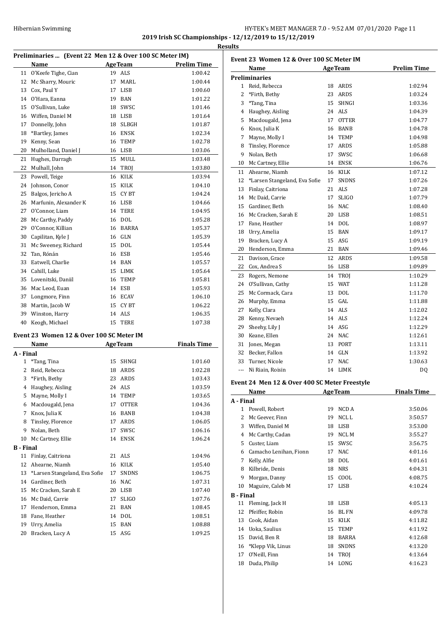# HY-TEK's MEET MANAGER 7.0 - 9:52 AM 07/01/2020 Page 11 **2019 Irish SC Championships - 12/12/2019 to 15/12/2019 Results**

|              |                                                         |        |                    | Resu               |
|--------------|---------------------------------------------------------|--------|--------------------|--------------------|
|              | Preliminaries  (Event 22 Men 12 & Over 100 SC Meter IM) |        |                    |                    |
|              | Name                                                    |        | <b>AgeTeam</b>     | <b>Prelim Time</b> |
| 11           | O'Keefe Tighe, Cian                                     |        | 19 ALS             | 1:00.42            |
| 12           | Mc Sharry, Mouric                                       | 17     | MARL               | 1:00.44            |
|              | 13 Cox. Paul Y                                          | 17     | <b>LISB</b>        | 1:00.60            |
|              | 14 O'Hara, Eanna                                        |        | 19 BAN             | 1:01.22            |
|              | 15 O'Sullivan, Luke                                     | 18     | SWSC               | 1:01.46            |
|              | 16 Wiffen, Daniel M                                     |        | 18 LISB            | 1:01.64            |
| 17           | Donnelly, John                                          | 18     | <b>SLBGH</b>       | 1:01.87            |
|              | 18 *Bartley, James                                      |        | 16 ENSK            | 1:02.34            |
| 19           | Kenny, Sean                                             | 16     | TEMP               | 1:02.78            |
| 20           | Mulholland, Daniel J                                    |        | 16 LISB            | 1:03.06            |
| 21           | Hughes, Darragh                                         | 15     | MULL               | 1:03.48            |
| 22           | Mulhall, John                                           | 14     | TROJ               | 1:03.80            |
|              | 23 Powell, Teige                                        |        | 16 KILK            | 1:03.94            |
|              | 24 Johnson, Conor                                       |        | 15 KILK            | 1:04.10            |
| 25           | Balgos, Jericho A                                       | 15     | CY BT              | 1:04.24            |
| 26           | Marfunin, Alexander K                                   |        | 16 LISB            | 1:04.66            |
| 27           | O'Connor, Liam                                          | 14     | <b>TERE</b>        | 1:04.95            |
|              | 28 Mc Carthy, Paddy                                     |        | 16 DOL             | 1:05.28            |
| 29           | O'Connor, Killian                                       |        | 16 BARRA           | 1:05.37            |
| 30           | Capilitan, Kyle J                                       |        | 16 GLN             | 1:05.39            |
| 31           | Mc Sweeney, Richard                                     | 15     | <b>DOL</b>         | 1:05.44            |
|              | 32 Tan, Rónán                                           |        | 16 ESB             | 1:05.46            |
|              | 33 Eatwell, Charlie                                     |        | 14 BAN             | 1:05.57            |
|              | 34 Cahill, Luke                                         |        | 15 LIMK            | 1:05.64            |
|              | 35 Lovenitski, Daniil                                   |        | 16 TEMP            | 1:05.81            |
|              | 36 Mac Leod, Euan                                       |        | 14 ESB             | 1:05.93            |
|              | 37 Longmore, Finn                                       |        | 16 ECAV            | 1:06.10            |
|              | 38 Martin, Jacob W                                      | 15     | CY BT              | 1:06.22            |
|              | 39 Winston, Harry                                       |        | 14 ALS             | 1:06.35            |
|              | 40 Keogh, Michael                                       | 15     | <b>TERE</b>        | 1:07.38            |
|              | Event 23 Women 12 & Over 100 SC Meter IM                |        |                    |                    |
|              | Name                                                    |        | <b>AgeTeam</b>     | <b>Finals Time</b> |
| A - Final    |                                                         |        |                    |                    |
| $\mathbf{1}$ | *Tang, Tina                                             | $15 -$ | SHNGI              | 1:01.60            |
|              | 2 Reid, Rebecca                                         |        | 18 ARDS            | 1:02.28            |
|              | 3 *Firth, Bethy                                         | 23     | ARDS               | 1:03.43            |
|              | 4. Haughou Aicling                                      |        | $24$ $\Lambda$ I C | 1.02 $E$ 0         |

| 2                | Reid, Rebecca                 | 18 | <b>ARDS</b>  | 1:02.28 |
|------------------|-------------------------------|----|--------------|---------|
| 3                | *Firth, Bethy                 | 23 | ARDS         | 1:03.43 |
| 4                | Haughey, Aisling              | 24 | ALS          | 1:03.59 |
| 5                | Mayne, Molly I                | 14 | TEMP         | 1:03.65 |
| 6                | Macdougald, Jena              | 17 | <b>OTTER</b> | 1:04.36 |
| 7                | Knox, Julia K                 | 16 | <b>BANB</b>  | 1:04.38 |
| 8                | Tinsley, Florence             | 17 | ARDS         | 1:06.05 |
| 9                | Nolan, Beth                   | 17 | <b>SWSC</b>  | 1:06.16 |
| 10               | Mc Cartney, Ellie             | 14 | <b>ENSK</b>  | 1:06.24 |
| <b>B</b> - Final |                               |    |              |         |
| 11               | Finlay, Caitriona             |    | 21 ALS       | 1:04.96 |
| 12               | Ahearne, Niamh                | 16 | <b>KILK</b>  | 1:05.40 |
| 13               | *Larsen Stangeland, Eva Sofie | 17 | <b>SNDNS</b> | 1:06.75 |
| 14               | Gardiner, Beth                | 16 | <b>NAC</b>   | 1:07.31 |
| 15               | Mc Cracken, Sarah E           | 20 | LISB         | 1:07.40 |
| 16               | Mc Daid, Carrie               | 17 | <b>SLIGO</b> | 1:07.76 |
| 17               | Henderson, Emma               | 21 | <b>BAN</b>   | 1:08.45 |
| 18               | Fane, Heather                 | 14 | <b>DOL</b>   | 1:08.51 |
| 19               | Urry, Amelia                  | 15 | <b>BAN</b>   | 1:08.88 |
| 20               | Bracken, Lucy A               |    | 15 ASG       | 1:09.25 |

|                      | Event 23 Women 12 & Over 100 SC Meter IM      |    |                |                    |  |  |
|----------------------|-----------------------------------------------|----|----------------|--------------------|--|--|
|                      | Name                                          |    | <b>AgeTeam</b> | <b>Prelim Time</b> |  |  |
|                      | <b>Preliminaries</b>                          |    |                |                    |  |  |
| 1                    | Reid, Rebecca                                 |    | 18 ARDS        | 1:02.94            |  |  |
| 2                    | *Firth, Bethy                                 |    | 23 ARDS        | 1:03.24            |  |  |
| 3                    | *Tang, Tina                                   |    | 15 SHNGI       | 1:03.36            |  |  |
| 4                    | Haughey, Aisling                              |    | 24 ALS         | 1:04.39            |  |  |
| 5                    | Macdougald, Jena                              |    | 17 OTTER       | 1:04.77            |  |  |
| 6                    | Knox, Julia K                                 |    | 16 BANB        | 1:04.78            |  |  |
| 7                    | Mayne, Molly I                                |    | 14 TEMP        | 1:04.98            |  |  |
| 8                    | Tinsley, Florence                             |    | 17 ARDS        | 1:05.88            |  |  |
| 9                    | Nolan, Beth                                   | 17 | SWSC           | 1:06.68            |  |  |
| 10                   | Mc Cartney, Ellie                             |    | 14 ENSK        | 1:06.76            |  |  |
| 11                   | Ahearne, Niamh                                |    | 16 KILK        | 1:07.12            |  |  |
| 12                   | *Larsen Stangeland, Eva Sofie                 | 17 | SNDNS          | 1:07.26            |  |  |
| 13                   | Finlay, Caitriona                             |    | 21 ALS         | 1:07.28            |  |  |
| 14                   | Mc Daid, Carrie                               | 17 | <b>SLIGO</b>   | 1:07.79            |  |  |
| 15                   | Gardiner, Beth                                |    | 16 NAC         | 1:08.40            |  |  |
| 16                   | Mc Cracken, Sarah E                           |    | 20 LISB        | 1:08.51            |  |  |
| 17                   | Fane, Heather                                 |    | 14 DOL         | 1:08.97            |  |  |
| 18                   | Urry, Amelia                                  |    | 15 BAN         | 1:09.17            |  |  |
| 19                   | Bracken, Lucy A                               |    | 15 ASG         | 1:09.19            |  |  |
| 20                   | Henderson, Emma                               |    | 21 BAN         | 1:09.46            |  |  |
| 21                   | Davison, Grace                                |    | 12 ARDS        | 1:09.58            |  |  |
| 22                   | Cox, Andrea S                                 |    | 16 LISB        | 1:09.89            |  |  |
| 23                   | Rogers, Nemone                                |    | 14 TROJ        | 1:10.29            |  |  |
| 24                   | O'Sullivan, Cathy                             |    | 15 WAT         | 1:11.28            |  |  |
| 25                   | Mc Cormack, Cara                              | 13 | DOL            | 1:11.70            |  |  |
| 26                   | Murphy, Emma                                  |    | 15 GAL         | 1:11.88            |  |  |
| 27                   | Kelly, Clara                                  |    | 14 ALS         | 1:12.02            |  |  |
| 28                   | Kenny, Nevaeh                                 |    | 14 ALS         | 1:12.24            |  |  |
| 29                   | Sheehy, Lily J                                |    | 14 ASG         | 1:12.29            |  |  |
| 30                   | Keane, Ellen                                  |    | 24 NAC         | 1:12.61            |  |  |
| 31                   | Jones, Megan                                  |    | 13 PORT        | 1:13.11            |  |  |
| 32                   | Becker, Fallon                                |    | 14 GLN         | 1:13.92            |  |  |
| 33                   | Turner, Nicole                                | 17 | <b>NAC</b>     | 1:30.63            |  |  |
| $\sim$ $\sim$ $\sim$ | Ni Riain, Roisin                              |    | 14 LIMK        | DQ                 |  |  |
|                      | Event 24 Men 12 & Over 400 SC Meter Freestyle |    |                |                    |  |  |
|                      | <b>Name</b>                                   |    | <b>AgeTeam</b> | <b>Finals Time</b> |  |  |
|                      | A - Final                                     |    |                |                    |  |  |

| A - Final        |                        |    |              |         |
|------------------|------------------------|----|--------------|---------|
| $\mathbf{1}$     | Powell, Robert         | 19 | NCD A        | 3:50.06 |
| 2                | Mc Geever, Finn        | 19 | NCL L        | 3:50.57 |
| 3                | Wiffen, Daniel M       | 18 | <b>LISB</b>  | 3:53.00 |
| 4                | Mc Carthy, Cadan       | 19 | NCL M        | 3:55.27 |
| 5                | Custer, Liam           | 15 | SWSC         | 3:56.75 |
| 6                | Camacho Lenihan, Fionn | 17 | <b>NAC</b>   | 4:01.16 |
| 7                | Kelly, Alfie           | 18 | <b>DOL</b>   | 4:01.61 |
| 8                | Kilbride, Denis        | 18 | <b>NRS</b>   | 4:04.31 |
| 9                | Morgan, Danny          | 15 | COOL         | 4:08.75 |
| 10               | Maguire, Caleb M       | 17 | <b>LISB</b>  | 4:10.24 |
| <b>B</b> - Final |                        |    |              |         |
| 11               | Fleming, Jack H        | 18 | <b>LISB</b>  | 4:05.13 |
| 12               | Pfeiffer, Robin        | 16 | <b>BLFN</b>  | 4:09.78 |
| 13               | Cook, Aidan            | 15 | <b>KILK</b>  | 4:11.82 |
| 14               | Uoka, Saulius          | 15 | <b>TEMP</b>  | 4:11.92 |
| 15               | David, Ben R           | 18 | <b>BARRA</b> | 4:12.68 |
| 16               | *Klepp Vik, Linus      | 18 | <b>SNDNS</b> | 4:13.20 |
| 17               | O'Neill, Finn          | 14 | <b>TROI</b>  | 4:13.64 |
| 18               | Duda, Philip           | 14 | LONG         | 4:16.23 |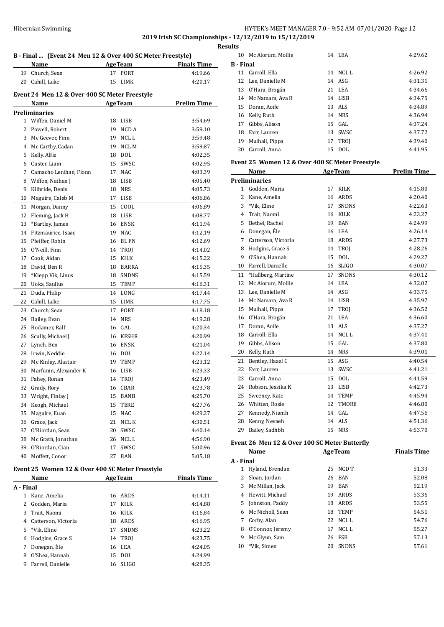# Hibernian Swimming **HY-TEK's MEET MANAGER 7.0** - 9:52 AM 07/01/2020 Page 12 **2019 Irish SC Championships - 12/12/2019 to 15/12/2019**

| B - Final  (Event 24 Men 12 & Over 400 SC Meter Freestyle)<br><b>AgeTeam</b> |                                                 |          |                |                               |
|------------------------------------------------------------------------------|-------------------------------------------------|----------|----------------|-------------------------------|
| 19                                                                           | Name<br>Church, Sean                            | 17       | PORT           | <b>Finals Time</b><br>4:19.66 |
| 20                                                                           | Cahill, Luke                                    | 15       | LIMK           | 4:20.17                       |
|                                                                              |                                                 |          |                |                               |
|                                                                              | Event 24 Men 12 & Over 400 SC Meter Freestyle   |          |                |                               |
|                                                                              | Name                                            |          | <b>AgeTeam</b> | <b>Prelim Time</b>            |
|                                                                              | Preliminaries                                   |          |                |                               |
| $\mathbf{1}$                                                                 | Wiffen, Daniel M                                |          | 18 LISB        | 3:54.69                       |
| 2                                                                            | Powell, Robert                                  |          | 19 NCD A       | 3:59.10                       |
| 3                                                                            | Mc Geever, Finn                                 |          | 19 NCL L       | 3:59.48                       |
| 4                                                                            | Mc Carthy, Cadan                                | 19       | NCL M          | 3:59.87                       |
| 5                                                                            | Kelly, Alfie                                    | 18       | <b>DOL</b>     | 4:02.35                       |
| 6                                                                            | Custer, Liam                                    | 15       | SWSC           | 4:02.95                       |
| 7                                                                            | Camacho Lenihan, Fionn                          | 17       | NAC            | 4:03.39                       |
| 8                                                                            | Wiffen, Nathan J                                | 18       | LISB           | 4:05.40                       |
| 9                                                                            | Kilbride, Denis                                 | 18       | <b>NRS</b>     | 4:05.73                       |
| 10                                                                           | Maguire, Caleb M                                | 17       | LISB           | 4:06.86                       |
| 11                                                                           | Morgan, Danny                                   | 15       | COOL           | 4:06.89                       |
| 12                                                                           | Fleming, Jack H                                 | 18       | LISB           | 4:08.77                       |
| 13                                                                           | *Bartley, James                                 | 16       | ENSK           | 4:11.94                       |
| 14                                                                           | Fitzmaurice, Isaac                              |          | 19 NAC         | 4:12.19                       |
| 15                                                                           | Pfeiffer, Robin                                 |          | 16 BL FN       | 4:12.69                       |
| 16                                                                           | O'Neill, Finn                                   | 14       | TROJ           | 4:14.02                       |
| 17                                                                           | Cook, Aidan                                     | 15       | KILK           | 4:15.22                       |
| 18                                                                           | David, Ben R                                    | 18       | BARRA          | 4:15.35                       |
| 19<br>20                                                                     | *Klepp Vik, Linus<br>Uoka, Saulius              | 18<br>15 | SNDNS<br>TEMP  | 4:15.59<br>4:16.31            |
| 21                                                                           |                                                 | 14       | LONG           | 4:17.44                       |
| 22                                                                           | Duda, Philip<br>Cahill, Luke                    | 15       | LIMK           | 4:17.75                       |
| 23                                                                           | Church, Sean                                    | 17       | <b>PORT</b>    | 4:18.18                       |
| 24                                                                           | Bailey, Evan                                    | 14       | <b>NRS</b>     | 4:19.28                       |
| 25                                                                           | Bodamer, Ralf                                   | 16       | GAL            | 4:20.34                       |
| 26                                                                           | Scully, Michael J                               | 16       | <b>KFSHR</b>   | 4:20.99                       |
| 27                                                                           | Lynch, Ben                                      |          | 16 ENSK        | 4:21.04                       |
| 28                                                                           | Irwin, Neddie                                   |          | 16 DOL         | 4:22.14                       |
| 29                                                                           | Mc Kinlay, Alastair                             |          | 19 TEMP        | 4:23.12                       |
| 30                                                                           | Marfunin, Alexander K                           | 16       | LISB           | 4:23.33                       |
| 31                                                                           | Fahey, Ronan                                    |          | 14 TROJ        | 4:23.49                       |
| 32                                                                           | Grady, Rory                                     |          | 16 CBAR        | 4:23.78                       |
| 33                                                                           | Wright, Finlay J                                | 15       | BANB           | 4:25.70                       |
| 34                                                                           | Keogh, Michael                                  | 15       | TERE           | 4:27.76                       |
| 35                                                                           | Maguire, Euan                                   |          | 15 NAC         | 4:29.27                       |
| 36                                                                           | Grace, Jack                                     | 21       | NCL K          | 4:30.51                       |
| 37                                                                           | O'Riordan, Sean                                 | 20       | SWSC           | 4:40.14                       |
| 38                                                                           | Mc Grath, Jonathan                              | 26       | NCL L          | 4:56.90                       |
| 39                                                                           | O'Riordan, Cian                                 | 17       | SWSC           | 5:00.96                       |
| 40                                                                           | Moffett, Conor                                  | 27       | BAN            | 5:05.18                       |
|                                                                              | Event 25 Women 12 & Over 400 SC Meter Freestyle |          |                |                               |
|                                                                              | Name                                            |          | <b>AgeTeam</b> | <b>Finals Time</b>            |
| A - Final                                                                    |                                                 |          |                |                               |
| $\mathbf{1}$<br>2                                                            | Kane, Amelia<br>Godden, Maria                   | 16       | ARDS<br>KILK   | 4:14.11                       |
| 3                                                                            | Trait, Naomi                                    | 17<br>16 | KILK           | 4:14.88                       |
| 4                                                                            | Catterson, Victoria                             | 18       | ARDS           | 4:16.84<br>4:16.95            |
| 5                                                                            | *Vik, Eline                                     | 17       | <b>SNDNS</b>   | 4:23.22                       |
| 6                                                                            | Hodgins, Grace S                                | 14       | TROJ           | 4:23.75                       |

7 Donegan, Éle 16 LEA 4:24.05 O'Shea, Hannah 15 DOL 4:24.99 Farrell, Danielle 16 SLIGO 4:28.35

| Results          |                      |          |         |
|------------------|----------------------|----------|---------|
|                  | 10 Mc Alorum, Mollie | 14 LEA   | 4:29.62 |
| <b>B</b> - Final |                      |          |         |
|                  | 11 Carroll, Ella     | 14 NCLL  | 4:26.92 |
|                  | 12 Lee, Danielle M   | 14 ASG   | 4:31.31 |
|                  | 13 O'Hara, Brogán    | 21 LEA   | 4:34.66 |
|                  | 14 Mc Namara, Ava R  | 14 LISB  | 4:34.75 |
|                  | 15 Doran, Aoife      | 13 ALS   | 4:34.89 |
|                  | 16 Kelly, Ruth       | 14 NRS   | 4:36.94 |
| 17               | Gibbs, Alison        | $15$ GAL | 4:37.24 |
| 18               | Farr, Lauren         | 13 SWSC  | 4:37.72 |
| 19               | Mulhall, Pippa       | 17 TROI  | 4:39.40 |
|                  | 20 Carroll, Anna     | 15 DOL   | 4:41.95 |

#### **Event 25 Women 12 & Over 400 SC Meter Freestyle**

|                | Name                 |    | <b>AgeTeam</b> | <b>Prelim Time</b> |
|----------------|----------------------|----|----------------|--------------------|
|                | <b>Preliminaries</b> |    |                |                    |
| $\mathbf{1}$   | Godden, Maria        | 17 | <b>KILK</b>    | 4:15.80            |
| 2              | Kane, Amelia         | 16 | ARDS           | 4:20.40            |
| 3              | *Vik, Eline          | 17 | <b>SNDNS</b>   | 4:22.63            |
| $\overline{4}$ | Trait, Naomi         | 16 | <b>KILK</b>    | 4:23.27            |
| 5              | Bethel, Rachel       | 19 | <b>BAN</b>     | 4:24.99            |
| 6              | Donegan, Éle         | 16 | LEA            | 4:26.14            |
| 7              | Catterson, Victoria  | 18 | ARDS           | 4:27.73            |
| 8              | Hodgins, Grace S     | 14 | TROJ           | 4:28.26            |
| 9              | O'Shea, Hannah       | 15 | <b>DOL</b>     | 4:29.27            |
| 10             | Farrell, Danielle    | 16 | <b>SLIGO</b>   | 4:30.07            |
| 11             | *Hallberg, Martine   | 17 | <b>SNDNS</b>   | 4:30.12            |
| 12             | Mc Alorum, Mollie    | 14 | LEA            | 4:32.02            |
| 13             | Lee, Danielle M      | 14 | <b>ASG</b>     | 4:33.75            |
| 14             | Mc Namara, Ava R     | 14 | <b>LISB</b>    | 4:35.97            |
| 15             | Mulhall, Pippa       | 17 | TROI           | 4:36.52            |
| 16             | O'Hara, Brogán       | 21 | <b>LEA</b>     | 4:36.60            |
| 17             | Doran, Aoife         | 13 | <b>ALS</b>     | 4:37.27            |
| 18             | Carroll, Ella        | 14 | NCL L          | 4:37.41            |
| 19             | Gibbs, Alison        | 15 | GAL            | 4:37.80            |
| 20             | Kelly, Ruth          | 14 | <b>NRS</b>     | 4:39.01            |
| 21             | Bentley, Hazel C     | 15 | ASG            | 4:40.54            |
| 22             | Farr, Lauren         | 13 | SWSC           | 4:41.21            |
| 23             | Carroll, Anna        | 15 | <b>DOL</b>     | 4:41.59            |
| 24             | Robson, Jessika K    | 13 | <b>LISB</b>    | 4:42.73            |
| 25             | Sweeney, Kate        | 14 | <b>TEMP</b>    | 4:45.94            |
| 26             | Whitten, Rosie       | 12 | <b>TMORE</b>   | 4:46.80            |
| 27             | Kennedy, Niamh       | 14 | GAL            | 4:47.56            |
| 28             | Kenny, Nevaeh        | 14 | <b>ALS</b>     | 4:51.36            |
| 29             | Bailey, Sadhbh       | 15 | <b>NRS</b>     | 4:53.70            |
|                |                      |    |                |                    |

# **Event 26 Men 12 & Over 100 SC Meter Butterfly**

|           | Name             |    | <b>AgeTeam</b> | <b>Finals Time</b> |
|-----------|------------------|----|----------------|--------------------|
| A - Final |                  |    |                |                    |
| 1         | Hyland, Brendan  | 25 | NCD T          | 51.33              |
| 2         | Sloan, Jordan    | 26 | BAN            | 52.08              |
| 3         | Mc Millan, Jack  | 19 | <b>BAN</b>     | 52.19              |
| 4         | Hewitt, Michael  | 19 | <b>ARDS</b>    | 53.36              |
| 5.        | Johnston, Paddy  | 18 | <b>ARDS</b>    | 53.55              |
| 6         | Mc Nicholl, Sean | 18 | <b>TEMP</b>    | 54.51              |
| 7         | Corby, Alan      | 22 | NCL L          | 54.76              |
| 8         | O'Connor, Jeremy | 17 | NCL L          | 55.27              |
| 9         | Mc Glynn, Sam    | 26 | <b>ESB</b>     | 57.13              |
| 10        | *Vik. Simen      | 20 | <b>SNDNS</b>   | 57.61              |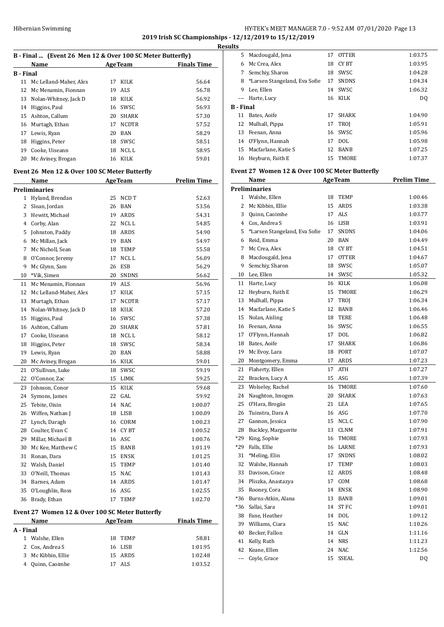# HY-TEK's MEET MANAGER 7.0 - 9:52 AM 07/01/2020 Page 13 **2019 Irish SC Championships - 12/12/2019 to 15/12/2019 Results**

|                  | B - Final  (Event 26 Men 12 & Over 100 SC Meter Butterfly) |    |                |                    |
|------------------|------------------------------------------------------------|----|----------------|--------------------|
|                  | Name                                                       |    | <b>AgeTeam</b> | <b>Finals Time</b> |
| <b>B</b> - Final |                                                            |    |                |                    |
| 11               | Mc Lelland-Maher, Alex                                     | 17 | KILK           | 56.64              |
| 12               | Mc Menamin, Fionnan                                        | 19 | ALS            | 56.78              |
| 13               | Nolan-Whitney, Jack D                                      | 18 | KILK           | 56.92              |
| 14               | Higgins, Paul                                              | 16 | SWSC           | 56.93              |
| 15               | Ashton, Callum                                             | 20 | <b>SHARK</b>   | 57.30              |
| 16               | Murtagh, Ethan                                             | 17 | <b>NCDTR</b>   | 57.52              |
| 17               | Lewis, Ryan                                                | 20 | <b>BAN</b>     | 58.29              |
| 18               | Higgins, Peter                                             |    | 18 SWSC        |                    |
|                  |                                                            |    |                | 58.51              |
| 19               | Cooke, Uiseann                                             | 18 | NCL L          | 58.95              |
| 20               | Mc Aviney, Brogan                                          |    | 16 KILK        | 59.01              |
|                  | Event 26 Men 12 & Over 100 SC Meter Butterfly              |    |                |                    |
|                  | Name                                                       |    | <b>AgeTeam</b> | <b>Prelim Time</b> |
|                  | <b>Preliminaries</b>                                       |    |                |                    |
| $\mathbf{1}$     | Hyland, Brendan                                            | 25 | NCD T          | 52.63              |
| $\overline{2}$   | Sloan, Jordan                                              |    | 26 BAN         | 53.56              |
| 3                | Hewitt, Michael                                            | 19 | ARDS           | 54.31              |
|                  |                                                            |    | NCL L          |                    |
| 4                | Corby, Alan                                                | 22 |                | 54.85              |
| 5                | Johnston, Paddy                                            | 18 | ARDS           | 54.90              |
| 6                | Mc Millan, Jack                                            |    | 19 BAN         | 54.97              |
| 7                | Mc Nicholl, Sean                                           | 18 | TEMP           | 55.58              |
| 8                | O'Connor, Jeremy                                           | 17 | NCL L          | 56.09              |
| 9                | Mc Glynn, Sam                                              | 26 | ESB            | 56.29              |
| 10               | *Vik, Simen                                                |    | 20 SNDNS       | 56.62              |
| 11               | Mc Menamin, Fionnan                                        |    | 19 ALS         | 56.96              |
| 12               | Mc Lelland-Maher, Alex                                     | 17 | KILK           | 57.15              |
| 13               | Murtagh, Ethan                                             | 17 | <b>NCDTR</b>   | 57.17              |
| 14               | Nolan-Whitney, Jack D                                      | 18 | KILK           | 57.20              |
| 15               | Higgins, Paul                                              | 16 | SWSC           | 57.38              |
| 16               | Ashton, Callum                                             | 20 | <b>SHARK</b>   | 57.81              |
| 17               | Cooke, Uiseann                                             | 18 | NCL L          | 58.12              |
| 18               | Higgins, Peter                                             | 18 | SWSC           | 58.34              |
| 19               | Lewis, Ryan                                                | 20 | BAN            | 58.88              |
| 20               | Mc Aviney, Brogan                                          | 16 | KILK           | 59.01              |
| 21               | O'Sullivan, Luke                                           | 18 | SWSC           | 59.19              |
| 22               | O'Connor, Zac                                              | 15 | LIMK           | 59.25              |
|                  |                                                            |    |                |                    |
| 23               | Johnson, Conor                                             | 15 | KILK           | 59.68              |
| 24               | Symons, James                                              | 22 | GAL            | 59.92              |
| 25               | Tebite, Oisin                                              | 14 | <b>NAC</b>     | 1:00.07            |
| 26               | Wiffen, Nathan J                                           | 18 | LISB           | 1:00.09            |
| 27               | Lynch, Daragh                                              | 16 | CORM           | 1:00.23            |
| 28               | Coulter, Evan C                                            |    | 14 CYBT        | 1:00.52            |
| 29               | Millar, Michael B                                          |    | 16 ASC         | 1:00.76            |
| 30               | Mc Kee, Matthew C                                          | 15 | BANB           | 1:01.19            |
| 31               | Ronan, Dara                                                | 15 | ENSK           | 1:01.25            |
| 32               | Walsh, Daniel                                              | 15 | <b>TEMP</b>    | 1:01.40            |
|                  | 33 O'Neill, Thomas                                         | 15 | <b>NAC</b>     | 1:01.43            |
| 34               | Barnes, Adam                                               | 14 | ARDS           | 1:01.47            |
| 35               | O'Loughlin, Ross                                           | 16 | ASG            | 1:02.55            |
| 36               | Brady, Ethan                                               | 17 | TEMP           | 1:02.70            |
|                  |                                                            |    |                |                    |
|                  | Event 27 Women 12 & Over 100 SC Meter Butterfly            |    |                |                    |
|                  | Name                                                       |    | <b>AgeTeam</b> | <b>Finals Time</b> |
| A - Final        |                                                            |    |                |                    |
| $\mathbf{1}$     | Walshe, Ellen                                              | 18 | TEMP           | 58.81              |
| 2                | Cox, Andrea S                                              | 16 | LISB           | 1:01.95            |
| 3                | Mc Kibbin, Ellie                                           | 15 | ARDS           | 1:02.48            |

Quinn, Caoimhe 17 ALS 1:03.52

| 5                | Macdougald, Jena                                | 17 | <b>OTTER</b>         | 1:03.75            |
|------------------|-------------------------------------------------|----|----------------------|--------------------|
|                  | 6 Mc Crea, Alex                                 |    | 18 CYBT              | 1:03.95            |
|                  | 7 Semchiy, Sharon                               |    | 18 SWSC              | 1:04.28            |
|                  | 8 *Larsen Stangeland, Eva Sofie                 | 17 | <b>SNDNS</b>         | 1:04.34            |
|                  | 9 Lee, Ellen                                    |    | 14 SWSC              | 1:06.32            |
| ---              | Harte, Lucy                                     |    | 16 KILK              | DQ                 |
| <b>B</b> - Final |                                                 |    |                      |                    |
|                  | 11 Bates, Aoife                                 | 17 | SHARK                | 1:04.90            |
|                  | 12 Mulhall, Pippa                               | 17 | <b>TROJ</b>          | 1:05.91            |
|                  | 13 Feenan. Anna                                 | 16 | SWSC                 | 1:05.96            |
|                  | 14 O'Flynn, Hannah                              | 17 | DOL                  | 1:05.98            |
|                  | 15 Macfarlane, Katie S                          |    | 12 BANB              | 1:07.25            |
|                  | 16 Heyburn, Faith E                             | 15 | TMORE                | 1:07.37            |
|                  |                                                 |    |                      |                    |
|                  | Event 27 Women 12 & Over 100 SC Meter Butterfly |    |                      |                    |
|                  | Name                                            |    | <b>AgeTeam</b>       | <b>Prelim Time</b> |
|                  | <b>Preliminaries</b>                            |    |                      |                    |
|                  | 1 Walshe, Ellen                                 |    | 18 TEMP              | 1:00.46            |
|                  | 2 Mc Kibbin, Ellie                              |    | 15 ARDS              | 1:03.38            |
| 3                | Quinn, Caoimhe                                  |    | 17 ALS               | 1:03.77            |
|                  | 4 Cox, Andrea S                                 |    | 16 LISB              | 1:03.91            |
| 5                | *Larsen Stangeland, Eva Sofie                   | 17 | <b>SNDNS</b>         | 1:04.06            |
| 6                | Reid, Emma                                      |    | 20 BAN               | 1:04.49            |
| 7                | Mc Crea, Alex                                   | 18 | CY BT                | 1:04.51            |
| 8                | Macdougald, Jena                                | 17 | <b>OTTER</b>         | 1:04.67            |
| 9                | Semchiy, Sharon                                 | 18 | SWSC                 | 1:05.07            |
| 10               | Lee, Ellen                                      | 14 | SWSC                 | 1:05.32            |
|                  | 11 Harte, Lucy                                  |    | 16 KILK              | 1:06.08            |
|                  | 12 Heyburn, Faith E                             | 15 | TMORE                | 1:06.29            |
|                  | 13 Mulhall, Pippa                               |    | 17 TROJ              | 1:06.34            |
|                  | 14 Macfarlane, Katie S                          | 12 | BANB                 | 1:06.46            |
| 15               | Nolan, Aisling                                  | 18 | TERE                 | 1:06.48            |
|                  | 16 Feenan, Anna                                 | 16 | SWSC                 | 1:06.55            |
| 17               | O'Flynn, Hannah                                 |    | 17 DOL               | 1:06.82            |
| 18               | Bates, Aoife                                    | 17 | <b>SHARK</b>         | 1:06.86            |
| 19               | Mc Evoy, Lara                                   |    | 18 PORT              | 1:07.07            |
| 20               | Montgomery, Emma                                | 17 | ARDS                 | 1:07.23            |
| 21               | Flaherty, Ellen                                 | 17 | ATH                  | 1:07.27            |
| 22               | Bracken, Lucy A                                 | 15 | ASG                  |                    |
|                  |                                                 |    |                      | 1:07.39            |
| 23<br>24         | Wolseley, Rachel                                | 16 | TMORE                | 1:07.60            |
| 25               | Naughton, Imogen                                | 20 | SHARK                | 1:07.63            |
|                  | O'Hara, Brogán<br>Tuinstra, Dara A              | 21 | LEA                  | 1:07.65            |
| 26               |                                                 | 16 | ASG                  | 1:07.70            |
| 27               | Gannon, Jessica                                 | 15 | NCL C<br><b>CLNM</b> | 1:07.90            |
| 28               | Buckley, Marguerite                             | 13 |                      | 1:07.91            |
| *29              | King, Sophie                                    | 16 | TMORE                | 1:07.93            |
| *29              | Falls, Ellie                                    | 16 | LARNE                | 1:07.93            |
| 31               | *Meling, Elin                                   | 17 | SNDNS                | 1:08.02            |
| 32               | Walshe, Hannah                                  | 17 | TEMP                 | 1:08.03            |
| 33               | Davison, Grace                                  | 12 | ARDS                 | 1:08.48            |
|                  | 34 Pliszka, Anastazya                           | 17 | COM                  | 1:08.68            |
| 35               | Rooney, Cora                                    | 14 | ENSK                 | 1:08.90            |
| $*36$            | Burns-Atkin, Alana                              | 13 | BANB                 | 1:09.01            |
| *36              | Sallai, Sara                                    | 14 | ST FC                | 1:09.01            |
|                  | 38 Fane, Heather                                |    | 14 DOL               | 1:09.12            |
|                  | 39 Williams, Ciara                              | 15 | NAC                  | 1:10.26            |
| 40               | Becker, Fallon                                  | 14 | GLN                  | 1:11.16            |
| 41               | Kelly, Ruth                                     | 14 | <b>NRS</b>           | 1:11.23            |
| 42               | Keane, Ellen                                    | 24 | NAC                  | 1:12.56            |
| ---              | Coyle, Grace                                    | 15 | SSEAL                | DQ                 |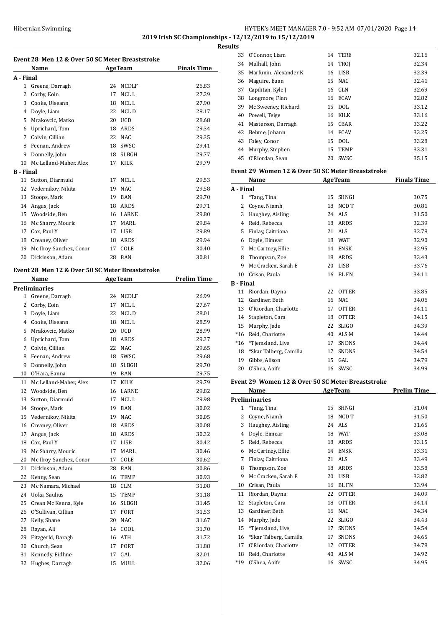#### Hibernian Swimming **HY-TEK's MEET MANAGER 7.0 - 9:52 AM 07/01/2020** Page 14 **2019 Irish SC Championships - 12/12/2019 to 15/12/2019 Results**

 $\overline{a}$ 

**Event 28 Men 12 & Over 50 SC Meter Breaststroke Name Age Team Finals Time A - Final** Greene, Darragh 24 NCDLF 26.83 2 Corby, Eoin 17 NCL L 27.29 Cooke, Uiseann 18 NCL L 27.90 Doyle, Liam 22 NCL D 28.17 Mrakovcic, Matko 20 UCD 28.68 Uprichard, Tom 18 ARDS 29.34 Colvin, Cillian 22 NAC 29.35 Feenan, Andrew 18 SWSC 29.41 Donnelly, John 18 SLBGH 29.77 Mc Lelland-Maher, Alex 17 KILK 29.79 **B - Final** 11 Sutton, Diarmuid 17 NCL L 29.53 Vedernikov, Nikita 19 NAC 29.58 Stoops, Mark 19 BAN 29.70 Angus, Jack 18 ARDS 29.71 Woodside, Ben 16 LARNE 29.80 Mc Sharry, Mouric 17 MARL 29.84 17 Cox, Paul Y 17 LISB 29.89 18 Creaney, Oliver 18 ARDS 29.94 19 Mc Ilroy-Sanchez, Conor 17 COLE 30.40 Dickinson, Adam 28 BAN 30.81 **Event 28 Men 12 & Over 50 SC Meter Breaststroke Name Age Team Prelim Time Preliminaries** Greene, Darragh 24 NCDLF 26.99 2 Corby, Eoin 17 NCL L 27.67 Doyle, Liam 22 NCL D 28.01 Cooke, Uiseann 18 NCL L 28.59 Mrakovcic, Matko 20 UCD 28.99 Uprichard, Tom 18 ARDS 29.37 Colvin, Cillian 22 NAC 29.65 Feenan, Andrew 18 SWSC 29.68 Donnelly, John 18 SLBGH 29.70 O'Hara, Eanna 19 BAN 29.75 11 Mc Lelland-Maher, Alex 17 KILK 29.79 Woodside, Ben 16 LARNE 29.82 13 Sutton, Diarmuid 17 NCL L 29.98 Stoops, Mark 19 BAN 30.02 Vedernikov, Nikita 19 NAC 30.05 16 Creaney, Oliver 18 ARDS 30.08 Angus, Jack 18 ARDS 30.32 18 Cox, Paul Y 17 LISB 30.42 19 Mc Sharry, Mouric 17 MARL 30.46 20 Mc Ilroy-Sanchez, Conor 17 COLE 30.62 Dickinson, Adam 28 BAN 30.86 Kenny, Sean 16 TEMP 30.93 23 Mc Namara, Michael 18 CLM 31.08 Uoka, Saulius 15 TEMP 31.18 25 Crean Mc Kenna, Kyle 16 SLBGH 31.45 26 O'Sullivan, Cillian 17 PORT 31.53 Kelly, Shane 20 NAC 31.67 Rayan, Ali 14 COOL 31.70 29 Fitzgerld, Daragh 16 ATH 31.72 Church, Sean 17 PORT 31.88 Kennedy, Eidhne 17 GAL 32.01 Hughes, Darragh 15 MULL 32.06

| Its |                                                    |    |             |       |
|-----|----------------------------------------------------|----|-------------|-------|
| 33  | O'Connor, Liam                                     | 14 | TERE        | 32.16 |
| 34  | Mulhall, John                                      |    | 14 TROJ     | 32.34 |
| 35  | Marfunin, Alexander K                              | 16 | LISB        | 32.39 |
| 36  | Maguire, Euan                                      |    | 15 NAC      | 32.41 |
| 37  | Capilitan, Kyle J                                  |    | 16 GLN      | 32.69 |
| 38  | Longmore, Finn                                     |    | 16 ECAV     | 32.82 |
| 39  | Mc Sweeney, Richard                                | 15 | DOL.        | 33.12 |
| 40  | Powell, Teige                                      | 16 | KILK        | 33.16 |
| 41  | Masterson, Darragh                                 | 15 | CBAR        | 33.22 |
| 42  | Behme, Johann                                      | 14 | <b>ECAV</b> | 33.25 |
| 43  | Foley, Conor                                       | 15 | <b>DOL</b>  | 33.28 |
| 44  | Murphy, Stephen                                    | 15 | <b>TEMP</b> | 33.31 |
| 45  | O'Riordan, Sean                                    | 20 | SWSC        | 35.15 |
|     | Event 29  Women 12 & Over 50 SC Meter Breaststroke |    |             |       |

|           | <b>Name</b>            |    | <b>AgeTeam</b> | <b>Finals Time</b> |
|-----------|------------------------|----|----------------|--------------------|
| A - Final |                        |    |                |                    |
| 1         | *Tang, Tina            | 15 | <b>SHNGI</b>   | 30.75              |
| 2         | Coyne, Niamh           | 18 | NCD T          | 30.81              |
| 3         | Haughey, Aisling       | 24 | <b>ALS</b>     | 31.50              |
| 4         | Reid, Rebecca          | 18 | <b>ARDS</b>    | 32.39              |
| 5         | Finlay, Caitriona      | 21 | <b>ALS</b>     | 32.78              |
| 6         | Doyle, Eimear          | 18 | <b>WAT</b>     | 32.90              |
| 7         | Mc Cartney, Ellie      | 14 | <b>ENSK</b>    | 32.95              |
| 8         | Thompson, Zoe          | 18 | <b>ARDS</b>    | 33.43              |
| 9         | Mc Cracken, Sarah E    | 20 | <b>LISB</b>    | 33.76              |
| 10        | Crisan, Paula          | 16 | <b>BL FN</b>   | 34.11              |
| B - Final |                        |    |                |                    |
| 11        | Riordan, Dayna         | 22 | <b>OTTER</b>   | 33.85              |
| 12        | Gardiner, Beth         | 16 | <b>NAC</b>     | 34.06              |
| 13        | O'Riordan, Charlotte   | 17 | <b>OTTER</b>   | 34.11              |
| 14        | Stapleton, Cara        | 18 | <b>OTTER</b>   | 34.15              |
| 15        | Murphy, Jade           | 22 | <b>SLIGO</b>   | 34.39              |
| $*16$     | Reid, Charlotte        | 40 | ALS M          | 34.44              |
| $*16$     | *Tjemsland, Live       | 17 | <b>SNDNS</b>   | 34.44              |
| 18        | *Skar Talberg, Camilla | 17 | <b>SNDNS</b>   | 34.54              |
| 19        | Gibbs, Alison          | 15 | GAL            | 34.79              |
| 20        | O'Shea, Aoife          | 16 | SWSC           | 34.99              |

#### **Event 29 Women 12 & Over 50 SC Meter Breaststroke**

|                | Name                   |    | <b>AgeTeam</b>   | <b>Prelim Time</b> |
|----------------|------------------------|----|------------------|--------------------|
|                | <b>Preliminaries</b>   |    |                  |                    |
| 1              | *Tang, Tina            | 15 | <b>SHNGI</b>     | 31.04              |
| $\overline{2}$ | Coyne, Niamh           | 18 | NCD T            | 31.50              |
| 3              | Haughey, Aisling       | 24 | ALS              | 31.65              |
| 4              | Doyle, Eimear          | 18 | <b>WAT</b>       | 33.08              |
| 5              | Reid, Rebecca          | 18 | ARDS             | 33.15              |
| 6              | Mc Cartney, Ellie      | 14 | <b>ENSK</b>      | 33.31              |
| 7              | Finlay, Caitriona      | 21 | ALS              | 33.49              |
| 8              | Thompson, Zoe          | 18 | ARDS             | 33.58              |
| 9              | Mc Cracken, Sarah E    | 20 | <b>LISB</b>      | 33.82              |
| 10             | Crisan, Paula          | 16 | <b>BL FN</b>     | 33.94              |
| 11             | Riordan, Dayna         | 22 | <b>OTTER</b>     | 34.09              |
| 12             | Stapleton, Cara        | 18 | <b>OTTER</b>     | 34.14              |
| 13             | Gardiner, Beth         | 16 | NAC.             | 34.34              |
| 14             | Murphy, Jade           | 22 | <b>SLIGO</b>     | 34.43              |
| 15             | *Tjemsland, Live       | 17 | <b>SNDNS</b>     | 34.54              |
| 16             | *Skar Talberg, Camilla | 17 | <b>SNDNS</b>     | 34.65              |
| 17             | O'Riordan, Charlotte   | 17 | <b>OTTER</b>     | 34.78              |
| 18             | Reid, Charlotte        | 40 | ALS <sub>M</sub> | 34.92              |
| $*19$          | O'Shea, Aoife          | 16 | SWSC             | 34.95              |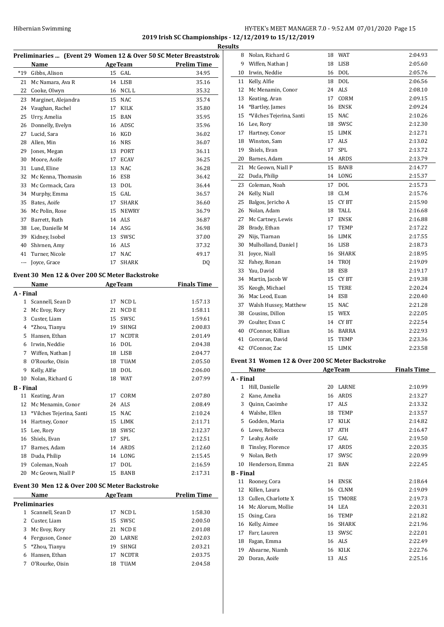# Hibernian Swimming HY-TEK's MEET MANAGER 7.0 - 9:52 AM 07/01/2020 Page 15 **2019 Irish SC Championships - 12/12/2019 to 15/12/2019**

|                  | Preliminaries  (Event 29 Women 12 & Over 50 SC Meter Breaststrok |    |                |                                                |
|------------------|------------------------------------------------------------------|----|----------------|------------------------------------------------|
|                  | Name                                                             |    |                | <b>Example 2018</b> AgeTeam <b>Prelim Time</b> |
| $*19$            | Gibbs, Alison                                                    |    | 15 GAL         | 34.95                                          |
| 21               | Mc Namara, Ava R                                                 |    | 14 LISB        | 35.16                                          |
| 22               | Cooke, Olwyn                                                     |    | 16 NCL L       | 35.32                                          |
| 23               | Marginet, Alejandra                                              |    | 15 NAC         | 35.74                                          |
| 24               | Vaughan, Rachel                                                  |    | 17 KILK        | 35.80                                          |
| 25               | Urry, Amelia                                                     |    | 15 BAN         | 35.95                                          |
| 26               | Donnelly, Evelyn                                                 |    | 16 ADSC        | 35.96                                          |
| 27               | Lucid, Sara                                                      |    | 16 KGD         | 36.02                                          |
| 28               | Allen, Min                                                       |    | 16 NRS         | 36.07                                          |
| 29               | Jones, Megan                                                     |    | 13 PORT        | 36.11                                          |
| 30               | Moore, Aoife                                                     |    | 17 ECAV        | 36.25                                          |
|                  | 31 Lund, Eline                                                   |    | 13 NAC         | 36.28                                          |
|                  | 32 Mc Kenna, Thomasin                                            |    | 16 ESB         | 36.42                                          |
| 33               | Mc Cormack, Cara                                                 |    | 13 DOL         | 36.44                                          |
|                  | 34 Murphy, Emma                                                  |    | $15$ GAL       | 36.57                                          |
|                  | 35 Bates, Aoife                                                  | 17 | SHARK          | 36.60                                          |
|                  | 36 Mc Polin, Rose                                                |    | 15 NEWRY       | 36.79                                          |
| 37               | Barrett, Ruth                                                    |    | 14 ALS         | 36.87                                          |
| 38               | Lee, Danielle M                                                  |    | 14 ASG         | 36.98                                          |
|                  | 39 Kidney, Isobel                                                |    | 13 SWSC        | 37.00                                          |
| 40               | Shivnen, Amy                                                     |    | 16 ALS         | 37.32                                          |
| 41               | Turner, Nicole                                                   |    | 17 NAC         | 49.17                                          |
| ---              | Joyce, Grace                                                     | 17 | <b>SHARK</b>   | DQ                                             |
|                  |                                                                  |    |                |                                                |
|                  | Event 30 Men 12 & Over 200 SC Meter Backstroke                   |    |                |                                                |
|                  | Name                                                             |    | <b>AgeTeam</b> | <b>Finals Time</b>                             |
| A - Final        |                                                                  |    |                |                                                |
|                  | 1 Scannell, Sean D                                               | 17 | NCD L          | 1:57.13                                        |
|                  | 2 Mc Evoy, Rory                                                  | 21 | NCD E          | 1:58.11                                        |
|                  | 3 Custer, Liam                                                   |    | 15 SWSC        | 1:59.61                                        |
|                  | 4 *Zhou, Tianyu                                                  |    | 19 SHNGI       | 2:00.83                                        |
|                  | 5 Hansen, Ethan                                                  | 17 | <b>NCDTR</b>   | 2:01.49                                        |
|                  | 6 Irwin, Neddie                                                  |    | 16 DOL         | 2:04.38                                        |
|                  | 7 Wiffen, Nathan J                                               |    | 18 LISB        | 2:04.77                                        |
| 8                | O'Rourke, Oisin                                                  |    | 18 TUAM        | 2:05.50                                        |
| 9                | Kelly, Alfie                                                     |    | 18 DOL         | 2:06.00                                        |
|                  | 10 Nolan, Richard G                                              |    | 18 WAT         | 2:07.99                                        |
| <b>B</b> - Final |                                                                  |    |                |                                                |
|                  | 11 Keating, Aran                                                 |    | 17 CORM        | 2:07.80                                        |
| 12               | Mc Menamin, Conor                                                |    | 24 ALS         | 2:08.49                                        |
| 13               | *Vilches Tejerina, Santi                                         |    | 15 NAC         | 2:10.24                                        |
|                  | 14 Hartney, Conor                                                |    | 15 LIMK        | 2:11.71                                        |
|                  | 15 Lee, Rory                                                     |    | 18 SWSC        | 2:12.37                                        |
|                  | 16 Shiels, Evan                                                  | 17 | SPL            | 2:12.51                                        |
|                  | 17 Barnes, Adam                                                  |    | 14 ARDS        | 2:12.60                                        |
|                  | 18 Duda, Philip                                                  |    | 14 LONG        | 2:15.45                                        |
|                  | 19 Coleman, Noah                                                 | 17 | DOL            | 2:16.59                                        |
|                  | 20 Mc Geown, Niall P                                             |    | 15 BANB        | 2:17.31                                        |
|                  |                                                                  |    |                |                                                |
|                  | Event 30 Men 12 & Over 200 SC Meter Backstroke                   |    |                |                                                |
|                  | Name                                                             |    | AgeTeam        | <b>Prelim Time</b>                             |
|                  | <b>Preliminaries</b>                                             |    |                |                                                |
|                  | 1 Scannell, Sean D                                               | 17 | NCD L          | 1:58.30                                        |
|                  | 2 Custer, Liam                                                   | 15 | SWSC           | 2:00.50                                        |

 Mc Evoy, Rory 21 NCD E 2:01.08 Ferguson, Conor 20 LARNE 2:02.03 \*Zhou, Tianyu 19 SHNGI 2:03.21 Hansen, Ethan 17 NCDTR 2:03.75 O'Rourke, Oisin 18 TUAM 2:04.58

| 8                | Nolan, Richard G                                 |    | 18 WAT         | 2:04.93            |
|------------------|--------------------------------------------------|----|----------------|--------------------|
|                  | 9 Wiffen, Nathan J                               |    | 18 LISB        | 2:05.60            |
|                  | 10 Irwin, Neddie                                 |    | 16 DOL         | 2:05.76            |
|                  | 11 Kelly, Alfie                                  |    | 18 DOL         | 2:06.56            |
|                  | 12 Mc Menamin, Conor                             |    | 24 ALS         | 2:08.10            |
|                  | 13 Keating, Aran                                 | 17 | CORM           | 2:09.15            |
| 14               | *Bartley, James                                  | 16 | <b>ENSK</b>    | 2:09.24            |
| 15               | *Vilches Tejerina, Santi                         |    | 15 NAC         | 2:10.26            |
|                  | 16 Lee, Rory                                     | 18 | SWSC           | 2:12.30            |
|                  | 17 Hartney, Conor                                |    | 15 LIMK        | 2:12.71            |
|                  | 18 Winston, Sam                                  | 17 | ALS            | 2:13.02            |
|                  | 19 Shiels, Evan                                  | 17 | SPL            | 2:13.72            |
|                  | 20 Barnes, Adam                                  |    | 14 ARDS        | 2:13.79            |
|                  | 21 Mc Geown, Niall P                             | 15 | <b>BANB</b>    | 2:14.77            |
|                  | 22 Duda, Philip                                  |    | 14 LONG        | 2:15.37            |
|                  | 23 Coleman, Noah                                 |    | 17 DOL         | 2:15.73            |
|                  | 24 Kelly, Niall                                  |    | 18 CLM         | 2:15.76            |
| 25               | Balgos, Jericho A                                | 15 | <b>CYBT</b>    | 2:15.90            |
|                  | 26 Nolan, Adam                                   | 18 | TALL           | 2:16.68            |
| 27               | Mc Cartney, Lewis                                | 17 | <b>ENSK</b>    | 2:16.88            |
|                  | 28 Brady, Ethan                                  | 17 | TEMP           | 2:17.22            |
|                  | 29 Nijs, Tiarnan                                 |    | 16 LIMK        | 2:17.55            |
| 30               | Mulholland, Daniel J                             |    | 16 LISB        | 2:18.73            |
|                  | 31 Joyce, Niall                                  | 16 | SHARK          | 2:18.95            |
|                  | 32 Fahey, Ronan                                  | 14 | TROJ           | 2:19.09            |
|                  | 33 Yau, David                                    | 18 | ESB            | 2:19.17            |
|                  | 34 Martin, Jacob W                               | 15 | CY BT          | 2:19.38            |
|                  | 35 Keogh, Michael                                | 15 | TERE           | 2:20.24            |
|                  | 36 Mac Leod, Euan                                |    | 14 ESB         | 2:20.40            |
|                  | 37 Walsh Hussey, Matthew                         |    | 15 NAC         | 2:21.28            |
|                  | 38 Cousins, Dillon                               |    | 15 WEX         | 2:22.05            |
|                  | 39 Coulter, Evan C                               |    | 14 CYBT        | 2:22.54            |
| 40               | O'Connor, Killian                                |    | 16 BARRA       | 2:22.93            |
|                  | 41 Corcoran, David                               | 15 | TEMP           | 2:23.36            |
|                  | 42 O'Connor, Zac                                 |    | 15 LIMK        | 2:23.58            |
|                  | Event 31 Women 12 & Over 200 SC Meter Backstroke |    |                |                    |
|                  | Name                                             |    | <b>AgeTeam</b> | <b>Finals Time</b> |
| A - Final        |                                                  |    |                |                    |
| 1                | Hill, Danielle                                   | 20 | LARNE          | 2:10.99            |
| 2                | Kane, Amelia                                     | 16 | ARDS           | 2:13.27            |
| 3                | Quinn, Caoimhe                                   | 17 | ALS            | 2:13.32            |
|                  | 4 Walshe, Ellen                                  | 18 | TEMP           | 2:13.57            |
|                  | 5 Godden, Maria                                  | 17 | KILK           | 2:14.82            |
|                  | 6 Lowe, Rebecca                                  | 17 | ATH            | 2:16.47            |
| 7                | Leahy, Aoife                                     | 17 | GAL            | 2:19.50            |
| 8                | Tinsley, Florence                                | 17 | ARDS           | 2:20.35            |
| 9                | Nolan, Beth                                      | 17 | SWSC           | 2:20.99            |
|                  | 10 Henderson, Emma                               | 21 | BAN            | 2:22.45            |
| <b>B</b> - Final |                                                  |    |                |                    |
| 11               | Rooney, Cora                                     | 14 | <b>ENSK</b>    | 2:18.64            |

| 9 Nolan, Beth          | 17 SWSC  | 2:20.99 |
|------------------------|----------|---------|
| 10 Henderson, Emma     | 21 BAN   | 2:22.45 |
| Final                  |          |         |
| 11 Rooney, Cora        | 14 ENSK  | 2:18.64 |
| 12 Killen, Laura       | 16 CLNM  | 2:19.09 |
| 13 Cullen, Charlotte X | 15 TMORE | 2:19.73 |
| 14 Mc Alorum, Mollie   | 14 LEA   | 2:20.31 |
| 15 Osing, Cara         | 16 TEMP  | 2:21.82 |
| 16 Kelly, Aimee        | 16 SHARK | 2:21.96 |
| 17 Farr, Lauren        | 13 SWSC  | 2:22.01 |
| 18 Fagan, Emma         | 16 ALS   | 2:22.49 |
| 19 Ahearne, Niamh      | 16 KILK  | 2:22.76 |
| 20 Doran, Aoife        | 13 ALS   | 2:25.16 |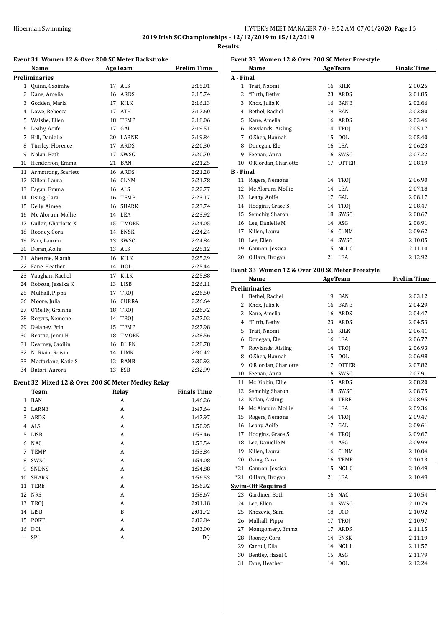| Hibernian Swimming | HY-TEK's MEET MANAGER 7.0 - 9:52 AM 07/01/2020 Page 16 |
|--------------------|--------------------------------------------------------|
|                    | 2019 Irish SC Championships - 12/12/2019 to 15/12/2019 |

**Results**

|                | Event 31 Women 12 & Over 200 SC Meter Backstroke   |                |             |                    |
|----------------|----------------------------------------------------|----------------|-------------|--------------------|
|                | Name                                               | <b>AgeTeam</b> |             | <b>Prelim Time</b> |
|                | <b>Preliminaries</b>                               |                |             |                    |
| 1              | Quinn, Caoimhe                                     | 17             | ALS         | 2:15.01            |
| $\overline{2}$ | Kane, Amelia                                       |                | 16 ARDS     | 2:15.74            |
|                | 3 Godden, Maria                                    |                | 17 KILK     | 2:16.13            |
|                | 4 Lowe, Rebecca                                    |                | 17 ATH      | 2:17.60            |
| 5              | Walshe, Ellen                                      |                | 18 TEMP     | 2:18.06            |
| 6              | Leahy, Aoife                                       |                | 17 GAL      | 2:19.51            |
| 7              | Hill, Danielle                                     |                | 20 LARNE    | 2:19.84            |
| 8              | Tinsley, Florence                                  |                | 17 ARDS     | 2:20.30            |
| 9              | Nolan, Beth                                        | 17             | SWSC        | 2:20.70            |
| 10             | Henderson, Emma                                    |                | 21 BAN      | 2:21.25            |
| 11             | Armstrong, Scarlett                                |                | 16 ARDS     | 2:21.28            |
| 12             | Killen, Laura                                      |                | 16 CLNM     | 2:21.78            |
| 13             | Fagan, Emma                                        |                | 16 ALS      | 2:22.77            |
|                | 14 Osing, Cara                                     |                | 16 TEMP     | 2:23.17            |
| 15             | Kelly, Aimee                                       |                | 16 SHARK    | 2:23.74            |
| 16             | Mc Alorum, Mollie                                  |                | 14 LEA      | 2:23.92            |
|                | 17 Cullen, Charlotte X                             |                | 15 TMORE    | 2:24.05            |
| 18             | Rooney, Cora                                       |                | 14 ENSK     | 2:24.24            |
| 19             | Farr, Lauren                                       |                | 13 SWSC     | 2:24.84            |
| 20             | Doran, Aoife                                       |                | 13 ALS      | 2:25.12            |
| 21             | Ahearne, Niamh                                     |                | 16 KILK     | 2:25.29            |
| 22             | Fane, Heather                                      |                | 14 DOL      | 2:25.44            |
| 23             | Vaughan, Rachel                                    | 17             | KILK        | 2:25.88            |
| 24             | Robson, Jessika K                                  |                | 13 LISB     | 2:26.11            |
| 25             | Mulhall, Pippa                                     | 17             | <b>TROJ</b> | 2:26.50            |
| 26             | Moore, Julia                                       |                | 16 CURRA    | 2:26.64            |
| 27             | O'Reilly, Grainne                                  |                | 18 TROJ     | 2:26.72            |
| 28             | Rogers, Nemone                                     |                | 14 TROJ     | 2:27.02            |
| 29             | Delaney, Erin                                      | 15             | TEMP        | 2:27.98            |
| 30             | Beattie, Jenni H                                   | 18             | TMORE       | 2:28.56            |
| 31             | Kearney, Caoilin                                   |                | 16 BL FN    | 2:28.78            |
| 32             | Ni Riain, Roisin                                   |                | 14 LIMK     | 2:30.42            |
| 33             | Macfarlane, Katie S                                | 12             | BANB        | 2:30.93            |
| 34             | Batori, Aurora                                     |                | 13 ESB      | 2:32.99            |
|                | Event 32 Mixed 12 & Over 200 SC Meter Medley Relay |                |             |                    |
|                | <b>Team</b>                                        |                | Relay       | <b>Finals Time</b> |
| $\mathbf{1}$   | BAN                                                |                | A           | 1:46.26            |
| $\overline{2}$ | LARNE                                              |                | A           | 1:47.64            |
| 3              | ARDS                                               |                | A           | 1:47.97            |
| 4              | ALS                                                |                | A           | 1:50.95            |

| 3        | ARDS         | A | 1:47.97 |
|----------|--------------|---|---------|
| 4        | ALS          | A | 1:50.95 |
| 5        | <b>LISB</b>  | Α | 1:53.46 |
| 6        | <b>NAC</b>   | A | 1:53.54 |
| 7        | <b>TEMP</b>  | A | 1:53.84 |
| 8        | SWSC         | А | 1:54.08 |
| 9        | <b>SNDNS</b> | A | 1:54.88 |
| 10       | <b>SHARK</b> | Α | 1:56.53 |
| 11       | <b>TERE</b>  | A | 1:56.92 |
| 12       | <b>NRS</b>   | А | 1:58.67 |
| 13       | <b>TROI</b>  | A | 2:01.18 |
| 14       | <b>LISB</b>  | B | 2:01.72 |
| 15       | PORT         | A | 2:02.84 |
| 16       | <b>DOL</b>   | Α | 2:03.90 |
| $\cdots$ | SPL          | A | DQ      |

| Event 33 Women 12 & Over 200 SC Meter Freestyle |                      |    |                |                    |  |
|-------------------------------------------------|----------------------|----|----------------|--------------------|--|
|                                                 | Name                 |    | <b>AgeTeam</b> | <b>Finals Time</b> |  |
| A - Final                                       |                      |    |                |                    |  |
| 1                                               | Trait, Naomi         | 16 | <b>KILK</b>    | 2:00.25            |  |
| $\mathcal{L}$                                   | *Firth, Bethy        | 23 | <b>ARDS</b>    | 2:01.85            |  |
| 3                                               | Knox, Julia K        | 16 | <b>BANB</b>    | 2:02.66            |  |
| 4                                               | Bethel, Rachel       | 19 | <b>BAN</b>     | 2:02.80            |  |
| 5                                               | Kane, Amelia         | 16 | <b>ARDS</b>    | 2:03.46            |  |
| 6                                               | Rowlands, Aisling    | 14 | <b>TROI</b>    | 2:05.17            |  |
| 7                                               | O'Shea, Hannah       | 15 | DOL            | 2:05.40            |  |
| 8                                               | Donegan, Éle         | 16 | LEA            | 2:06.23            |  |
| 9                                               | Feenan, Anna         | 16 | SWSC           | 2:07.22            |  |
| 10                                              | O'Riordan, Charlotte | 17 | <b>OTTER</b>   | 2:08.19            |  |
| <b>B</b> - Final                                |                      |    |                |                    |  |
| 11                                              | Rogers, Nemone       | 14 | TROI           | 2:06.90            |  |
| 12                                              | Mc Alorum, Mollie    | 14 | LEA            | 2:07.18            |  |
| 13                                              | Leahy, Aoife         | 17 | GAL.           | 2:08.17            |  |
| 14                                              | Hodgins, Grace S     | 14 | <b>TROI</b>    | 2:08.47            |  |
| 15                                              | Semchiy, Sharon      | 18 | SWSC           | 2:08.67            |  |
| 16                                              | Lee, Danielle M      | 14 | ASG            | 2:08.91            |  |
| 17                                              | Killen, Laura        | 16 | <b>CLNM</b>    | 2:09.62            |  |
| 18                                              | Lee, Ellen           | 14 | SWSC           | 2:10.05            |  |
| 19                                              | Gannon, Jessica      | 15 | NCL C          | 2:11.10            |  |
| 20                                              | O'Hara, Brogán       | 21 | LEA            | 2:12.92            |  |

### **Event 33 Women 12 & Over 200 SC Meter Freestyle**

|       | Name                     |         | <b>AgeTeam</b> | <b>Prelim Time</b> |
|-------|--------------------------|---------|----------------|--------------------|
|       | <b>Preliminaries</b>     |         |                |                    |
|       | 1 Bethel, Rachel         |         | 19 BAN         | 2:03.12            |
| 2     | Knox, Julia K            | 16      | <b>BANB</b>    | 2:04.29            |
| 3     | Kane, Amelia             | 16      | ARDS           | 2:04.47            |
| 4     | *Firth, Bethy            | 23      | ARDS           | 2:04.53            |
| 5     | Trait, Naomi             | 16      | KILK           | 2:06.41            |
| 6     | Donegan, Éle             |         | 16 LEA         | 2:06.77            |
| 7     | Rowlands, Aisling        | 14      | <b>TROI</b>    | 2:06.93            |
| 8     | O'Shea, Hannah           | 15      | <b>DOL</b>     | 2:06.98            |
| 9     | O'Riordan, Charlotte     | 17      | <b>OTTER</b>   | 2:07.82            |
| 10    | Feenan, Anna             |         | 16 SWSC        | 2:07.91            |
| 11    | Mc Kibbin, Ellie         |         | 15 ARDS        | 2:08.20            |
| 12    | Semchiy, Sharon          | 18      | SWSC           | 2:08.75            |
| 13    | Nolan, Aisling           | 18      | <b>TERE</b>    | 2:08.95            |
| 14    | Mc Alorum, Mollie        | 14      | <b>LEA</b>     | 2:09.36            |
| 15    | Rogers, Nemone           | 14      | TROJ           | 2:09.47            |
| 16    | Leahy, Aoife             | 17      | GAL            | 2:09.61            |
| 17    | Hodgins, Grace S         | 14      | TROI           | 2:09.67            |
| 18    | Lee, Danielle M          | 14      | ASG            | 2:09.99            |
| 19    | Killen, Laura            | 16      | <b>CLNM</b>    | 2:10.04            |
| 20    | Osing, Cara              | 16      | TEMP           | 2:10.13            |
| $*21$ | Gannon, Jessica          | $15-15$ | NCLC           | 2:10.49            |
| $*21$ | O'Hara, Brogán           | 21      | LEA            | 2:10.49            |
|       | <b>Swim-Off Required</b> |         |                |                    |
| 23    | Gardiner, Beth           | 16      | <b>NAC</b>     | 2:10.54            |
| 24    | Lee, Ellen               | 14      | SWSC           | 2:10.79            |
| 25    | Knezevic, Sara           | 18      | <b>UCD</b>     | 2:10.92            |
| 26    | Mulhall, Pippa           | 17      | <b>TROI</b>    | 2:10.97            |
| 27    | Montgomery, Emma         | 17      | ARDS           | 2:11.15            |
| 28    | Rooney, Cora             | 14      | <b>ENSK</b>    | 2:11.19            |
| 29    | Carroll, Ella            | 14      | <b>NCLL</b>    | 2:11.57            |
| 30    | Bentley, Hazel C         | 15      | ASG            | 2:11.79            |
| 31    | Fane, Heather            | 14      | <b>DOL</b>     | 2:12.24            |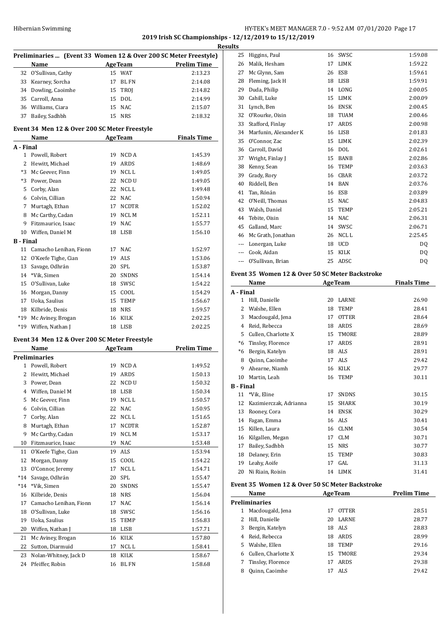# HY-TEK's MEET MANAGER 7.0 - 9:52 AM 07/01/2020 Page 17 **2019 Irish SC Championships - 12/12/2019 to 15/12/2019 Results**

|                  |                                               |    |                | ŀ                                                                |
|------------------|-----------------------------------------------|----|----------------|------------------------------------------------------------------|
|                  |                                               |    |                | Preliminaries  (Event 33 Women 12 & Over 200 SC Meter Freestyle) |
|                  | Name                                          |    | <b>AgeTeam</b> | Prelim Time                                                      |
| 32               | O'Sullivan, Cathy                             |    | 15 WAT         | 2:13.23                                                          |
|                  | 33 Kearney, Sorcha                            |    | 17 BL FN       | 2:14.08                                                          |
|                  | 34 Dowling, Caoimhe                           |    | 15 TROJ        | 2:14.82                                                          |
|                  | 35 Carroll, Anna                              |    | 15 DOL         | 2:14.99                                                          |
|                  | 36 Williams, Ciara                            |    | 15 NAC         | 2:15.07                                                          |
| 37               | Bailey, Sadhbh                                |    | 15 NRS         | 2:18.32                                                          |
|                  |                                               |    |                |                                                                  |
|                  | Event 34 Men 12 & Over 200 SC Meter Freestyle |    |                |                                                                  |
|                  | Name                                          |    | <b>AgeTeam</b> | <b>Finals Time</b>                                               |
| A - Final        |                                               |    |                |                                                                  |
|                  | 1 Powell, Robert                              | 19 | NCD A          | 1:45.39                                                          |
|                  | 2 Hewitt, Michael                             | 19 | ARDS           | 1:48.69                                                          |
|                  | *3 Mc Geever, Finn                            | 19 | NCL L          | 1:49.05                                                          |
|                  | *3 Power, Dean                                | 22 | NCD U          | 1:49.05                                                          |
|                  | 5 Corby, Alan                                 |    | 22 NCL L       | 1:49.48                                                          |
|                  | 6 Colvin, Cillian                             |    | 22 NAC         | 1:50.94                                                          |
|                  | 7 Murtagh, Ethan                              |    | 17 NCDTR       | 1:52.02                                                          |
|                  | 8 Mc Carthy, Cadan                            |    | 19 NCL M       | 1:52.11                                                          |
|                  | 9 Fitzmaurice, Isaac                          |    | 19 NAC         | 1:55.77                                                          |
|                  | 10 Wiffen, Daniel M                           | 18 | LISB           | 1:56.10                                                          |
| <b>B</b> - Final |                                               |    |                |                                                                  |
|                  | 11 Camacho Lenihan. Fionn                     | 17 | NAC            | 1:52.97                                                          |
| 12               | O'Keefe Tighe, Cian                           | 19 | <b>ALS</b>     | 1:53.06                                                          |
| 13               | Savage, Odhrán                                | 20 | SPL            | 1:53.87                                                          |
|                  | 14 *Vik, Simen                                | 20 | <b>SNDNS</b>   | 1:54.14                                                          |
| 15               | O'Sullivan, Luke                              | 18 | SWSC           | 1:54.22                                                          |
|                  | 16 Morgan, Danny                              |    | 15 COOL        | 1:54.29                                                          |
|                  | 17 Uoka, Saulius                              |    | 15 TEMP        | 1:56.67                                                          |
|                  | 18 Kilbride, Denis                            | 18 | NRS            | 1:59.57                                                          |
| $*19$            |                                               | 16 | KILK           | 2:02.25                                                          |
| $*19$            | Mc Aviney, Brogan                             |    |                | 2:02.25                                                          |
|                  | Wiffen, Nathan J                              | 18 | LISB           |                                                                  |
|                  | Event 34 Men 12 & Over 200 SC Meter Freestyle |    |                |                                                                  |
|                  | Name                                          |    | <b>AgeTeam</b> | <b>Prelim Time</b>                                               |
|                  | <b>Preliminaries</b>                          |    |                |                                                                  |
|                  | 1 Powell, Robert                              | 19 | NCD A          | 1:49.52                                                          |
|                  | 2 Hewitt, Michael                             | 19 | <b>ARDS</b>    | 1:50.13                                                          |
| 3                | Power, Dean                                   | 22 | NCD U          | 1:50.32                                                          |
| 4                | Wiffen, Daniel M                              | 18 | LISB           | 1:50.34                                                          |
| 5                | Mc Geever, Finn                               | 19 | NCL L          | 1:50.57                                                          |
| 6                | Colvin, Cillian                               | 22 | <b>NAC</b>     | 1:50.95                                                          |
| 7                | Corby, Alan                                   | 22 | NCL L          | 1:51.65                                                          |
| 8                | Murtagh, Ethan                                | 17 | NCDTR          | 1:52.87                                                          |
| 9                | Mc Carthy, Cadan                              | 19 | NCL M          | 1:53.17                                                          |
| 10               | Fitzmaurice, Isaac                            | 19 | <b>NAC</b>     | 1:53.48                                                          |
| 11               | O'Keefe Tighe, Cian                           | 19 | ALS            | 1:53.94                                                          |
| 12               | Morgan, Danny                                 | 15 | COOL           | 1:54.22                                                          |
| 13               | O'Connor, Jeremy                              | 17 | NCL L          | 1:54.71                                                          |
| $*14$            | Savage, Odhrán                                | 20 | SPL            | 1:55.47                                                          |
| $*14$            | *Vik, Simen                                   | 20 | SNDNS          | 1:55.47                                                          |
|                  |                                               |    |                |                                                                  |
| 16               | Kilbride, Denis<br>Camacho Lenihan, Fionn     | 18 | <b>NRS</b>     | 1:56.04                                                          |
| 17               |                                               | 17 | NAC            | 1:56.14                                                          |
| 18               | O'Sullivan, Luke                              | 18 | SWSC           | 1:56.16                                                          |
| 19               | Uoka, Saulius                                 | 15 | TEMP           | 1:56.83                                                          |
| 20               | Wiffen, Nathan J                              | 18 | LISB           | 1:57.71                                                          |
| 21               | Mc Aviney, Brogan                             | 16 | KILK           | 1:57.80                                                          |
| 22               | Sutton, Diarmuid                              | 17 | NCL L          | 1:58.41                                                          |
| 23               | Nolan-Whitney, Jack D                         | 18 | KILK           | 1:58.67                                                          |
| 24               | Pfeiffer, Robin                               | 16 | BL FN          | 1:58.68                                                          |

| 25                     | Higgins, Paul                                   |    | 16 SWSC        | 1:59.08            |
|------------------------|-------------------------------------------------|----|----------------|--------------------|
|                        | 26 Malik, Hesham                                |    | 17 LIMK        | 1:59.22            |
|                        | 27 Mc Glynn, Sam                                |    | 26 ESB         | 1:59.61            |
|                        | 28 Fleming, Jack H                              |    | 18 LISB        | 1:59.91            |
|                        | 29 Duda, Philip                                 |    | 14 LONG        | 2:00.05            |
| 30                     | Cahill, Luke                                    |    | 15 LIMK        | 2:00.09            |
| 31                     | Lynch, Ben                                      |    | 16 ENSK        | 2:00.45            |
| 32                     | O'Rourke, Oisin                                 |    | 18 TUAM        | 2:00.46            |
|                        | 33 Stafford, Finlay                             |    | 17 ARDS        | 2:00.98            |
|                        | 34 Marfunin, Alexander K                        |    | 16 LISB        | 2:01.83            |
|                        | 35 O'Connor, Zac                                | 15 | LIMK           | 2:02.39            |
|                        | 36 Carroll, David                               |    | 16 DOL         | 2:02.61            |
|                        | 37 Wright, Finlay J                             |    | 15 BANB        | 2:02.86            |
|                        | 38 Kenny, Sean                                  |    | 16 TEMP        | 2:03.63            |
|                        | 39 Grady, Rory                                  |    | 16 CBAR        | 2:03.72            |
| 40                     | Riddell, Ben                                    |    | 14 BAN         | 2:03.76            |
| 41                     | Tan, Rónán                                      |    | 16 ESB         | 2:03.89            |
| 42                     | O'Neill, Thomas                                 |    | 15 NAC         | 2:04.83            |
| 43                     | Walsh, Daniel                                   | 15 | TEMP           | 2:05.21            |
| 44                     | Tebite, Oisin                                   | 14 | <b>NAC</b>     | 2:06.31            |
|                        | 45 Galland, Marc                                | 14 | SWSC           | 2:06.71            |
|                        | 46 Mc Grath, Jonathan                           | 26 | NCL L          | 2:25.45            |
|                        | --- Lonergan, Luke                              |    | 18 UCD         |                    |
|                        | --- Cook, Aidan                                 | 15 | KILK           | DQ<br>DQ           |
|                        | --- O'Sullivan, Brian                           |    | 25 ADSC        | DQ                 |
|                        |                                                 |    |                |                    |
|                        | Event 35 Women 12 & Over 50 SC Meter Backstroke |    |                |                    |
|                        | <b>Name</b>                                     |    | <b>AgeTeam</b> | <b>Finals Time</b> |
| A - Final              |                                                 |    |                |                    |
|                        | 1 Hill, Danielle                                |    | 20 LARNE       | 26.90              |
|                        | 2 Walshe, Ellen                                 | 18 | TEMP           | 28.41              |
| 3                      | Macdougald, Jena                                | 17 | <b>OTTER</b>   | 28.64              |
|                        |                                                 |    |                |                    |
| 4                      | Reid, Rebecca                                   |    | 18 ARDS        | 28.69              |
| 5                      | Cullen, Charlotte X                             | 15 | TMORE          | 28.89              |
| $*6$                   | Tinsley, Florence                               | 17 | ARDS           | 28.91              |
|                        | *6 Bergin, Katelyn                              |    | 18 ALS         | 28.91              |
| 8                      | Quinn, Caoimhe                                  | 17 | ALS            | 29.42              |
| 9                      | Ahearne, Niamh                                  | 16 | KILK           | 29.77              |
|                        | 10 Martin, Leah                                 | 16 | <b>TEMP</b>    | 30.11              |
|                        |                                                 |    |                |                    |
| <b>B</b> - Final<br>11 | *Vik, Eline                                     | 17 | <b>SNDNS</b>   | 30.15              |
|                        | 12 Kazimierczak, Adrianna                       | 15 | SHARK          | 30.19              |
|                        | 13 Rooney, Cora                                 |    | 14 ENSK        | 30.29              |
|                        | 14 Fagan, Emma                                  |    | 16 ALS         | 30.41              |
|                        | 15 Killen, Laura                                | 16 | <b>CLNM</b>    | 30.54              |
|                        | 16 Kilgallen, Megan                             |    | 17 CLM         | 30.71              |
|                        | 17 Bailey, Sadhbh                               |    | 15 NRS         | 30.77              |
|                        |                                                 |    | 15 TEMP        | 30.83              |
|                        | 18 Delaney, Erin                                | 17 | GAL            |                    |
|                        | 19 Leahy, Aoife                                 |    | 14 LIMK        | 31.13              |
| 20                     | Ni Riain, Roisin                                |    |                | 31.41              |
|                        | Event 35 Women 12 & Over 50 SC Meter Backstroke |    |                |                    |
|                        | <b>Name</b>                                     |    | <b>AgeTeam</b> | <b>Prelim Time</b> |
|                        | <b>Preliminaries</b>                            |    |                |                    |
|                        | 1 Macdougald, Jena                              | 17 | <b>OTTER</b>   | 28.51              |
|                        | 2 Hill, Danielle                                |    | 20 LARNE       | 28.77              |
|                        | 3 Bergin, Katelyn                               |    | 18 ALS         | 28.83              |
|                        | 4 Reid, Rebecca                                 |    | 18 ARDS        | 28.99              |
|                        | 5 Walshe, Ellen                                 |    | 18 TEMP        | 29.16              |
|                        | 6 Cullen, Charlotte X                           | 15 | TMORE          | 29.34              |
| 7                      | Tinsley, Florence                               | 17 | ARDS           | 29.38              |
| 8                      | Quinn, Caoimhe                                  | 17 | ALS            | 29.42              |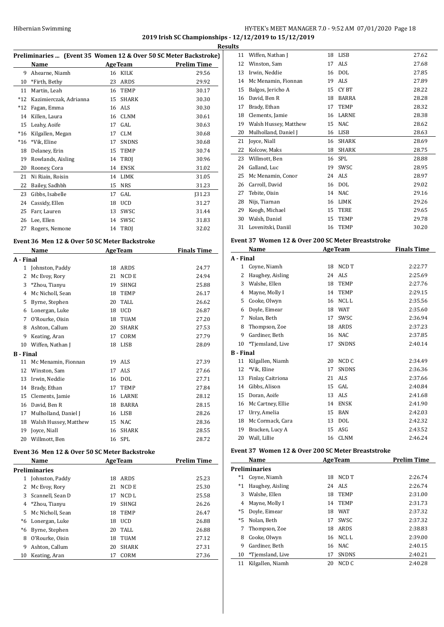# HY-TEK's MEET MANAGER 7.0 - 9:52 AM 07/01/2020 Page 18 **2019 Irish SC Championships - 12/12/2019 to 15/12/2019**

|                |                                               |    |                | Preliminaries  (Event 35 Women 12 & Over 50 SC Meter Backstroke) |
|----------------|-----------------------------------------------|----|----------------|------------------------------------------------------------------|
|                | Name                                          |    | <b>AgeTeam</b> | <b>Prelim Time</b>                                               |
| 9              | Ahearne, Niamh                                | 16 | KILK           | 29.56                                                            |
| 10             | *Firth, Bethy                                 | 23 | ARDS           | 29.92                                                            |
| 11             | Martin, Leah                                  |    | 16 TEMP        | 30.17                                                            |
| $*12$          | Kazimierczak, Adrianna                        | 15 | <b>SHARK</b>   | 30.30                                                            |
| $*12$          | Fagan, Emma                                   |    | 16 ALS         | 30.30                                                            |
| 14             | Killen, Laura                                 |    | 16 CLNM        | 30.61                                                            |
| 15             | Leahy, Aoife                                  | 17 | GAL            | 30.63                                                            |
| $*16$          | Kilgallen, Megan                              | 17 | <b>CLM</b>     | 30.68                                                            |
| $*16$          | *Vik, Eline                                   | 17 | <b>SNDNS</b>   | 30.68                                                            |
| 18             | Delaney, Erin                                 | 15 | TEMP           | 30.74                                                            |
| 19             | Rowlands, Aisling                             | 14 | TROJ           | 30.96                                                            |
| 20             | Rooney, Cora                                  |    | 14 ENSK        | 31.02                                                            |
| 21             | Ni Riain, Roisin                              | 14 | LIMK           | 31.05                                                            |
| 22             | Bailey, Sadhbh                                | 15 | NRS            | 31.23                                                            |
| 23             | Gibbs, Isabelle                               | 17 | GAL            | J31.23                                                           |
| 24             | Cassidy, Ellen                                | 18 | UCD            | 31.27                                                            |
| 25             | Farr, Lauren                                  | 13 | SWSC           | 31.44                                                            |
| 26             | Lee, Ellen                                    | 14 | SWSC           | 31.83                                                            |
| 27             | Rogers, Nemone                                | 14 | TROJ           | 32.02                                                            |
|                | Event 36 Men 12 & Over 50 SC Meter Backstroke |    |                |                                                                  |
|                | Name                                          |    | <b>AgeTeam</b> | <b>Finals Time</b>                                               |
| A - Final      |                                               |    |                |                                                                  |
| $\mathbf{1}$   | Johnston, Paddy                               |    | 18 ARDS        | 24.77                                                            |
| $\overline{2}$ | Mc Evoy, Rory                                 |    | 21 NCD E       | 24.94                                                            |
| 3              | *Zhou, Tianyu                                 | 19 | SHNGI          | 25.88                                                            |
| $\overline{4}$ | Mc Nicholl, Sean                              |    | 18 TEMP        | 26.17                                                            |
| 5              | Byrne, Stephen                                |    | 20 TALL        | 26.62                                                            |
|                | 6 Lonergan, Luke                              |    | 18 UCD         | 26.87                                                            |
| 7              | O'Rourke, Oisin                               | 18 | TUAM           | 27.20                                                            |
| 8              | Ashton, Callum                                | 20 | <b>SHARK</b>   | 27.53                                                            |
| 9              | Keating, Aran                                 | 17 | CORM           | 27.79                                                            |
| 10             | Wiffen, Nathan J                              | 18 | LISB           | 28.09                                                            |
| B - Final      |                                               |    |                |                                                                  |
| 11             | Mc Menamin, Fionnan                           |    | 19 ALS         | 27.39                                                            |
| 12             | Winston, Sam                                  | 17 | ALS            | 27.66                                                            |
| 13             | Irwin, Neddie                                 |    | 16 DOL         | 27.71                                                            |
| 14             | Brady, Ethan                                  | 17 | <b>TEMP</b>    | 27.84                                                            |
| 15             | Clements, Jamie                               |    | 16 LARNE       | 28.12                                                            |
| 16             | David, Ben R                                  |    | 18 BARRA       | 28.15                                                            |
| 17             | Mulholland, Daniel J                          | 16 | LISB           | 28.26                                                            |
| 18             | Walsh Hussey, Matthew                         | 15 | <b>NAC</b>     | 28.36                                                            |

### **Event 36 Men 12 & Over 50 SC Meter Backstroke**

|               | Name             |    | <b>AgeTeam</b>   | <b>Prelim Time</b> |  |  |
|---------------|------------------|----|------------------|--------------------|--|--|
| Preliminaries |                  |    |                  |                    |  |  |
|               | Johnston, Paddy  | 18 | ARDS             | 25.23              |  |  |
| 2             | Mc Evoy, Rory    | 21 | NCD E            | 25.30              |  |  |
| 3             | Scannell, Sean D | 17 | NCD <sub>L</sub> | 25.58              |  |  |
| 4             | *Zhou, Tianyu    | 19 | <b>SHNGI</b>     | 26.26              |  |  |
| 5.            | Mc Nicholl, Sean | 18 | <b>TEMP</b>      | 26.47              |  |  |
| *6            | Lonergan, Luke   | 18 | <b>UCD</b>       | 26.88              |  |  |
| *6            | Byrne, Stephen   | 20 | TALL             | 26.88              |  |  |
| 8             | O'Rourke, Oisin  | 18 | TUAM             | 27.12              |  |  |
| 9             | Ashton, Callum   | 20 | <b>SHARK</b>     | 27.31              |  |  |
| 10            | Keating, Aran    | 17 | CORM             | 27.36              |  |  |

 Joyce, Niall 16 SHARK 28.55 Willmott, Ben 16 SPL 28.72

|    | <b>Results</b> |                       |    |              |       |  |
|----|----------------|-----------------------|----|--------------|-------|--|
| :) | 11             | Wiffen, Nathan J      | 18 | LISB         | 27.62 |  |
| -  | 12             | Winston, Sam          | 17 | <b>ALS</b>   | 27.68 |  |
|    | 13             | Irwin, Neddie         | 16 | <b>DOL</b>   | 27.85 |  |
|    | 14             | Mc Menamin, Fionnan   | 19 | <b>ALS</b>   | 27.89 |  |
|    | 15             | Balgos, Jericho A     | 15 | CY BT        | 28.22 |  |
|    | 16             | David, Ben R          | 18 | <b>BARRA</b> | 28.28 |  |
|    | 17             | Brady, Ethan          | 17 | <b>TEMP</b>  | 28.32 |  |
|    | 18             | Clements, Jamie       | 16 | LARNE        | 28.38 |  |
|    | 19             | Walsh Hussey, Matthew | 15 | NAC          | 28.62 |  |
|    | 20             | Mulholland, Daniel J  | 16 | <b>LISB</b>  | 28.63 |  |
|    | 21             | Joyce, Niall          | 16 | <b>SHARK</b> | 28.69 |  |
|    | 22             | Kolcow, Maks          | 18 | <b>SHARK</b> | 28.75 |  |
|    | 23             | Willmott, Ben         | 16 | SPL          | 28.88 |  |
|    | 24             | Galland, Luc          | 19 | SWSC         | 28.95 |  |
|    | 25             | Mc Menamin, Conor     | 24 | <b>ALS</b>   | 28.97 |  |
|    | 26             | Carroll, David        | 16 | <b>DOL</b>   | 29.02 |  |
|    | 27             | Tebite, Oisin         | 14 | <b>NAC</b>   | 29.16 |  |
|    | 28             | Nijs, Tiarnan         | 16 | LIMK         | 29.26 |  |
|    | 29             | Keogh, Michael        | 15 | <b>TERE</b>  | 29.65 |  |
|    | 30             | Walsh, Daniel         | 15 | <b>TEMP</b>  | 29.78 |  |
|    | 31             | Lovenitski, Daniil    | 16 | <b>TEMP</b>  | 30.20 |  |

### **Event 37 Women 12 & Over 200 SC Meter Breaststroke**

|                  | Name              |    | <b>AgeTeam</b>   | <b>Finals Time</b> |
|------------------|-------------------|----|------------------|--------------------|
| A - Final        |                   |    |                  |                    |
| 1                | Coyne, Niamh      | 18 | NCD T            | 2:22.77            |
| 2                | Haughey, Aisling  | 24 | ALS <sub></sub>  | 2:25.69            |
| 3                | Walshe, Ellen     | 18 | <b>TEMP</b>      | 2:27.76            |
| 4                | Mayne, Molly I    | 14 | <b>TEMP</b>      | 2:29.15            |
| 5                | Cooke, Olwyn      | 16 | NCL L            | 2:35.56            |
| 6                | Doyle, Eimear     | 18 | <b>WAT</b>       | 2:35.60            |
| 7                | Nolan, Beth       | 17 | SWSC             | 2:36.94            |
| 8                | Thompson, Zoe     | 18 | ARDS             | 2:37.23            |
| 9                | Gardiner, Beth    | 16 | <b>NAC</b>       | 2:37.85            |
| 10               | *Tjemsland, Live  | 17 | <b>SNDNS</b>     | 2:40.14            |
| <b>B</b> - Final |                   |    |                  |                    |
| 11               | Kilgallen, Niamh  | 20 | NCD <sub>C</sub> | 2:34.49            |
| 12               | *Vik, Eline       | 17 | <b>SNDNS</b>     | 2:36.36            |
| 13               | Finlay, Caitriona | 21 | ALS.             | 2:37.66            |
| 14               | Gibbs, Alison     | 15 | GAL              | 2:40.84            |
| 15               | Doran, Aoife      | 13 | <b>ALS</b>       | 2:41.68            |
| 16               | Mc Cartney, Ellie | 14 | <b>ENSK</b>      | 2:41.90            |
| 17               | Urry, Amelia      | 15 | <b>BAN</b>       | 2:42.03            |
| 18               | Mc Cormack, Cara  | 13 | <b>DOL</b>       | 2:42.32            |
| 19               | Bracken, Lucy A   | 15 | ASG              | 2:43.52            |
| 20               | Wall, Lillie      | 16 | <b>CLNM</b>      | 2:46.24            |

## **Event 37 Women 12 & Over 200 SC Meter Breaststroke**

|            | Name                 |    | <b>AgeTeam</b> | <b>Prelim Time</b> |  |  |  |
|------------|----------------------|----|----------------|--------------------|--|--|--|
|            | <b>Preliminaries</b> |    |                |                    |  |  |  |
| $^{\ast}1$ | Coyne, Niamh         | 18 | NCD T          | 2:26.74            |  |  |  |
| $^*1$      | Haughey, Aisling     |    | 24 ALS         | 2:26.74            |  |  |  |
| 3          | Walshe, Ellen        | 18 | <b>TEMP</b>    | 2:31.00            |  |  |  |
| 4          | Mayne, Molly I       | 14 | <b>TEMP</b>    | 2:31.73            |  |  |  |
| $*5$       | Doyle, Eimear        | 18 | <b>WAT</b>     | 2:37.32            |  |  |  |
| $*5$       | Nolan, Beth          | 17 | SWSC.          | 2:37.32            |  |  |  |
| 7          | Thompson, Zoe        | 18 | <b>ARDS</b>    | 2:38.83            |  |  |  |
| 8          | Cooke, Olwyn         | 16 | NCL L          | 2:39.00            |  |  |  |
| 9          | Gardiner, Beth       | 16 | NAC.           | 2:40.15            |  |  |  |
| 10         | *Tiemsland, Live     | 17 | <b>SNDNS</b>   | 2:40.21            |  |  |  |
| 11         | Kilgallen, Niamh     | 20 | NCD C          | 2:40.28            |  |  |  |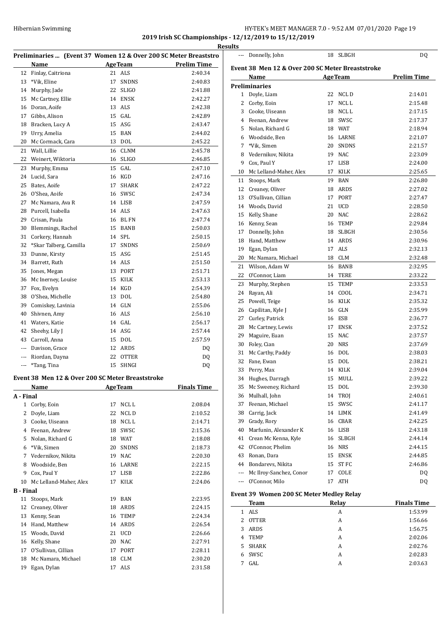# HY-TEK's MEET MANAGER 7.0 - 9:52 AM 07/01/2020 Page 19 **2019 Irish SC Championships - 12/12/2019 to 15/12/2019**

**Results**

 $\overline{a}$ 

 $\overline{a}$ 

|                  |                                                  |    |                | Preliminaries  (Event 37 Women 12 & Over 200 SC Meter Breaststro |
|------------------|--------------------------------------------------|----|----------------|------------------------------------------------------------------|
|                  | Name                                             |    | <b>AgeTeam</b> | <b>Prelim Time</b>                                               |
| 12               | Finlay, Caitriona                                |    | 21 ALS         | 2:40.34                                                          |
| 13               | *Vik, Eline                                      | 17 | <b>SNDNS</b>   | 2:40.83                                                          |
| 14               | Murphy, Jade                                     | 22 | <b>SLIGO</b>   | 2:41.88                                                          |
| 15               | Mc Cartney, Ellie                                |    | 14 ENSK        | 2:42.27                                                          |
| 16               | Doran, Aoife                                     |    | 13 ALS         | 2:42.38                                                          |
| 17               | Gibbs, Alison                                    |    | 15 GAL         | 2:42.89                                                          |
| 18               | Bracken, Lucy A                                  |    | 15 ASG         | 2:43.47                                                          |
| 19               | Urry, Amelia                                     |    | 15 BAN         | 2:44.02                                                          |
| 20               | Mc Cormack, Cara                                 |    | 13 DOL         | 2:45.22                                                          |
| 21               | Wall, Lillie                                     |    | 16 CLNM        | 2:45.78                                                          |
| 22               | Weinert, Wiktoria                                |    | 16 SLIGO       | 2:46.85                                                          |
| 23               | Murphy, Emma                                     |    | 15 GAL         | 2:47.10                                                          |
| 24               | Lucid, Sara                                      |    | 16 KGD         | 2:47.16                                                          |
| 25               | Bates, Aoife                                     | 17 | SHARK          | 2:47.22                                                          |
| 26               | O'Shea, Aoife                                    |    | 16 SWSC        | 2:47.34                                                          |
| 27               | Mc Namara, Ava R                                 |    | 14 LISB        | 2:47.59                                                          |
| 28               | Purcell, Isabella                                |    | 14 ALS         | 2:47.63                                                          |
| 29               |                                                  |    | 16 BL FN       | 2:47.74                                                          |
| 30               | Crisan, Paula<br>Blemmings, Rachel               |    | 15 BANB        | 2:50.03                                                          |
|                  |                                                  |    |                |                                                                  |
| 31               | Corkery, Hannah                                  |    | 14 SPL         | 2:50.15                                                          |
| 32               | *Skar Talberg, Camilla                           |    | 17 SNDNS       | 2:50.69                                                          |
| 33               | Dunne, Kirsty                                    |    | 15 ASG         | 2:51.45                                                          |
| 34               | Barrett, Ruth                                    |    | 14 ALS         | 2:51.50                                                          |
| 35               | Jones, Megan                                     |    | 13 PORT        | 2:51.71                                                          |
| 36               | Mc Inerney, Louise                               |    | 15 KILK        | 2:53.13                                                          |
| 37               | Fox, Evelyn                                      |    | 14 KGD         | 2:54.39                                                          |
| 38               | O'Shea, Michelle                                 |    | 13 DOL         | 2:54.80                                                          |
| 39               | Comiskey, Lavinia                                |    | 14 GLN         | 2:55.06                                                          |
| 40               | Shivnen, Amy                                     |    | 16 ALS         | 2:56.10                                                          |
| 41               | Waters, Katie                                    |    | 14 GAL         | 2:56.17                                                          |
| 42               | Sheehy, Lily J                                   |    | 14 ASG         | 2:57.44                                                          |
| 43               | Carroll, Anna                                    |    | 15 DOL         | 2:57.59                                                          |
|                  | --- Davison, Grace                               |    | 12 ARDS        | DQ                                                               |
|                  | --- Riordan, Dayna                               |    | 22 OTTER       | DQ                                                               |
| ---              | *Tang, Tina                                      | 15 | SHNGI          | DQ                                                               |
|                  | Event 38 Men 12 & Over 200 SC Meter Breaststroke |    |                |                                                                  |
|                  | <b>Name</b>                                      |    | <b>AgeTeam</b> | <b>Finals Time</b>                                               |
| A - Final        |                                                  |    |                |                                                                  |
| $\mathbf{1}$     | Corby, Eoin                                      | 17 | NCL L          | 2:08.04                                                          |
| 2                | Doyle, Liam                                      | 22 | NCL D          | 2:10.52                                                          |
| 3                | Cooke, Uiseann                                   | 18 | NCL L          | 2:14.71                                                          |
| 4                | Feenan, Andrew                                   | 18 | SWSC           | 2:15.36                                                          |
| 5                | Nolan, Richard G                                 |    | 18 WAT         | 2:18.08                                                          |
| 6                | *Vik, Simen                                      | 20 | SNDNS          | 2:18.73                                                          |
| 7                | Vedernikov, Nikita                               |    | 19 NAC         | 2:20.30                                                          |
| 8                | Woodside, Ben                                    |    | 16 LARNE       | 2:22.15                                                          |
| 9                | Cox, Paul Y                                      |    | 17 LISB        | 2:22.86                                                          |
| 10               | Mc Lelland-Maher, Alex                           | 17 | KILK           | 2:24.06                                                          |
| <b>B</b> - Final |                                                  |    |                |                                                                  |
| 11               | Stoops, Mark                                     |    | 19 BAN         | 2:23.95                                                          |
| 12               | Creaney, Oliver                                  |    | 18 ARDS        | 2:24.15                                                          |
| 13               | Kenny, Sean                                      |    | 16 TEMP        | 2:24.34                                                          |
| 14               | Hand, Matthew                                    |    |                |                                                                  |
| 15               |                                                  |    | 14 ARDS        | 2:26.54                                                          |
|                  | Woods, David                                     |    | 21 UCD         | 2:26.66                                                          |
| 16               | Kelly, Shane                                     |    | 20 NAC         | 2:27.91                                                          |
| 17               | O'Sullivan, Cillian                              | 17 | PORT           | 2:28.11                                                          |
| 18               | Mc Namara, Michael                               | 18 | CLM            | 2:30.20                                                          |
| 19               | Egan, Dylan                                      | 17 | ALS            | 2:31.58                                                          |

| <u>uits</u>  |                                                  |    |                |                    |
|--------------|--------------------------------------------------|----|----------------|--------------------|
| ---          | Donnelly, John                                   | 18 | SLBGH          | DQ                 |
|              | Event 38 Men 12 & Over 200 SC Meter Breaststroke |    |                |                    |
|              | Name                                             |    | <b>AgeTeam</b> | <b>Prelim Time</b> |
|              | <b>Preliminaries</b>                             |    |                |                    |
| $\mathbf{1}$ | Doyle, Liam                                      | 22 | NCL D          | 2:14.01            |
| 2            | Corby, Eoin                                      | 17 | NCL L          | 2:15.48            |
| 3            | Cooke, Uiseann                                   | 18 | NCL L          | 2:17.15            |
|              | 4 Feenan, Andrew                                 | 18 | SWSC           | 2:17.37            |
| 5            | Nolan, Richard G                                 |    | 18 WAT         | 2:18.94            |
| 6            | Woodside, Ben                                    |    | 16 LARNE       | 2:21.07            |
| 7            | *Vik, Simen                                      | 20 | SNDNS          | 2:21.57            |
| 8            | Vedernikov, Nikita                               | 19 | <b>NAC</b>     | 2:23.09            |
| 9            | Cox, Paul Y                                      | 17 | LISB           | 2:24.00            |
| 10           | Mc Lelland-Maher, Alex                           | 17 | KILK           | 2:25.65            |
| 11           | Stoops, Mark                                     | 19 | BAN            | 2:26.80            |
| 12           | Creaney, Oliver                                  | 18 | ARDS           | 2:27.02            |
| 13           | O'Sullivan, Cillian                              | 17 | PORT           | 2:27.47            |
| 14           | Woods, David                                     | 21 | <b>UCD</b>     | 2:28.50            |
| 15           | Kelly, Shane                                     | 20 | <b>NAC</b>     | 2:28.62            |
| 16           | Kenny, Sean                                      | 16 | <b>TEMP</b>    | 2:29.84            |
| 17           | Donnelly, John                                   | 18 | SLBGH          | 2:30.56            |
| 18           | Hand, Matthew                                    | 14 | ARDS           | 2:30.96            |
| 19           | Egan, Dylan                                      | 17 | ALS            | 2:32.13            |
| 20           | Mc Namara, Michael                               | 18 | CLM            | 2:32.48            |
| 21           | Wilson, Adam W                                   | 16 | <b>BANB</b>    | 2:32.95            |
| 22           | O'Connor, Liam                                   | 14 | TERE           | 2:33.22            |
| 23           | Murphy, Stephen                                  | 15 | TEMP           | 2:33.53            |
| 24           | Rayan, Ali                                       | 14 | COOL           | 2:34.71            |
| 25           | Powell, Teige                                    | 16 | KILK           | 2:35.32            |
| 26           | Capilitan, Kyle J                                | 16 | GLN            | 2:35.99            |
| 27           | Curley, Patrick                                  |    | 16 ESB         | 2:36.77            |
| 28           | Mc Cartney, Lewis                                | 17 | ENSK           | 2:37.52            |
| 29           | Maguire, Euan                                    | 15 | <b>NAC</b>     | 2:37.57            |
| 30           | Foley, Cian                                      | 20 | <b>NRS</b>     | 2:37.69            |
| 31           | Mc Carthy, Paddy                                 | 16 | DOL            | 2:38.03            |
| 32           | Fane, Ewan                                       | 15 | <b>DOL</b>     | 2:38.21            |
| 33           | Perry, Max                                       | 14 | KILK           | 2:39.04            |
| 34           | Hughes, Darragh                                  | 15 | MULL           | 2:39.22            |
| 35           | Mc Sweeney, Richard                              | 15 | DOL            | 2:39.30            |
| 36           | Mulhall, John                                    | 14 | TROJ           | 2:40.61            |
| 37           | Feenan, Michael                                  | 15 | SWSC           | 2:41.17            |
| 38           | Carrig, Jack                                     | 14 | LIMK           | 2:41.49            |
| 39           | Grady, Rory                                      | 16 | CBAR           | 2:42.25            |
| 40           | Marfunin, Alexander K                            |    | 16 LISB        | 2:43.18            |
| 41           | Crean Mc Kenna, Kyle                             | 16 | SLBGH          | 2:44.14            |
| 42           | O'Connor, Phelim                                 | 16 | NRS            | 2:44.15            |
| 43           | Ronan, Dara                                      | 15 | ENSK           | 2:44.85            |
|              | 44 Bondarevs, Nikita                             | 15 | ST FC          | 2:46.86            |
| ---          | Mc Ilroy-Sanchez, Conor                          | 17 | COLE           | DQ                 |
| ---          | O'Connor, Milo                                   | 17 | ATH            | DQ                 |
|              |                                                  |    |                |                    |
|              | Event 39 Women 200 SC Meter Medley Relay         |    |                |                    |
|              | <u>Team</u>                                      |    | <u>Relay</u>   | <b>Finals Time</b> |

| <b>Team</b>      | Relay | <b>Finals Time</b> |
|------------------|-------|--------------------|
| ALS<br>1.        | A     | 1:53.99            |
| 2 OTTER          | A     | 1:56.66            |
| ARDS<br>3        | A     | 1:56.75            |
| <b>TEMP</b><br>4 | A     | 2:02.06            |
| 5 SHARK          | A     | 2:02.76            |
| SWSC<br>6        | A     | 2:02.83            |
| GAL<br>7         | A     | 2:03.63            |
|                  |       |                    |